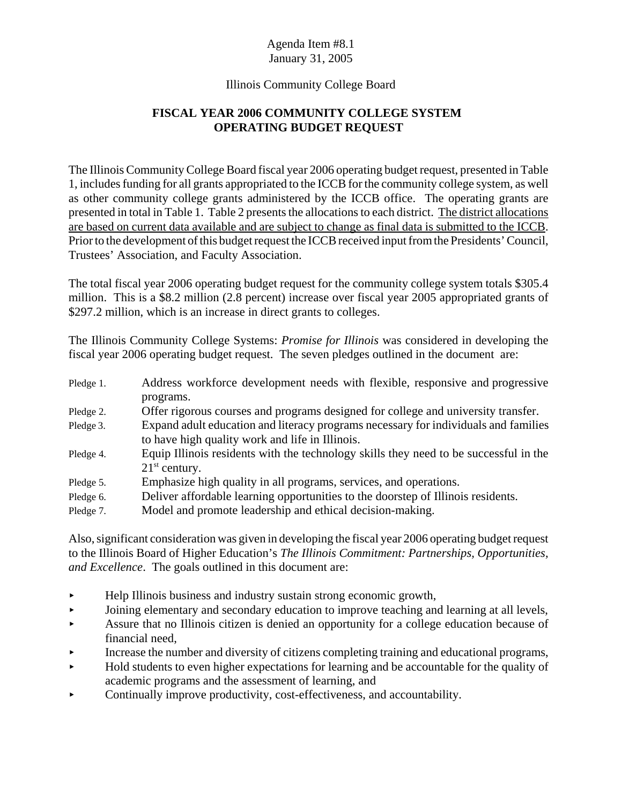#### Illinois Community College Board

# **FISCAL YEAR 2006 COMMUNITY COLLEGE SYSTEM OPERATING BUDGET REQUEST**

The Illinois Community College Board fiscal year 2006 operating budget request, presented in Table 1, includes funding for all grants appropriated to the ICCB for the community college system, as well as other community college grants administered by the ICCB office. The operating grants are presented in total in Table 1. Table 2 presents the allocations to each district. The district allocations are based on current data available and are subject to change as final data is submitted to the ICCB. Prior to the development of this budget request the ICCB received input from the Presidents' Council, Trustees' Association, and Faculty Association.

The total fiscal year 2006 operating budget request for the community college system totals \$305.4 million. This is a \$8.2 million (2.8 percent) increase over fiscal year 2005 appropriated grants of \$297.2 million, which is an increase in direct grants to colleges.

The Illinois Community College Systems: *Promise for Illinois* was considered in developing the fiscal year 2006 operating budget request. The seven pledges outlined in the document are:

| Pledge 1. | Address workforce development needs with flexible, responsive and progressive         |
|-----------|---------------------------------------------------------------------------------------|
|           | programs.                                                                             |
| Pledge 2. | Offer rigorous courses and programs designed for college and university transfer.     |
| Pledge 3. | Expand adult education and literacy programs necessary for individuals and families   |
|           | to have high quality work and life in Illinois.                                       |
| Pledge 4. | Equip Illinois residents with the technology skills they need to be successful in the |
|           | $21st$ century.                                                                       |
| Pledge 5. | Emphasize high quality in all programs, services, and operations.                     |
| Pledge 6. | Deliver affordable learning opportunities to the doorstep of Illinois residents.      |
| Pledge 7. | Model and promote leadership and ethical decision-making.                             |

Also, significant consideration was given in developing the fiscal year 2006 operating budget request to the Illinois Board of Higher Education's *The Illinois Commitment: Partnerships, Opportunities, and Excellence*. The goals outlined in this document are:

- $\blacktriangleright$  Help Illinois business and industry sustain strong economic growth,
- < Joining elementary and secondary education to improve teaching and learning at all levels,
- < Assure that no Illinois citizen is denied an opportunity for a college education because of financial need,
- < Increase the number and diversity of citizens completing training and educational programs,
- $\blacktriangleright$  Hold students to even higher expectations for learning and be accountable for the quality of academic programs and the assessment of learning, and
- $\triangleright$  Continually improve productivity, cost-effectiveness, and accountability.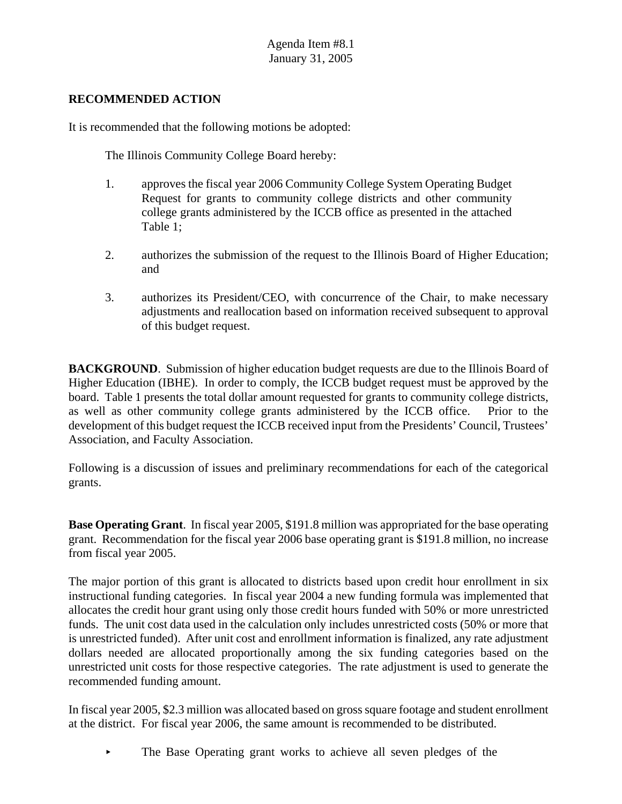#### **RECOMMENDED ACTION**

It is recommended that the following motions be adopted:

The Illinois Community College Board hereby:

- 1. approves the fiscal year 2006 Community College System Operating Budget Request for grants to community college districts and other community college grants administered by the ICCB office as presented in the attached Table 1;
- 2. authorizes the submission of the request to the Illinois Board of Higher Education; and
- 3. authorizes its President/CEO, with concurrence of the Chair, to make necessary adjustments and reallocation based on information received subsequent to approval of this budget request.

**BACKGROUND.** Submission of higher education budget requests are due to the Illinois Board of Higher Education (IBHE). In order to comply, the ICCB budget request must be approved by the board. Table 1 presents the total dollar amount requested for grants to community college districts, as well as other community college grants administered by the ICCB office. Prior to the development of this budget request the ICCB received input from the Presidents' Council, Trustees' Association, and Faculty Association.

Following is a discussion of issues and preliminary recommendations for each of the categorical grants.

**Base Operating Grant**. In fiscal year 2005, \$191.8 million was appropriated for the base operating grant. Recommendation for the fiscal year 2006 base operating grant is \$191.8 million, no increase from fiscal year 2005.

The major portion of this grant is allocated to districts based upon credit hour enrollment in six instructional funding categories. In fiscal year 2004 a new funding formula was implemented that allocates the credit hour grant using only those credit hours funded with 50% or more unrestricted funds. The unit cost data used in the calculation only includes unrestricted costs (50% or more that is unrestricted funded). After unit cost and enrollment information is finalized, any rate adjustment dollars needed are allocated proportionally among the six funding categories based on the unrestricted unit costs for those respective categories. The rate adjustment is used to generate the recommended funding amount.

In fiscal year 2005, \$2.3 million was allocated based on gross square footage and student enrollment at the district. For fiscal year 2006, the same amount is recommended to be distributed.

• The Base Operating grant works to achieve all seven pledges of the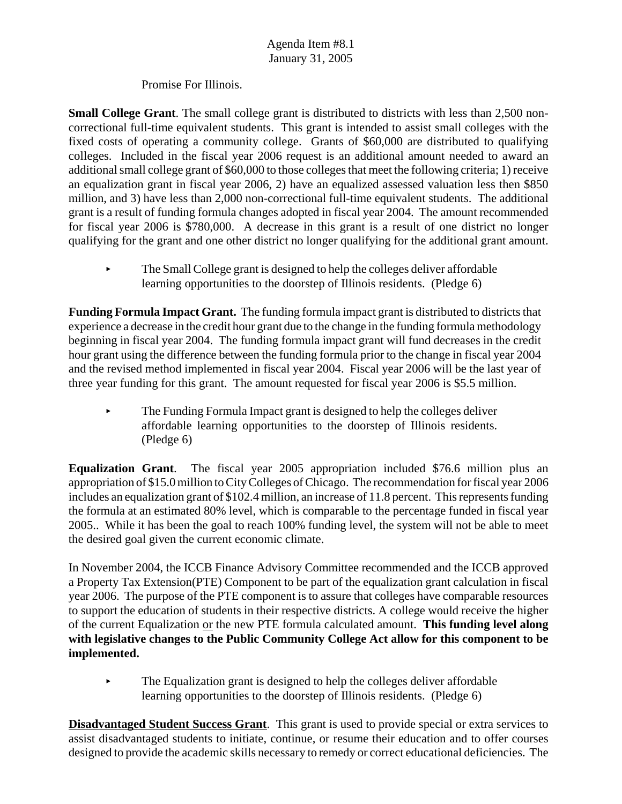Promise For Illinois.

**Small College Grant**. The small college grant is distributed to districts with less than 2,500 noncorrectional full-time equivalent students. This grant is intended to assist small colleges with the fixed costs of operating a community college. Grants of \$60,000 are distributed to qualifying colleges. Included in the fiscal year 2006 request is an additional amount needed to award an additional small college grant of \$60,000 to those colleges that meet the following criteria; 1) receive an equalization grant in fiscal year 2006, 2) have an equalized assessed valuation less then \$850 million, and 3) have less than 2,000 non-correctional full-time equivalent students. The additional grant is a result of funding formula changes adopted in fiscal year 2004. The amount recommended for fiscal year 2006 is \$780,000. A decrease in this grant is a result of one district no longer qualifying for the grant and one other district no longer qualifying for the additional grant amount.

The Small College grant is designed to help the colleges deliver affordable learning opportunities to the doorstep of Illinois residents. (Pledge 6)

**Funding Formula Impact Grant.** The funding formula impact grant is distributed to districts that experience a decrease in the credit hour grant due to the change in the funding formula methodology beginning in fiscal year 2004. The funding formula impact grant will fund decreases in the credit hour grant using the difference between the funding formula prior to the change in fiscal year 2004 and the revised method implemented in fiscal year 2004. Fiscal year 2006 will be the last year of three year funding for this grant. The amount requested for fiscal year 2006 is \$5.5 million.

< The Funding Formula Impact grant is designed to help the colleges deliver affordable learning opportunities to the doorstep of Illinois residents. (Pledge 6)

**Equalization Grant**. The fiscal year 2005 appropriation included \$76.6 million plus an appropriation of \$15.0 million to City Colleges of Chicago. The recommendation for fiscal year 2006 includes an equalization grant of \$102.4 million, an increase of 11.8 percent. This represents funding the formula at an estimated 80% level, which is comparable to the percentage funded in fiscal year 2005.. While it has been the goal to reach 100% funding level, the system will not be able to meet the desired goal given the current economic climate.

In November 2004, the ICCB Finance Advisory Committee recommended and the ICCB approved a Property Tax Extension(PTE) Component to be part of the equalization grant calculation in fiscal year 2006. The purpose of the PTE component is to assure that colleges have comparable resources to support the education of students in their respective districts. A college would receive the higher of the current Equalization or the new PTE formula calculated amount. **This funding level along with legislative changes to the Public Community College Act allow for this component to be implemented.**

 $\blacktriangleright$  The Equalization grant is designed to help the colleges deliver affordable learning opportunities to the doorstep of Illinois residents. (Pledge 6)

**Disadvantaged Student Success Grant**. This grant is used to provide special or extra services to assist disadvantaged students to initiate, continue, or resume their education and to offer courses designed to provide the academic skills necessary to remedy or correct educational deficiencies. The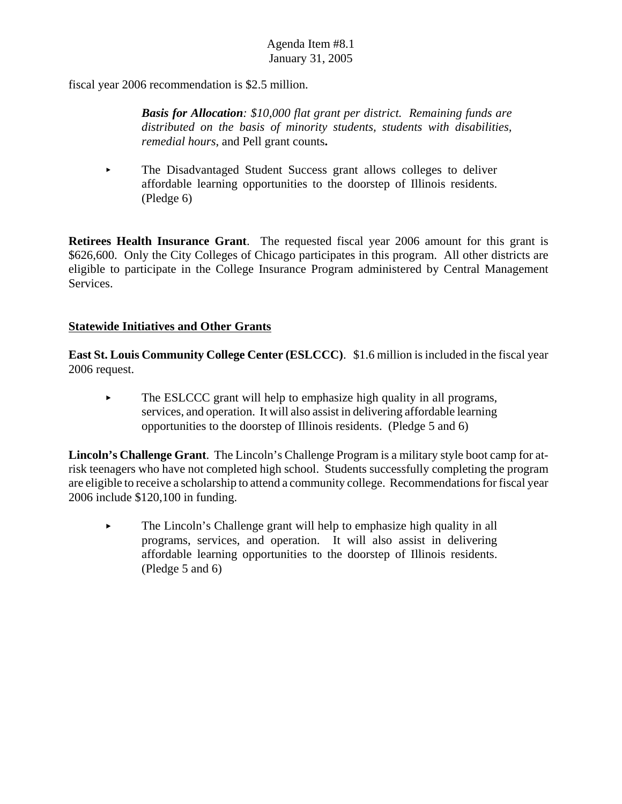fiscal year 2006 recommendation is \$2.5 million.

*Basis for Allocation: \$10,000 flat grant per district. Remaining funds are distributed on the basis of minority students, students with disabilities, remedial hours*, and Pell grant counts**.**

 $\blacktriangleright$  The Disadvantaged Student Success grant allows colleges to deliver affordable learning opportunities to the doorstep of Illinois residents. (Pledge 6)

**Retirees Health Insurance Grant**. The requested fiscal year 2006 amount for this grant is \$626,600. Only the City Colleges of Chicago participates in this program. All other districts are eligible to participate in the College Insurance Program administered by Central Management Services.

## **Statewide Initiatives and Other Grants**

**East St. Louis Community College Center (ESLCCC)**. \$1.6 million is included in the fiscal year 2006 request.

 $\blacktriangleright$  The ESLCCC grant will help to emphasize high quality in all programs, services, and operation. It will also assist in delivering affordable learning opportunities to the doorstep of Illinois residents.(Pledge 5 and 6)

**Lincoln's Challenge Grant**. The Lincoln's Challenge Program is a military style boot camp for atrisk teenagers who have not completed high school. Students successfully completing the program are eligible to receive a scholarship to attend a community college. Recommendations for fiscal year 2006 include \$120,100 in funding.

 $\blacktriangleright$  The Lincoln's Challenge grant will help to emphasize high quality in all programs, services, and operation. It will also assist in delivering affordable learning opportunities to the doorstep of Illinois residents. (Pledge 5 and 6)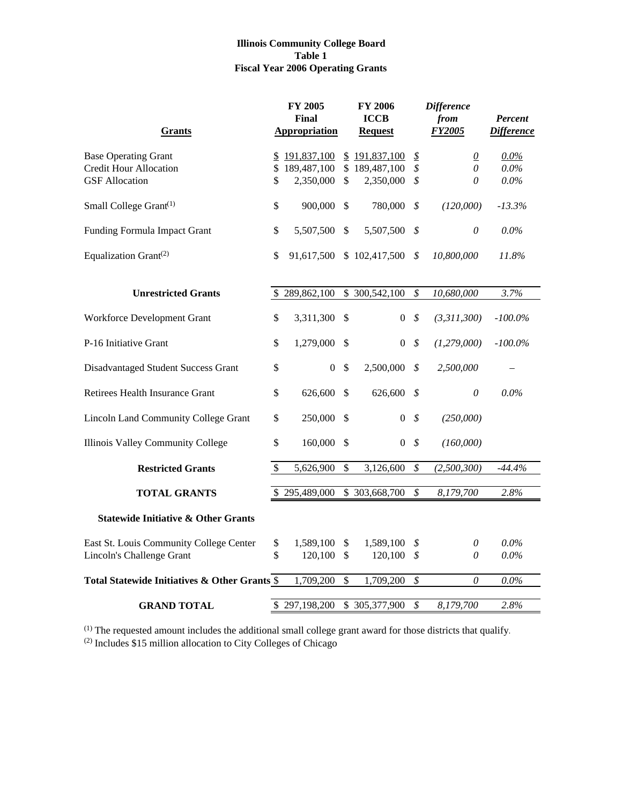#### **Illinois Community College Board Table 1 Fiscal Year 2006 Operating Grants**

|                                                |                          | <b>FY 2005</b><br>Final |               | <b>FY 2006</b><br><b>ICCB</b> |                             | <b>Difference</b><br>from | Percent           |
|------------------------------------------------|--------------------------|-------------------------|---------------|-------------------------------|-----------------------------|---------------------------|-------------------|
| <b>Grants</b>                                  |                          | <b>Appropriation</b>    |               | <b>Request</b>                |                             | <b>FY2005</b>             | <b>Difference</b> |
| <b>Base Operating Grant</b>                    | $\overline{\mathcal{F}}$ | 191,837,100             |               | \$191,837,100                 | $\mathcal{L}_{\mathcal{D}}$ | $\underline{0}$           | $0.0\%$           |
| <b>Credit Hour Allocation</b>                  |                          | \$189,487,100           |               | \$189,487,100                 | \$                          | $\theta$                  | $0.0\%$           |
| <b>GSF</b> Allocation                          | \$                       | 2,350,000               | $\mathbb{S}$  | 2,350,000                     | \$                          | 0                         | $0.0\%$           |
| Small College Grant <sup>(1)</sup>             | \$                       | 900,000                 | \$            | 780,000                       | \$                          | (120,000)                 | $-13.3\%$         |
| Funding Formula Impact Grant                   | \$                       | 5,507,500               | \$            | 5,507,500                     | \$                          | $\boldsymbol{\theta}$     | $0.0\%$           |
| Equalization Grant <sup>(2)</sup>              | \$                       | 91,617,500              |               | \$102,417,500                 | \$                          | 10,800,000                | 11.8%             |
| <b>Unrestricted Grants</b>                     |                          | \$289,862,100           |               | \$ 300,542,100                | \$                          | 10,680,000                | 3.7%              |
|                                                |                          |                         |               |                               |                             |                           |                   |
| Workforce Development Grant                    | \$                       | 3,311,300               | \$            | $\overline{0}$                | \$                          | (3,311,300)               | $-100.0\%$        |
| P-16 Initiative Grant                          | \$                       | 1,279,000               | \$            | 0                             | \$                          | (1, 279, 000)             | $-100.0\%$        |
| Disadvantaged Student Success Grant            | \$                       | $\mathbf{0}$            | $\mathcal{S}$ | 2,500,000                     | \$                          | 2,500,000                 |                   |
| Retirees Health Insurance Grant                | \$                       | 626,600                 | \$            | 626,600                       | \$                          | 0                         | 0.0%              |
| <b>Lincoln Land Community College Grant</b>    | \$                       | 250,000                 | \$            | $\overline{0}$                | \$                          | (250,000)                 |                   |
| <b>Illinois Valley Community College</b>       | \$                       | 160,000                 | $\mathcal{S}$ | $\boldsymbol{0}$              | \$                          | (160,000)                 |                   |
| <b>Restricted Grants</b>                       | $\$\,$                   | 5,626,900               | \$            | 3,126,600                     | \$                          | (2,500,300)               | $-44.4%$          |
|                                                |                          |                         |               |                               |                             |                           |                   |
| <b>TOTAL GRANTS</b>                            |                          | \$295,489,000           |               | \$303,668,700                 | $\mathcal S$                | 8,179,700                 | 2.8%              |
| <b>Statewide Initiative &amp; Other Grants</b> |                          |                         |               |                               |                             |                           |                   |
| East St. Louis Community College Center        | \$                       | 1,589,100               | \$            | 1,589,100                     | \$                          | 0                         | $0.0\%$           |
| Lincoln's Challenge Grant                      | \$                       | 120,100                 | $\mathcal{S}$ | 120,100                       | \$                          | 0                         | $0.0\%$           |
| Total Statewide Initiatives & Other Grants \$  |                          | 1,709,200               | $\mathcal{S}$ | 1,709,200                     | $\boldsymbol{\mathcal{S}}$  | $\theta$                  | $0.0\%$           |
|                                                |                          |                         |               |                               |                             |                           |                   |
| <b>GRAND TOTAL</b>                             |                          | \$297,198,200           |               | \$305,377,900                 | \$                          | 8,179,700                 | 2.8%              |

 $<sup>(1)</sup>$  The requested amount includes the additional small college grant award for those districts that qualify.</sup> (2) Includes \$15 million allocation to City Colleges of Chicago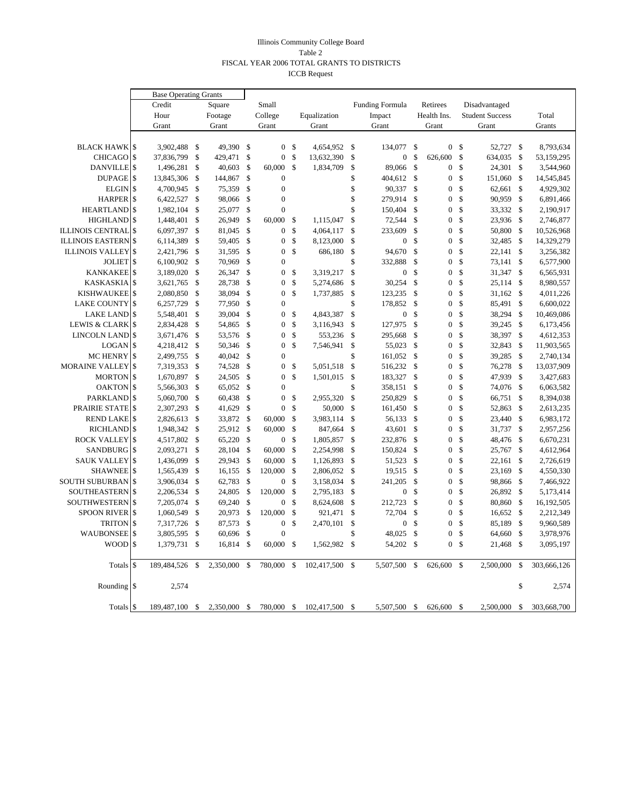#### Illinois Community College Board Table 2 FISCAL YEAR 2006 TOTAL GRANTS TO DISTRICTS ICCB Request

|                          |               | <b>Base Operating Grants</b> |                    |           |               |                  |               |              |              |                        |               |                  |               |                        |               |             |
|--------------------------|---------------|------------------------------|--------------------|-----------|---------------|------------------|---------------|--------------|--------------|------------------------|---------------|------------------|---------------|------------------------|---------------|-------------|
|                          |               | Credit                       |                    | Square    |               | Small            |               |              |              | <b>Funding Formula</b> |               | Retirees         |               | Disadvantaged          |               |             |
|                          |               | Hour                         |                    | Footage   |               | College          |               | Equalization |              | Impact                 |               | Health Ins.      |               | <b>Student Success</b> |               | Total       |
|                          |               | Grant                        |                    | Grant     |               | Grant            |               | Grant        |              | Grant                  |               | Grant            |               | Grant                  |               | Grants      |
|                          |               |                              |                    |           |               |                  |               |              |              |                        |               |                  |               |                        |               |             |
| <b>BLACK HAWK \$</b>     |               | 3,902,488                    | -\$                | 49,390    | \$            | $\overline{0}$   | $\mathbb{S}$  | 4,654,952    | $\mathbb{S}$ | 134,077                | \$            | 0 <sup>5</sup>   |               | 52,727                 | $\mathbb{S}$  | 8,793,634   |
| <b>CHICAGO</b>           | \$            | 37,836,799                   | $\sqrt{2}$         | 429,471   | \$            | $\boldsymbol{0}$ | \$            | 13,632,390   | \$           | $\boldsymbol{0}$       | \$            | 626,600          | \$            | 634,035                | $\sqrt{3}$    | 53,159,295  |
| DANVILLE <sup>S</sup>    |               | 1,496,281                    | $\mathbf{s}$       | 40,603    | \$            | 60.000           | $\mathbf S$   | 1,834,709    | \$           | 89,066                 | $\mathcal{S}$ | $\overline{0}$   | \$            | 24,301                 | \$            | 3,544,960   |
| <b>DUPAGE</b>            | <sup>\$</sup> | 13,845,306                   | -\$                | 144,867   | \$            | $\boldsymbol{0}$ |               |              | \$           | 404,612                | $\mathbb{S}$  | $\overline{0}$   | \$            | 151,060                | \$            | 14,545,845  |
| <b>ELGIN</b>             | $\mathcal{S}$ | 4,700,945                    | $\mathcal{S}$      | 75,359    | \$            | $\mathbf{0}$     |               |              | \$           | 90,337                 | $\mathbb{S}$  | $\boldsymbol{0}$ | \$            | 62,661                 | \$            | 4,929,302   |
| <b>HARPER</b>            | \$            | 6,422,527                    | $\mathcal{S}$      | 98,066    | \$            | $\overline{0}$   |               |              | \$           | 279.914                | $\mathbf{s}$  | $\overline{0}$   | \$            | 90,959                 | $\mathbf{\$}$ | 6,891,466   |
| <b>HEARTLAND</b>         | <sup>\$</sup> | 1,982,104                    | $\mathcal{S}$      | 25,077    | \$            | $\overline{0}$   |               |              | \$           | 150,404                | \$            | $\overline{0}$   | \$            | 33,332                 | - \$          | 2,190,917   |
| <b>HIGHLAND</b>          | \$            | 1,448,401                    | \$                 | 26,949    | \$            | 60,000           | -\$           | 1,115,047    | \$           | 72,544                 | \$            | 0                | \$            | 23,936                 | -\$           | 2,746,877   |
| <b>ILLINOIS CENTRAL</b>  |               | 6,097,397                    | \$                 | 81,045    | \$            | $\overline{0}$   | \$            | 4,064,117    | \$           | 233,609                | $\mathbf{s}$  | $\overline{0}$   | \$            | 50,800                 | -\$           | 10,526,968  |
| <b>ILLINOIS EASTERN</b>  | \$            | 6,114,389                    | \$                 | 59,405    | $\mathcal{S}$ | $\overline{0}$   | \$            | 8,123,000    | \$           | $\boldsymbol{0}$       | \$            | $\overline{0}$   | \$            | 32,485                 | -\$           | 14,329,279  |
| <b>ILLINOIS VALLEY</b>   | \$            | 2,421,796                    | -\$                | 31,595    | \$            | $\mathbf{0}$     | \$            | 686,180      | \$           | 94,670                 | \$            | 0                | \$            | 22,141                 | \$            | 3,256,382   |
| <b>JOLIET</b>            |               | 6,100,902 \$                 |                    | 70,969    | \$            | $\boldsymbol{0}$ |               |              | \$           | 332,888                | \$            | $\boldsymbol{0}$ | \$            | 73,141                 | \$            | 6,577,900   |
| <b>KANKAKEE</b>          | \$            | 3,189,020                    | \$                 | 26,347    | \$            | $\overline{0}$   | \$            | 3,319,217    | \$           | $\boldsymbol{0}$       | \$            | $\overline{0}$   | \$            | 31,347                 | \$            | 6,565,931   |
| <b>KASKASKIA</b>         |               | 3,621,765                    | -\$                | 28,738    | \$            | $\overline{0}$   | \$            | 5,274,686    | \$           | 30,254                 | \$            | $\overline{0}$   | \$            | 25,114                 | \$            | 8,980,557   |
| <b>KISHWAUKEE</b>        | $\mathcal{S}$ | 2,080,850                    | \$                 | 38,094    | \$            | $\theta$         | \$            | 1,737,885    | \$           | 123,235                | \$            | $\boldsymbol{0}$ | \$            | 31,162                 | - \$          | 4,011,226   |
| <b>LAKE COUNTY</b>       |               | 6,257,729                    | \$                 | 77,950    | \$            | $\overline{0}$   |               |              | \$           | 178,852                | $\mathbf{s}$  | $\overline{0}$   | \$            | 85,491                 | - \$          | 6,600,022   |
| <b>LAKE LAND</b>         | \$            | 5,548,401                    | \$                 | 39,004    | \$            | $\overline{0}$   | \$            | 4,843,387    | \$           | $\boldsymbol{0}$       | $\mathbf{s}$  | $\overline{0}$   | \$            | 38,294                 | $\mathbf{\$}$ | 10,469,086  |
| <b>LEWIS &amp; CLARK</b> |               | 2,834,428                    | $\mathcal{S}$      | 54,865    | \$            | $\overline{0}$   | \$            | 3,116,943    | \$           | 127,975                | \$            | $\overline{0}$   | \$            | 39,245                 | - \$          | 6,173,456   |
| <b>LINCOLN LAND</b>      | $\mathbf S$   | 3,671,476                    | $\mathcal{S}$      | 53,576    | \$            | $\overline{0}$   | \$            | 553,236      | \$           | 295.668                | \$            | $\overline{0}$   | \$            | 38,397                 | \$            | 4,612,353   |
| <b>LOGAN</b>             | <sup>\$</sup> | 4,218,412                    | -\$                | 50,346    | \$            | $\overline{0}$   | \$            | 7,546,941    | \$           | 55,023                 | $\mathbf{s}$  | $\overline{0}$   | \$            | 32,843                 | -\$           | 11,903,565  |
| <b>MC HENRY</b>          | \$            | 2,499,755                    | \$                 | 40,042    | \$            | $\overline{0}$   |               |              | \$           | 161,052                | \$            | 0                | \$            | 39,285                 | \$            | 2,740,134   |
| <b>MORAINE VALLEY</b>    | \$            | 7,319,353                    | $\mathcal{S}$      | 74,528    | \$            | $\overline{0}$   | \$            | 5,051,518    | \$           | 516,232                | $\mathbf{s}$  | $\overline{0}$   | \$            | 76,278                 | -\$           | 13,037,909  |
| <b>MORTON</b>            | $\mathcal{S}$ | 1,670,897                    | \$                 | 24,505    | \$            | $\overline{0}$   | \$            | 1,501,015    | \$           | 183,327                | \$            | $\overline{0}$   | \$            | 47,939                 | \$            | 3,427,683   |
| <b>OAKTON</b>            | \$            | 5,566,303                    | \$                 | 65,052    | \$            | $\overline{0}$   |               |              | \$           | 358,151                | \$            | 0                | \$            | 74,076                 | - \$          | 6,063,582   |
| <b>PARKLAND</b>          | <sup>\$</sup> | 5,060,700                    | \$                 | 60,438    | \$            | $\overline{0}$   | \$            | 2,955,320    | \$           | 250,829                | \$            | $\overline{0}$   | \$            | 66,751                 | \$            | 8,394,038   |
| PRAIRIE STATE            | \$            | 2,307,293                    | \$                 | 41,629    | \$            | $\overline{0}$   | \$            | 50,000       | \$           | 161,450                | \$            | $\overline{0}$   | \$            | 52,863                 | $\mathbf{\$}$ | 2,613,235   |
| <b>REND LAKE</b>         | \$            | 2,826,613                    | \$                 | 33,872    | \$            | 60,000           | \$            | 3,983,114    | \$           | 56,133                 | \$            | 0                | \$            | 23,440                 | \$            | 6,983,172   |
| <b>RICHLAND</b>          | S             | 1,948,342                    | \$                 | 25,912    | \$            | 60,000           | $\mathcal{S}$ | 847,664      | \$           | 43,601                 | \$            | $\overline{0}$   | \$            | 31,737                 | -\$           | 2,957,256   |
| <b>ROCK VALLEY</b>       | <sup>\$</sup> | 4,517,802                    | \$                 | 65,220    | \$            | $\overline{0}$   | \$            | 1,805,857    | \$           | 232,876                | \$            | $\overline{0}$   | \$            | 48,476                 | \$            | 6,670,231   |
| <b>SANDBURG</b>          | <b>S</b>      | 2,093,271                    | \$                 | 28,104    | \$            | $60,000$ \$      |               | 2,254,998    | \$           | 150,824                | \$            | $\boldsymbol{0}$ | \$            | 25,767                 | -\$           | 4,612,964   |
| <b>SAUK VALLEY</b>       | \$            | 1,436,099                    | \$                 | 29,943    | \$            | 60,000           | \$            | 1,126,893    | \$           | 51,523                 | \$            | $\boldsymbol{0}$ | \$            | 22,161                 | \$            | 2,726,619   |
| <b>SHAWNEE</b>           | <sup>\$</sup> | 1,565,439                    | \$                 | 16,155    | \$            | 120,000          | \$            | 2,806,052    | \$           | 19,515                 | \$            | $\mathbf{0}$     | \$            | 23,169                 | -\$           | 4,550,330   |
| <b>SOUTH SUBURBAN</b>    | <sup>\$</sup> | 3,906,034                    | \$                 | 62,783    | \$            | $\boldsymbol{0}$ | \$            | 3,158,034    | \$           | 241,205                | \$            | $\overline{0}$   | \$            | 98,866                 | - \$          | 7,466,922   |
| <b>SOUTHEASTERN</b>      | - \$          | 2,206,534                    | \$                 | 24,805    | \$            | 120,000          | $\mathcal{S}$ | 2,795,183    | \$           | $\boldsymbol{0}$       | \$            | $\boldsymbol{0}$ | \$            | 26,892                 | - \$          | 5,173,414   |
| <b>SOUTHWESTERN</b>      | \$            | 7,205,074                    | $\mathcal{S}$      | 69,240    | \$            | $\overline{0}$   | \$            | 8,624,608    | \$           | 212,723                | \$            | $\overline{0}$   | \$            | 80,860                 | $\mathbf{\$}$ | 16,192,505  |
| <b>SPOON RIVER</b>       | <sup>\$</sup> | 1,060,549                    | \$                 | 20,973    | \$            | 120,000          | $\mathcal{S}$ | 921,471      | \$           | 72,704                 | \$            | $\overline{0}$   | \$            | 16,652                 | - \$          | 2,212,349   |
| <b>TRITON</b>            | \$            | 7,317,726                    | $\mathbf{\hat{S}}$ | 87,573    | \$            | $\boldsymbol{0}$ | \$            | 2,470,101    | \$           | $\boldsymbol{0}$       | \$            | $\mathbf{0}$     | \$            | 85,189                 | \$            | 9,960,589   |
| <b>WAUBONSEE</b>         | \$            | 3,805,595                    | \$                 | 60,696    | \$            | $\theta$         |               |              | \$           | 48,025                 | \$            | $\overline{0}$   | \$            | 64,660                 | -\$           | 3,978,976   |
| <b>WOOD</b>              | <sup>\$</sup> | 1,379,731                    | $\mathcal{S}$      | 16,814    | \$            | $60,000$ \$      |               | 1,562,982    | \$           | 54,202                 | $\mathbb{S}$  | $\overline{0}$   | $\mathcal{S}$ | 21,468                 | -\$           | 3,095,197   |
| Totals                   | <sup>\$</sup> | 189,484,526                  | \$                 | 2,350,000 | \$            | 780,000          | \$            | 102,417,500  | \$           | 5,507,500              | \$            | 626,600          | $\mathbf{s}$  | 2,500,000              | \$            | 303,666,126 |
| Rounding \$              |               | 2,574                        |                    |           |               |                  |               |              |              |                        |               |                  |               |                        | \$            | 2,574       |
| Totals <sup>S</sup>      |               | 189,487,100                  | \$                 | 2,350,000 | \$            | 780,000          | \$            | 102,417,500  | \$           | 5,507,500              | $\mathbb{S}$  | 626,600 \$       |               | 2,500,000              | \$            | 303,668,700 |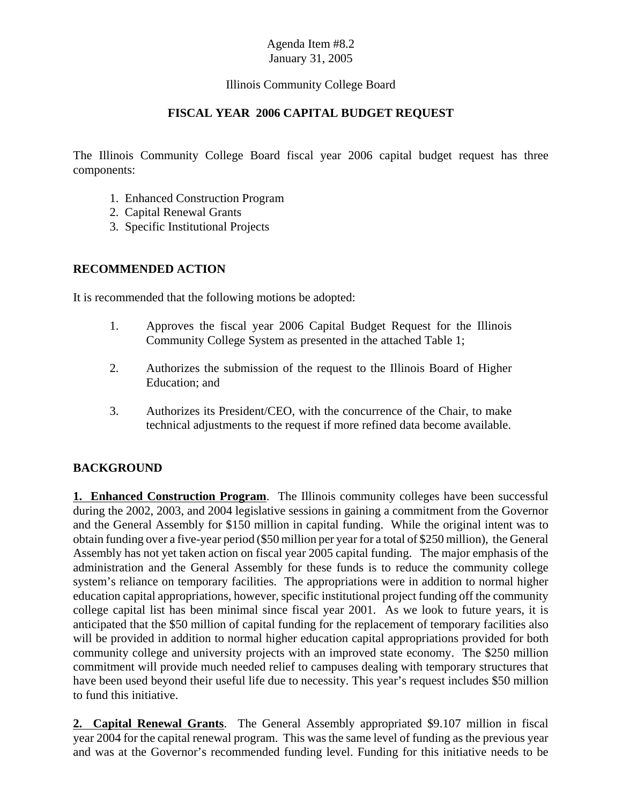#### Illinois Community College Board

#### **FISCAL YEAR 2006 CAPITAL BUDGET REQUEST**

The Illinois Community College Board fiscal year 2006 capital budget request has three components:

- 1. Enhanced Construction Program
- 2. Capital Renewal Grants
- 3. Specific Institutional Projects

#### **RECOMMENDED ACTION**

It is recommended that the following motions be adopted:

- 1. Approves the fiscal year 2006 Capital Budget Request for the Illinois Community College System as presented in the attached Table 1;
- 2. Authorizes the submission of the request to the Illinois Board of Higher Education; and
- 3. Authorizes its President/CEO, with the concurrence of the Chair, to make technical adjustments to the request if more refined data become available.

## **BACKGROUND**

**1. Enhanced Construction Program**. The Illinois community colleges have been successful during the 2002, 2003, and 2004 legislative sessions in gaining a commitment from the Governor and the General Assembly for \$150 million in capital funding. While the original intent was to obtain funding over a five-year period (\$50 million per year for a total of \$250 million), the General Assembly has not yet taken action on fiscal year 2005 capital funding. The major emphasis of the administration and the General Assembly for these funds is to reduce the community college system's reliance on temporary facilities. The appropriations were in addition to normal higher education capital appropriations, however, specific institutional project funding off the community college capital list has been minimal since fiscal year 2001. As we look to future years, it is anticipated that the \$50 million of capital funding for the replacement of temporary facilities also will be provided in addition to normal higher education capital appropriations provided for both community college and university projects with an improved state economy. The \$250 million commitment will provide much needed relief to campuses dealing with temporary structures that have been used beyond their useful life due to necessity. This year's request includes \$50 million to fund this initiative.

**2. Capital Renewal Grants**. The General Assembly appropriated \$9.107 million in fiscal year 2004 for the capital renewal program. This was the same level of funding as the previous year and was at the Governor's recommended funding level. Funding for this initiative needs to be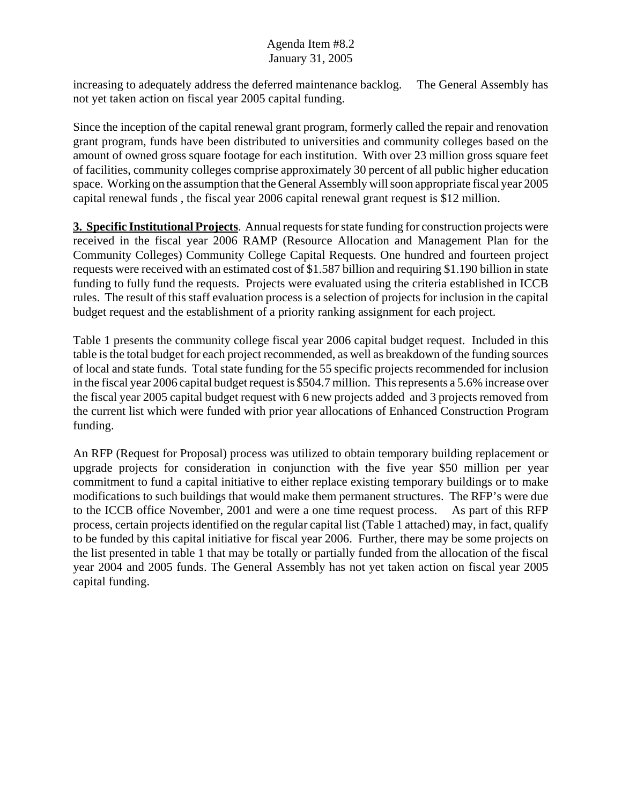increasing to adequately address the deferred maintenance backlog. The General Assembly has not yet taken action on fiscal year 2005 capital funding.

Since the inception of the capital renewal grant program, formerly called the repair and renovation grant program, funds have been distributed to universities and community colleges based on the amount of owned gross square footage for each institution. With over 23 million gross square feet of facilities, community colleges comprise approximately 30 percent of all public higher education space. Working on the assumption that the General Assembly will soon appropriate fiscal year 2005 capital renewal funds , the fiscal year 2006 capital renewal grant request is \$12 million.

**3. Specific Institutional Projects**. Annual requests for state funding for construction projects were received in the fiscal year 2006 RAMP (Resource Allocation and Management Plan for the Community Colleges) Community College Capital Requests. One hundred and fourteen project requests were received with an estimated cost of \$1.587 billion and requiring \$1.190 billion in state funding to fully fund the requests. Projects were evaluated using the criteria established in ICCB rules. The result of this staff evaluation process is a selection of projects for inclusion in the capital budget request and the establishment of a priority ranking assignment for each project.

Table 1 presents the community college fiscal year 2006 capital budget request. Included in this table is the total budget for each project recommended, as well as breakdown of the funding sources of local and state funds. Total state funding for the 55 specific projects recommended for inclusion in the fiscal year 2006 capital budget request is \$504.7 million. This represents a 5.6% increase over the fiscal year 2005 capital budget request with 6 new projects added and 3 projects removed from the current list which were funded with prior year allocations of Enhanced Construction Program funding.

An RFP (Request for Proposal) process was utilized to obtain temporary building replacement or upgrade projects for consideration in conjunction with the five year \$50 million per year commitment to fund a capital initiative to either replace existing temporary buildings or to make modifications to such buildings that would make them permanent structures. The RFP's were due to the ICCB office November, 2001 and were a one time request process. As part of this RFP process, certain projects identified on the regular capital list (Table 1 attached) may, in fact, qualify to be funded by this capital initiative for fiscal year 2006. Further, there may be some projects on the list presented in table 1 that may be totally or partially funded from the allocation of the fiscal year 2004 and 2005 funds. The General Assembly has not yet taken action on fiscal year 2005 capital funding.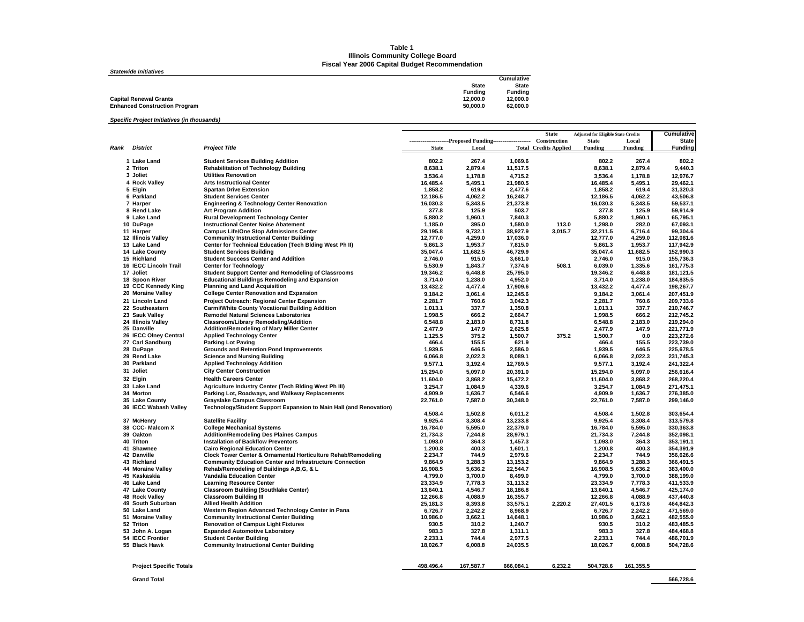#### **Table 1 Illinois Community College Board Fiscal Year 2006 Capital Budget Recommendation**

| <b>Statewide Initiatives</b>         |              |                |
|--------------------------------------|--------------|----------------|
|                                      |              | Cumulative     |
|                                      | <b>State</b> | <b>State</b>   |
|                                      | Fundina      | <b>Funding</b> |
| <b>Capital Renewal Grants</b>        | 12.000.0     | 12.000.0       |
| <b>Enhanced Construction Program</b> | 50.000.0     | 62.000.0       |

*Specific Project Initiatives (in thousands)*

| ----------------------Proposed Funding--------------------<br><b>District</b><br><b>Project Title</b><br>Funding<br>Rank<br><b>State</b><br>Local<br><b>Total Credits Applied</b><br>Funding<br>Funding<br>802.2<br>267.4<br>802.2<br>267.4<br>802.2<br>1 Lake Land<br><b>Student Services Building Addition</b><br>1,069.6<br>2 Triton<br><b>Rehabilitation of Technology Building</b><br>8,638.1<br>2,879.4<br>11,517.5<br>8,638.1<br>2,879.4<br>9,440.3<br>3 Joliet<br><b>Utilities Renovation</b><br>3,536.4<br>4,715.2<br>3,536.4<br>12,976.7<br>1,178.8<br>1,178.8<br>4 Rock Valley<br><b>Arts Instructional Center</b><br>16,485.4<br>29,462.1<br>5,495.1<br>21,980.5<br>16,485.4<br>5,495.1<br>1.858.2<br>5 Elgin<br><b>Spartan Drive Extension</b><br>619.4<br>2.477.6<br>1.858.2<br>619.4<br>31.320.3<br>4,062.2<br>12,186.5<br>12,186.5<br>4,062.2<br>43,506.8<br>6 Parkland<br><b>Student Services Center</b><br>16,248.7<br><b>Engineering &amp; Technology Center Renovation</b><br>16,030.3<br>5,343.5<br>7 Harper<br>21,373.8<br>16,030.3<br>5,343.5<br>59,537.1<br>8 Rend Lake<br><b>Art Program Addition</b><br>377.8<br>125.9<br>503.7<br>377.8<br>125.9<br>59.914.9<br>65,795.1<br><b>Rural Development Technology Center</b><br>5,880.2<br>1,960.1<br>5,880.2<br>1,960.1<br>9 Lake Land<br>7,840.3<br>10 DuPage<br><b>Instructional Center Noise Abatement</b><br>395.0<br>1,298.0<br>67,093.1<br>1,185.0<br>1,580.0<br>113.0<br>282.0<br>11 Harper<br><b>Campus Life/One Stop Admissions Center</b><br>9,732.1<br>32,211.5<br>99,304.6<br>29,195.8<br>38,927.9<br>3,015.7<br>6,716.4<br><b>Community Instructional Center Building</b><br>12.777.0<br>4.259.0<br>12.777.0<br>4,259.0<br>112.081.6<br>12 Illinois Valley<br>17.036.0<br>117,942.9<br>13 Lake Land<br>Center for Technical Education (Tech Blding West Ph II)<br>5,861.3<br>1,953.7<br>7,815.0<br>5,861.3<br>1,953.7<br>35,047.4<br>152,990.3<br>14 Lake County<br><b>Student Services Building</b><br>35,047.4<br>11,682.5<br>46,729.9<br>11,682.5<br>2.746.0<br>915.0<br>2.746.0<br>155.736.3<br>15 Richland<br><b>Student Success Center and Addition</b><br>3.661.0<br>915.0<br>508.1<br>6,039.0<br>16 IECC Lincoln Trail<br><b>Center for Technology</b><br>5,530.9<br>1,843.7<br>1,335.6<br>161,775.3<br>7,374.6<br>17 Joliet<br>Student Support Center and Remodeling of Classrooms<br>19,346.2<br>6,448.8<br>25,795.0<br>19,346.2<br>181,121.5<br>6,448.8<br><b>Educational Buildings Remodeling and Expansion</b><br>3,714.0<br>1,238.0<br>4,952.0<br>3,714.0<br>1,238.0<br>184,835.5<br>18 Spoon River<br>19 CCC Kennedy King<br><b>Planning and Land Acquisition</b><br>13,432.2<br>13,432.2<br>4,477.4<br>17,909.6<br>4,477.4<br>198,267.7<br>20 Moraine Valley<br><b>College Center Renovation and Expansion</b><br>9,184.2<br>3.061.4<br>12.245.6<br>9.184.2<br>3,061.4<br>207.451.9<br>Project Outreach: Regional Center Expansion<br>2,281.7<br>760.6<br>2,281.7<br>209,733.6<br>21 Lincoln Land<br>3,042.3<br>760.6<br><b>Carmi/White County Vocational Building Addition</b><br>1,013.1<br>337.7<br>1,350.8<br>1,013.1<br>337.7<br>210,746.7<br>22 Southeastern<br>23 Sauk Valley<br><b>Remodel Natural Sciences Laboratories</b><br>1,998.5<br>666.2<br>2,664.7<br>1,998.5<br>666.2<br>212,745.2<br>24 Illinois Valley<br>Classroom/Library Remodeling/Addition<br>6,548.8<br>2.183.0<br>8,731.8<br>6,548.8<br>2.183.0<br>219.294.0<br>147.9<br>25 Danville<br>Addition/Remodeling of Mary Miller Center<br>2,477.9<br>2,625.8<br>2,477.9<br>147.9<br>221,771.9<br>26 IECC Olney Central<br><b>Applied Technology Center</b><br>1,125.5<br>375.2<br>1,500.7<br>375.2<br>1,500.7<br>0.0<br>223,272.6<br>223.739.0<br>27 Carl Sandburg<br><b>Parking Lot Paving</b><br>466.4<br>155.5<br>621.9<br>466.4<br>155.5<br>1.939.5<br>646.5<br>2.586.0<br>1,939.5<br>646.5<br>225.678.5<br>28 DuPage<br><b>Grounds and Retention Pond Improvements</b><br>29 Rend Lake<br><b>Science and Nursing Building</b><br>6,066.8<br>2,022.3<br>8,089.1<br>6,066.8<br>2,022.3<br>231,745.3<br>30 Parkland<br><b>Applied Technology Addition</b><br>9,577.1<br>12,769.5<br>9,577.1<br>241,322.4<br>3,192.4<br>3,192.4<br>31 Joliet<br><b>City Center Construction</b><br>15,294.0<br>256,616.4<br>5.097.0<br>20,391.0<br>15.294.0<br>5,097.0<br>32 Elgin<br><b>Health Careers Center</b><br>11,604.0<br>3.868.2<br>15.472.2<br>3,868.2<br>268.220.4<br>11,604.0<br>Agriculture Industry Center (Tech Biding West Ph III)<br>33 Lake Land<br>3,254.7<br>1,084.9<br>4,339.6<br>3,254.7<br>1,084.9<br>271,475.1<br>4,909.9<br>276,385.0<br>34 Morton<br>Parking Lot, Roadways, and Walkway Replacements<br>4,909.9<br>1,636.7<br>6,546.6<br>1,636.7<br>22,761.0<br>7,587.0<br>7,587.0<br>299,146.0<br>35 Lake County<br><b>Grayslake Campus Classroom</b><br>30,348.0<br>22,761.0<br>36 IECC Wabash Valley<br>Technology/Student Support Expansion to Main Hall (and Renovation)<br>1,502.8<br>303,654.4<br>4,508.4<br>6,011.2<br>4,508.4<br>1,502.8<br>9,925.4<br>3,308.4<br>13,233.8<br>313,579.8<br>37 McHenry<br><b>Satellite Facility</b><br>9,925.4<br>3,308.4<br>38 CCC- Malcom X<br><b>College Mechanical Systems</b><br>16.784.0<br>5.595.0<br>22.379.0<br>16.784.0<br>5.595.0<br>330.363.8<br>39 Oakton<br><b>Addition/Remodeling Des Plaines Campus</b><br>21,734.3<br>7,244.8<br>28,979.1<br>21,734.3<br>7,244.8<br>352,098.1<br>40 Triton<br><b>Installation of Backflow Preventors</b><br>1,093.0<br>364.3<br>1,093.0<br>364.3<br>353,191.1<br>1,457.3<br>41 Shawnee<br>400.3<br>1.200.8<br>400.3<br>354.391.9<br><b>Cairo Regional Education Center</b><br>1.200.8<br>1,601.1<br>Clock Tower Center & Ornamental Horticulture Rehab/Remodeling<br>2,234.7<br>744.9<br>2,234.7<br>744.9<br>356,626.6<br>42 Danville<br>2,979.6<br>3,288.3<br>9,864.9<br>366,491.5<br>43 Richland<br><b>Community Education Center and Infrastructure Connection</b><br>9,864.9<br>13,153.2<br>3,288.3<br>Rehab/Remodeling of Buildings A,B,G, & L<br>16,908.5<br>5,636.2<br>22,544.7<br>16,908.5<br>383,400.0<br>44 Moraine Valley<br>5,636.2<br><b>Vandalia Education Center</b><br>4,799.0<br>3,700.0<br>8,499.0<br>4,799.0<br>3,700.0<br>388,199.0<br>45 Kaskaskia<br>46 Lake Land<br><b>Learning Resource Center</b><br>23,334.9<br>7,778.3<br>23,334.9<br>411,533.9<br>31,113.2<br>7,778.3<br><b>Classroom Building (Southlake Center)</b><br>13,640.1<br>4,546.7<br>13,640.1<br>4,546.7<br>425.174.0<br>47 Lake County<br>18,186.8<br><b>Classroom Building III</b><br>12,266.8<br>4,088.9<br>16,355.7<br>12,266.8<br>4,088.9<br>437,440.8<br>48 Rock Valley<br>2,220.2<br>49 South Suburban<br><b>Allied Health Addition</b><br>25,181.3<br>8,393.8<br>33,575.1<br>27,401.5<br>464,842.3<br>6,173.6<br>6,726.7<br>2,242.2<br>8,968.9<br>6,726.7<br>2,242.2<br>471,569.0<br>50 Lake Land<br>Western Region Advanced Technology Center in Pana<br><b>Community Instructional Center Building</b><br>10,986.0<br>3,662.1<br>10,986.0<br>3,662.1<br>482,555.0<br>51 Moraine Valley<br>14,648.1<br><b>Renovation of Campus Light Fixtures</b><br>930.5<br>310.2<br>930.5<br>310.2<br>483,485.5<br>52 Triton<br>1,240.7<br><b>Expanded Automotive Laboratory</b><br>327.8<br>53 John A. Logan<br>327.8<br>983.3<br>484,468.8<br>983.3<br>1,311.1<br>54 IECC Frontier<br><b>Student Center Building</b><br>2,233.1<br>744.4<br>2,977.5<br>2,233.1<br>744.4<br>486,701.9<br><b>Community Instructional Center Building</b><br>55 Black Hawk<br>18,026.7<br>6,008.8<br>24,035.5<br>18,026.7<br>6,008.8<br>504,728.6<br>498,496.4<br>167,587.7<br>666,084.1<br>6.232.2<br>504,728.6<br>161,355.5<br><b>Project Specific Totals</b> |  |  |  | <b>State</b> | <b>Adjusted for Eligible State Credits</b> |       | Cumulative   |
|----------------------------------------------------------------------------------------------------------------------------------------------------------------------------------------------------------------------------------------------------------------------------------------------------------------------------------------------------------------------------------------------------------------------------------------------------------------------------------------------------------------------------------------------------------------------------------------------------------------------------------------------------------------------------------------------------------------------------------------------------------------------------------------------------------------------------------------------------------------------------------------------------------------------------------------------------------------------------------------------------------------------------------------------------------------------------------------------------------------------------------------------------------------------------------------------------------------------------------------------------------------------------------------------------------------------------------------------------------------------------------------------------------------------------------------------------------------------------------------------------------------------------------------------------------------------------------------------------------------------------------------------------------------------------------------------------------------------------------------------------------------------------------------------------------------------------------------------------------------------------------------------------------------------------------------------------------------------------------------------------------------------------------------------------------------------------------------------------------------------------------------------------------------------------------------------------------------------------------------------------------------------------------------------------------------------------------------------------------------------------------------------------------------------------------------------------------------------------------------------------------------------------------------------------------------------------------------------------------------------------------------------------------------------------------------------------------------------------------------------------------------------------------------------------------------------------------------------------------------------------------------------------------------------------------------------------------------------------------------------------------------------------------------------------------------------------------------------------------------------------------------------------------------------------------------------------------------------------------------------------------------------------------------------------------------------------------------------------------------------------------------------------------------------------------------------------------------------------------------------------------------------------------------------------------------------------------------------------------------------------------------------------------------------------------------------------------------------------------------------------------------------------------------------------------------------------------------------------------------------------------------------------------------------------------------------------------------------------------------------------------------------------------------------------------------------------------------------------------------------------------------------------------------------------------------------------------------------------------------------------------------------------------------------------------------------------------------------------------------------------------------------------------------------------------------------------------------------------------------------------------------------------------------------------------------------------------------------------------------------------------------------------------------------------------------------------------------------------------------------------------------------------------------------------------------------------------------------------------------------------------------------------------------------------------------------------------------------------------------------------------------------------------------------------------------------------------------------------------------------------------------------------------------------------------------------------------------------------------------------------------------------------------------------------------------------------------------------------------------------------------------------------------------------------------------------------------------------------------------------------------------------------------------------------------------------------------------------------------------------------------------------------------------------------------------------------------------------------------------------------------------------------------------------------------------------------------------------------------------------------------------------------------------------------------------------------------------------------------------------------------------------------------------------------------------------------------------------------------------------------------------------------------------------------------------------------------------------------------------------------------------------------------------------------------------------------------------------------------------------------------------------------------------------------------------------------------------------------------------------------------------------------------------------------------------------------------------------------------------------------------------------------------------------------------------------------------------------------------------------------------------------------------------------------------------------------------------------------------------------------------------------------------------------------------------------------------------------------------------------------------------------------------------------------------------------------------------------------------------------------------------------------------------------------------------------------------------------------------------------------------------------------------------------------------------------------------------------------------------------------------------------------------------------------------------------------------------------------------------------------------------------------------------------------------------------------------------------------------------------------------------------------------------------------------------------------------------|--|--|--|--------------|--------------------------------------------|-------|--------------|
|                                                                                                                                                                                                                                                                                                                                                                                                                                                                                                                                                                                                                                                                                                                                                                                                                                                                                                                                                                                                                                                                                                                                                                                                                                                                                                                                                                                                                                                                                                                                                                                                                                                                                                                                                                                                                                                                                                                                                                                                                                                                                                                                                                                                                                                                                                                                                                                                                                                                                                                                                                                                                                                                                                                                                                                                                                                                                                                                                                                                                                                                                                                                                                                                                                                                                                                                                                                                                                                                                                                                                                                                                                                                                                                                                                                                                                                                                                                                                                                                                                                                                                                                                                                                                                                                                                                                                                                                                                                                                                                                                                                                                                                                                                                                                                                                                                                                                                                                                                                                                                                                                                                                                                                                                                                                                                                                                                                                                                                                                                                                                                                                                                                                                                                                                                                                                                                                                                                                                                                                                                                                                                                                                                                                                                                                                                                                                                                                                                                                                                                                                                                                                                                                                                                                                                                                                                                                                                                                                                                                                                                                                                                                                                                                                                                                                                                                                                                                                                                                                                                                                                                                                                                                                                                |  |  |  | Construction | <b>State</b>                               | Local | <b>State</b> |
|                                                                                                                                                                                                                                                                                                                                                                                                                                                                                                                                                                                                                                                                                                                                                                                                                                                                                                                                                                                                                                                                                                                                                                                                                                                                                                                                                                                                                                                                                                                                                                                                                                                                                                                                                                                                                                                                                                                                                                                                                                                                                                                                                                                                                                                                                                                                                                                                                                                                                                                                                                                                                                                                                                                                                                                                                                                                                                                                                                                                                                                                                                                                                                                                                                                                                                                                                                                                                                                                                                                                                                                                                                                                                                                                                                                                                                                                                                                                                                                                                                                                                                                                                                                                                                                                                                                                                                                                                                                                                                                                                                                                                                                                                                                                                                                                                                                                                                                                                                                                                                                                                                                                                                                                                                                                                                                                                                                                                                                                                                                                                                                                                                                                                                                                                                                                                                                                                                                                                                                                                                                                                                                                                                                                                                                                                                                                                                                                                                                                                                                                                                                                                                                                                                                                                                                                                                                                                                                                                                                                                                                                                                                                                                                                                                                                                                                                                                                                                                                                                                                                                                                                                                                                                                                |  |  |  |              |                                            |       |              |
|                                                                                                                                                                                                                                                                                                                                                                                                                                                                                                                                                                                                                                                                                                                                                                                                                                                                                                                                                                                                                                                                                                                                                                                                                                                                                                                                                                                                                                                                                                                                                                                                                                                                                                                                                                                                                                                                                                                                                                                                                                                                                                                                                                                                                                                                                                                                                                                                                                                                                                                                                                                                                                                                                                                                                                                                                                                                                                                                                                                                                                                                                                                                                                                                                                                                                                                                                                                                                                                                                                                                                                                                                                                                                                                                                                                                                                                                                                                                                                                                                                                                                                                                                                                                                                                                                                                                                                                                                                                                                                                                                                                                                                                                                                                                                                                                                                                                                                                                                                                                                                                                                                                                                                                                                                                                                                                                                                                                                                                                                                                                                                                                                                                                                                                                                                                                                                                                                                                                                                                                                                                                                                                                                                                                                                                                                                                                                                                                                                                                                                                                                                                                                                                                                                                                                                                                                                                                                                                                                                                                                                                                                                                                                                                                                                                                                                                                                                                                                                                                                                                                                                                                                                                                                                                |  |  |  |              |                                            |       |              |
|                                                                                                                                                                                                                                                                                                                                                                                                                                                                                                                                                                                                                                                                                                                                                                                                                                                                                                                                                                                                                                                                                                                                                                                                                                                                                                                                                                                                                                                                                                                                                                                                                                                                                                                                                                                                                                                                                                                                                                                                                                                                                                                                                                                                                                                                                                                                                                                                                                                                                                                                                                                                                                                                                                                                                                                                                                                                                                                                                                                                                                                                                                                                                                                                                                                                                                                                                                                                                                                                                                                                                                                                                                                                                                                                                                                                                                                                                                                                                                                                                                                                                                                                                                                                                                                                                                                                                                                                                                                                                                                                                                                                                                                                                                                                                                                                                                                                                                                                                                                                                                                                                                                                                                                                                                                                                                                                                                                                                                                                                                                                                                                                                                                                                                                                                                                                                                                                                                                                                                                                                                                                                                                                                                                                                                                                                                                                                                                                                                                                                                                                                                                                                                                                                                                                                                                                                                                                                                                                                                                                                                                                                                                                                                                                                                                                                                                                                                                                                                                                                                                                                                                                                                                                                                                |  |  |  |              |                                            |       |              |
|                                                                                                                                                                                                                                                                                                                                                                                                                                                                                                                                                                                                                                                                                                                                                                                                                                                                                                                                                                                                                                                                                                                                                                                                                                                                                                                                                                                                                                                                                                                                                                                                                                                                                                                                                                                                                                                                                                                                                                                                                                                                                                                                                                                                                                                                                                                                                                                                                                                                                                                                                                                                                                                                                                                                                                                                                                                                                                                                                                                                                                                                                                                                                                                                                                                                                                                                                                                                                                                                                                                                                                                                                                                                                                                                                                                                                                                                                                                                                                                                                                                                                                                                                                                                                                                                                                                                                                                                                                                                                                                                                                                                                                                                                                                                                                                                                                                                                                                                                                                                                                                                                                                                                                                                                                                                                                                                                                                                                                                                                                                                                                                                                                                                                                                                                                                                                                                                                                                                                                                                                                                                                                                                                                                                                                                                                                                                                                                                                                                                                                                                                                                                                                                                                                                                                                                                                                                                                                                                                                                                                                                                                                                                                                                                                                                                                                                                                                                                                                                                                                                                                                                                                                                                                                                |  |  |  |              |                                            |       |              |
|                                                                                                                                                                                                                                                                                                                                                                                                                                                                                                                                                                                                                                                                                                                                                                                                                                                                                                                                                                                                                                                                                                                                                                                                                                                                                                                                                                                                                                                                                                                                                                                                                                                                                                                                                                                                                                                                                                                                                                                                                                                                                                                                                                                                                                                                                                                                                                                                                                                                                                                                                                                                                                                                                                                                                                                                                                                                                                                                                                                                                                                                                                                                                                                                                                                                                                                                                                                                                                                                                                                                                                                                                                                                                                                                                                                                                                                                                                                                                                                                                                                                                                                                                                                                                                                                                                                                                                                                                                                                                                                                                                                                                                                                                                                                                                                                                                                                                                                                                                                                                                                                                                                                                                                                                                                                                                                                                                                                                                                                                                                                                                                                                                                                                                                                                                                                                                                                                                                                                                                                                                                                                                                                                                                                                                                                                                                                                                                                                                                                                                                                                                                                                                                                                                                                                                                                                                                                                                                                                                                                                                                                                                                                                                                                                                                                                                                                                                                                                                                                                                                                                                                                                                                                                                                |  |  |  |              |                                            |       |              |
|                                                                                                                                                                                                                                                                                                                                                                                                                                                                                                                                                                                                                                                                                                                                                                                                                                                                                                                                                                                                                                                                                                                                                                                                                                                                                                                                                                                                                                                                                                                                                                                                                                                                                                                                                                                                                                                                                                                                                                                                                                                                                                                                                                                                                                                                                                                                                                                                                                                                                                                                                                                                                                                                                                                                                                                                                                                                                                                                                                                                                                                                                                                                                                                                                                                                                                                                                                                                                                                                                                                                                                                                                                                                                                                                                                                                                                                                                                                                                                                                                                                                                                                                                                                                                                                                                                                                                                                                                                                                                                                                                                                                                                                                                                                                                                                                                                                                                                                                                                                                                                                                                                                                                                                                                                                                                                                                                                                                                                                                                                                                                                                                                                                                                                                                                                                                                                                                                                                                                                                                                                                                                                                                                                                                                                                                                                                                                                                                                                                                                                                                                                                                                                                                                                                                                                                                                                                                                                                                                                                                                                                                                                                                                                                                                                                                                                                                                                                                                                                                                                                                                                                                                                                                                                                |  |  |  |              |                                            |       |              |
|                                                                                                                                                                                                                                                                                                                                                                                                                                                                                                                                                                                                                                                                                                                                                                                                                                                                                                                                                                                                                                                                                                                                                                                                                                                                                                                                                                                                                                                                                                                                                                                                                                                                                                                                                                                                                                                                                                                                                                                                                                                                                                                                                                                                                                                                                                                                                                                                                                                                                                                                                                                                                                                                                                                                                                                                                                                                                                                                                                                                                                                                                                                                                                                                                                                                                                                                                                                                                                                                                                                                                                                                                                                                                                                                                                                                                                                                                                                                                                                                                                                                                                                                                                                                                                                                                                                                                                                                                                                                                                                                                                                                                                                                                                                                                                                                                                                                                                                                                                                                                                                                                                                                                                                                                                                                                                                                                                                                                                                                                                                                                                                                                                                                                                                                                                                                                                                                                                                                                                                                                                                                                                                                                                                                                                                                                                                                                                                                                                                                                                                                                                                                                                                                                                                                                                                                                                                                                                                                                                                                                                                                                                                                                                                                                                                                                                                                                                                                                                                                                                                                                                                                                                                                                                                |  |  |  |              |                                            |       |              |
|                                                                                                                                                                                                                                                                                                                                                                                                                                                                                                                                                                                                                                                                                                                                                                                                                                                                                                                                                                                                                                                                                                                                                                                                                                                                                                                                                                                                                                                                                                                                                                                                                                                                                                                                                                                                                                                                                                                                                                                                                                                                                                                                                                                                                                                                                                                                                                                                                                                                                                                                                                                                                                                                                                                                                                                                                                                                                                                                                                                                                                                                                                                                                                                                                                                                                                                                                                                                                                                                                                                                                                                                                                                                                                                                                                                                                                                                                                                                                                                                                                                                                                                                                                                                                                                                                                                                                                                                                                                                                                                                                                                                                                                                                                                                                                                                                                                                                                                                                                                                                                                                                                                                                                                                                                                                                                                                                                                                                                                                                                                                                                                                                                                                                                                                                                                                                                                                                                                                                                                                                                                                                                                                                                                                                                                                                                                                                                                                                                                                                                                                                                                                                                                                                                                                                                                                                                                                                                                                                                                                                                                                                                                                                                                                                                                                                                                                                                                                                                                                                                                                                                                                                                                                                                                |  |  |  |              |                                            |       |              |
|                                                                                                                                                                                                                                                                                                                                                                                                                                                                                                                                                                                                                                                                                                                                                                                                                                                                                                                                                                                                                                                                                                                                                                                                                                                                                                                                                                                                                                                                                                                                                                                                                                                                                                                                                                                                                                                                                                                                                                                                                                                                                                                                                                                                                                                                                                                                                                                                                                                                                                                                                                                                                                                                                                                                                                                                                                                                                                                                                                                                                                                                                                                                                                                                                                                                                                                                                                                                                                                                                                                                                                                                                                                                                                                                                                                                                                                                                                                                                                                                                                                                                                                                                                                                                                                                                                                                                                                                                                                                                                                                                                                                                                                                                                                                                                                                                                                                                                                                                                                                                                                                                                                                                                                                                                                                                                                                                                                                                                                                                                                                                                                                                                                                                                                                                                                                                                                                                                                                                                                                                                                                                                                                                                                                                                                                                                                                                                                                                                                                                                                                                                                                                                                                                                                                                                                                                                                                                                                                                                                                                                                                                                                                                                                                                                                                                                                                                                                                                                                                                                                                                                                                                                                                                                                |  |  |  |              |                                            |       |              |
|                                                                                                                                                                                                                                                                                                                                                                                                                                                                                                                                                                                                                                                                                                                                                                                                                                                                                                                                                                                                                                                                                                                                                                                                                                                                                                                                                                                                                                                                                                                                                                                                                                                                                                                                                                                                                                                                                                                                                                                                                                                                                                                                                                                                                                                                                                                                                                                                                                                                                                                                                                                                                                                                                                                                                                                                                                                                                                                                                                                                                                                                                                                                                                                                                                                                                                                                                                                                                                                                                                                                                                                                                                                                                                                                                                                                                                                                                                                                                                                                                                                                                                                                                                                                                                                                                                                                                                                                                                                                                                                                                                                                                                                                                                                                                                                                                                                                                                                                                                                                                                                                                                                                                                                                                                                                                                                                                                                                                                                                                                                                                                                                                                                                                                                                                                                                                                                                                                                                                                                                                                                                                                                                                                                                                                                                                                                                                                                                                                                                                                                                                                                                                                                                                                                                                                                                                                                                                                                                                                                                                                                                                                                                                                                                                                                                                                                                                                                                                                                                                                                                                                                                                                                                                                                |  |  |  |              |                                            |       |              |
|                                                                                                                                                                                                                                                                                                                                                                                                                                                                                                                                                                                                                                                                                                                                                                                                                                                                                                                                                                                                                                                                                                                                                                                                                                                                                                                                                                                                                                                                                                                                                                                                                                                                                                                                                                                                                                                                                                                                                                                                                                                                                                                                                                                                                                                                                                                                                                                                                                                                                                                                                                                                                                                                                                                                                                                                                                                                                                                                                                                                                                                                                                                                                                                                                                                                                                                                                                                                                                                                                                                                                                                                                                                                                                                                                                                                                                                                                                                                                                                                                                                                                                                                                                                                                                                                                                                                                                                                                                                                                                                                                                                                                                                                                                                                                                                                                                                                                                                                                                                                                                                                                                                                                                                                                                                                                                                                                                                                                                                                                                                                                                                                                                                                                                                                                                                                                                                                                                                                                                                                                                                                                                                                                                                                                                                                                                                                                                                                                                                                                                                                                                                                                                                                                                                                                                                                                                                                                                                                                                                                                                                                                                                                                                                                                                                                                                                                                                                                                                                                                                                                                                                                                                                                                                                |  |  |  |              |                                            |       |              |
|                                                                                                                                                                                                                                                                                                                                                                                                                                                                                                                                                                                                                                                                                                                                                                                                                                                                                                                                                                                                                                                                                                                                                                                                                                                                                                                                                                                                                                                                                                                                                                                                                                                                                                                                                                                                                                                                                                                                                                                                                                                                                                                                                                                                                                                                                                                                                                                                                                                                                                                                                                                                                                                                                                                                                                                                                                                                                                                                                                                                                                                                                                                                                                                                                                                                                                                                                                                                                                                                                                                                                                                                                                                                                                                                                                                                                                                                                                                                                                                                                                                                                                                                                                                                                                                                                                                                                                                                                                                                                                                                                                                                                                                                                                                                                                                                                                                                                                                                                                                                                                                                                                                                                                                                                                                                                                                                                                                                                                                                                                                                                                                                                                                                                                                                                                                                                                                                                                                                                                                                                                                                                                                                                                                                                                                                                                                                                                                                                                                                                                                                                                                                                                                                                                                                                                                                                                                                                                                                                                                                                                                                                                                                                                                                                                                                                                                                                                                                                                                                                                                                                                                                                                                                                                                |  |  |  |              |                                            |       |              |
|                                                                                                                                                                                                                                                                                                                                                                                                                                                                                                                                                                                                                                                                                                                                                                                                                                                                                                                                                                                                                                                                                                                                                                                                                                                                                                                                                                                                                                                                                                                                                                                                                                                                                                                                                                                                                                                                                                                                                                                                                                                                                                                                                                                                                                                                                                                                                                                                                                                                                                                                                                                                                                                                                                                                                                                                                                                                                                                                                                                                                                                                                                                                                                                                                                                                                                                                                                                                                                                                                                                                                                                                                                                                                                                                                                                                                                                                                                                                                                                                                                                                                                                                                                                                                                                                                                                                                                                                                                                                                                                                                                                                                                                                                                                                                                                                                                                                                                                                                                                                                                                                                                                                                                                                                                                                                                                                                                                                                                                                                                                                                                                                                                                                                                                                                                                                                                                                                                                                                                                                                                                                                                                                                                                                                                                                                                                                                                                                                                                                                                                                                                                                                                                                                                                                                                                                                                                                                                                                                                                                                                                                                                                                                                                                                                                                                                                                                                                                                                                                                                                                                                                                                                                                                                                |  |  |  |              |                                            |       |              |
|                                                                                                                                                                                                                                                                                                                                                                                                                                                                                                                                                                                                                                                                                                                                                                                                                                                                                                                                                                                                                                                                                                                                                                                                                                                                                                                                                                                                                                                                                                                                                                                                                                                                                                                                                                                                                                                                                                                                                                                                                                                                                                                                                                                                                                                                                                                                                                                                                                                                                                                                                                                                                                                                                                                                                                                                                                                                                                                                                                                                                                                                                                                                                                                                                                                                                                                                                                                                                                                                                                                                                                                                                                                                                                                                                                                                                                                                                                                                                                                                                                                                                                                                                                                                                                                                                                                                                                                                                                                                                                                                                                                                                                                                                                                                                                                                                                                                                                                                                                                                                                                                                                                                                                                                                                                                                                                                                                                                                                                                                                                                                                                                                                                                                                                                                                                                                                                                                                                                                                                                                                                                                                                                                                                                                                                                                                                                                                                                                                                                                                                                                                                                                                                                                                                                                                                                                                                                                                                                                                                                                                                                                                                                                                                                                                                                                                                                                                                                                                                                                                                                                                                                                                                                                                                |  |  |  |              |                                            |       |              |
|                                                                                                                                                                                                                                                                                                                                                                                                                                                                                                                                                                                                                                                                                                                                                                                                                                                                                                                                                                                                                                                                                                                                                                                                                                                                                                                                                                                                                                                                                                                                                                                                                                                                                                                                                                                                                                                                                                                                                                                                                                                                                                                                                                                                                                                                                                                                                                                                                                                                                                                                                                                                                                                                                                                                                                                                                                                                                                                                                                                                                                                                                                                                                                                                                                                                                                                                                                                                                                                                                                                                                                                                                                                                                                                                                                                                                                                                                                                                                                                                                                                                                                                                                                                                                                                                                                                                                                                                                                                                                                                                                                                                                                                                                                                                                                                                                                                                                                                                                                                                                                                                                                                                                                                                                                                                                                                                                                                                                                                                                                                                                                                                                                                                                                                                                                                                                                                                                                                                                                                                                                                                                                                                                                                                                                                                                                                                                                                                                                                                                                                                                                                                                                                                                                                                                                                                                                                                                                                                                                                                                                                                                                                                                                                                                                                                                                                                                                                                                                                                                                                                                                                                                                                                                                                |  |  |  |              |                                            |       |              |
|                                                                                                                                                                                                                                                                                                                                                                                                                                                                                                                                                                                                                                                                                                                                                                                                                                                                                                                                                                                                                                                                                                                                                                                                                                                                                                                                                                                                                                                                                                                                                                                                                                                                                                                                                                                                                                                                                                                                                                                                                                                                                                                                                                                                                                                                                                                                                                                                                                                                                                                                                                                                                                                                                                                                                                                                                                                                                                                                                                                                                                                                                                                                                                                                                                                                                                                                                                                                                                                                                                                                                                                                                                                                                                                                                                                                                                                                                                                                                                                                                                                                                                                                                                                                                                                                                                                                                                                                                                                                                                                                                                                                                                                                                                                                                                                                                                                                                                                                                                                                                                                                                                                                                                                                                                                                                                                                                                                                                                                                                                                                                                                                                                                                                                                                                                                                                                                                                                                                                                                                                                                                                                                                                                                                                                                                                                                                                                                                                                                                                                                                                                                                                                                                                                                                                                                                                                                                                                                                                                                                                                                                                                                                                                                                                                                                                                                                                                                                                                                                                                                                                                                                                                                                                                                |  |  |  |              |                                            |       |              |
|                                                                                                                                                                                                                                                                                                                                                                                                                                                                                                                                                                                                                                                                                                                                                                                                                                                                                                                                                                                                                                                                                                                                                                                                                                                                                                                                                                                                                                                                                                                                                                                                                                                                                                                                                                                                                                                                                                                                                                                                                                                                                                                                                                                                                                                                                                                                                                                                                                                                                                                                                                                                                                                                                                                                                                                                                                                                                                                                                                                                                                                                                                                                                                                                                                                                                                                                                                                                                                                                                                                                                                                                                                                                                                                                                                                                                                                                                                                                                                                                                                                                                                                                                                                                                                                                                                                                                                                                                                                                                                                                                                                                                                                                                                                                                                                                                                                                                                                                                                                                                                                                                                                                                                                                                                                                                                                                                                                                                                                                                                                                                                                                                                                                                                                                                                                                                                                                                                                                                                                                                                                                                                                                                                                                                                                                                                                                                                                                                                                                                                                                                                                                                                                                                                                                                                                                                                                                                                                                                                                                                                                                                                                                                                                                                                                                                                                                                                                                                                                                                                                                                                                                                                                                                                                |  |  |  |              |                                            |       |              |
|                                                                                                                                                                                                                                                                                                                                                                                                                                                                                                                                                                                                                                                                                                                                                                                                                                                                                                                                                                                                                                                                                                                                                                                                                                                                                                                                                                                                                                                                                                                                                                                                                                                                                                                                                                                                                                                                                                                                                                                                                                                                                                                                                                                                                                                                                                                                                                                                                                                                                                                                                                                                                                                                                                                                                                                                                                                                                                                                                                                                                                                                                                                                                                                                                                                                                                                                                                                                                                                                                                                                                                                                                                                                                                                                                                                                                                                                                                                                                                                                                                                                                                                                                                                                                                                                                                                                                                                                                                                                                                                                                                                                                                                                                                                                                                                                                                                                                                                                                                                                                                                                                                                                                                                                                                                                                                                                                                                                                                                                                                                                                                                                                                                                                                                                                                                                                                                                                                                                                                                                                                                                                                                                                                                                                                                                                                                                                                                                                                                                                                                                                                                                                                                                                                                                                                                                                                                                                                                                                                                                                                                                                                                                                                                                                                                                                                                                                                                                                                                                                                                                                                                                                                                                                                                |  |  |  |              |                                            |       |              |
|                                                                                                                                                                                                                                                                                                                                                                                                                                                                                                                                                                                                                                                                                                                                                                                                                                                                                                                                                                                                                                                                                                                                                                                                                                                                                                                                                                                                                                                                                                                                                                                                                                                                                                                                                                                                                                                                                                                                                                                                                                                                                                                                                                                                                                                                                                                                                                                                                                                                                                                                                                                                                                                                                                                                                                                                                                                                                                                                                                                                                                                                                                                                                                                                                                                                                                                                                                                                                                                                                                                                                                                                                                                                                                                                                                                                                                                                                                                                                                                                                                                                                                                                                                                                                                                                                                                                                                                                                                                                                                                                                                                                                                                                                                                                                                                                                                                                                                                                                                                                                                                                                                                                                                                                                                                                                                                                                                                                                                                                                                                                                                                                                                                                                                                                                                                                                                                                                                                                                                                                                                                                                                                                                                                                                                                                                                                                                                                                                                                                                                                                                                                                                                                                                                                                                                                                                                                                                                                                                                                                                                                                                                                                                                                                                                                                                                                                                                                                                                                                                                                                                                                                                                                                                                                |  |  |  |              |                                            |       |              |
|                                                                                                                                                                                                                                                                                                                                                                                                                                                                                                                                                                                                                                                                                                                                                                                                                                                                                                                                                                                                                                                                                                                                                                                                                                                                                                                                                                                                                                                                                                                                                                                                                                                                                                                                                                                                                                                                                                                                                                                                                                                                                                                                                                                                                                                                                                                                                                                                                                                                                                                                                                                                                                                                                                                                                                                                                                                                                                                                                                                                                                                                                                                                                                                                                                                                                                                                                                                                                                                                                                                                                                                                                                                                                                                                                                                                                                                                                                                                                                                                                                                                                                                                                                                                                                                                                                                                                                                                                                                                                                                                                                                                                                                                                                                                                                                                                                                                                                                                                                                                                                                                                                                                                                                                                                                                                                                                                                                                                                                                                                                                                                                                                                                                                                                                                                                                                                                                                                                                                                                                                                                                                                                                                                                                                                                                                                                                                                                                                                                                                                                                                                                                                                                                                                                                                                                                                                                                                                                                                                                                                                                                                                                                                                                                                                                                                                                                                                                                                                                                                                                                                                                                                                                                                                                |  |  |  |              |                                            |       |              |
|                                                                                                                                                                                                                                                                                                                                                                                                                                                                                                                                                                                                                                                                                                                                                                                                                                                                                                                                                                                                                                                                                                                                                                                                                                                                                                                                                                                                                                                                                                                                                                                                                                                                                                                                                                                                                                                                                                                                                                                                                                                                                                                                                                                                                                                                                                                                                                                                                                                                                                                                                                                                                                                                                                                                                                                                                                                                                                                                                                                                                                                                                                                                                                                                                                                                                                                                                                                                                                                                                                                                                                                                                                                                                                                                                                                                                                                                                                                                                                                                                                                                                                                                                                                                                                                                                                                                                                                                                                                                                                                                                                                                                                                                                                                                                                                                                                                                                                                                                                                                                                                                                                                                                                                                                                                                                                                                                                                                                                                                                                                                                                                                                                                                                                                                                                                                                                                                                                                                                                                                                                                                                                                                                                                                                                                                                                                                                                                                                                                                                                                                                                                                                                                                                                                                                                                                                                                                                                                                                                                                                                                                                                                                                                                                                                                                                                                                                                                                                                                                                                                                                                                                                                                                                                                |  |  |  |              |                                            |       |              |
|                                                                                                                                                                                                                                                                                                                                                                                                                                                                                                                                                                                                                                                                                                                                                                                                                                                                                                                                                                                                                                                                                                                                                                                                                                                                                                                                                                                                                                                                                                                                                                                                                                                                                                                                                                                                                                                                                                                                                                                                                                                                                                                                                                                                                                                                                                                                                                                                                                                                                                                                                                                                                                                                                                                                                                                                                                                                                                                                                                                                                                                                                                                                                                                                                                                                                                                                                                                                                                                                                                                                                                                                                                                                                                                                                                                                                                                                                                                                                                                                                                                                                                                                                                                                                                                                                                                                                                                                                                                                                                                                                                                                                                                                                                                                                                                                                                                                                                                                                                                                                                                                                                                                                                                                                                                                                                                                                                                                                                                                                                                                                                                                                                                                                                                                                                                                                                                                                                                                                                                                                                                                                                                                                                                                                                                                                                                                                                                                                                                                                                                                                                                                                                                                                                                                                                                                                                                                                                                                                                                                                                                                                                                                                                                                                                                                                                                                                                                                                                                                                                                                                                                                                                                                                                                |  |  |  |              |                                            |       |              |
|                                                                                                                                                                                                                                                                                                                                                                                                                                                                                                                                                                                                                                                                                                                                                                                                                                                                                                                                                                                                                                                                                                                                                                                                                                                                                                                                                                                                                                                                                                                                                                                                                                                                                                                                                                                                                                                                                                                                                                                                                                                                                                                                                                                                                                                                                                                                                                                                                                                                                                                                                                                                                                                                                                                                                                                                                                                                                                                                                                                                                                                                                                                                                                                                                                                                                                                                                                                                                                                                                                                                                                                                                                                                                                                                                                                                                                                                                                                                                                                                                                                                                                                                                                                                                                                                                                                                                                                                                                                                                                                                                                                                                                                                                                                                                                                                                                                                                                                                                                                                                                                                                                                                                                                                                                                                                                                                                                                                                                                                                                                                                                                                                                                                                                                                                                                                                                                                                                                                                                                                                                                                                                                                                                                                                                                                                                                                                                                                                                                                                                                                                                                                                                                                                                                                                                                                                                                                                                                                                                                                                                                                                                                                                                                                                                                                                                                                                                                                                                                                                                                                                                                                                                                                                                                |  |  |  |              |                                            |       |              |
|                                                                                                                                                                                                                                                                                                                                                                                                                                                                                                                                                                                                                                                                                                                                                                                                                                                                                                                                                                                                                                                                                                                                                                                                                                                                                                                                                                                                                                                                                                                                                                                                                                                                                                                                                                                                                                                                                                                                                                                                                                                                                                                                                                                                                                                                                                                                                                                                                                                                                                                                                                                                                                                                                                                                                                                                                                                                                                                                                                                                                                                                                                                                                                                                                                                                                                                                                                                                                                                                                                                                                                                                                                                                                                                                                                                                                                                                                                                                                                                                                                                                                                                                                                                                                                                                                                                                                                                                                                                                                                                                                                                                                                                                                                                                                                                                                                                                                                                                                                                                                                                                                                                                                                                                                                                                                                                                                                                                                                                                                                                                                                                                                                                                                                                                                                                                                                                                                                                                                                                                                                                                                                                                                                                                                                                                                                                                                                                                                                                                                                                                                                                                                                                                                                                                                                                                                                                                                                                                                                                                                                                                                                                                                                                                                                                                                                                                                                                                                                                                                                                                                                                                                                                                                                                |  |  |  |              |                                            |       |              |
|                                                                                                                                                                                                                                                                                                                                                                                                                                                                                                                                                                                                                                                                                                                                                                                                                                                                                                                                                                                                                                                                                                                                                                                                                                                                                                                                                                                                                                                                                                                                                                                                                                                                                                                                                                                                                                                                                                                                                                                                                                                                                                                                                                                                                                                                                                                                                                                                                                                                                                                                                                                                                                                                                                                                                                                                                                                                                                                                                                                                                                                                                                                                                                                                                                                                                                                                                                                                                                                                                                                                                                                                                                                                                                                                                                                                                                                                                                                                                                                                                                                                                                                                                                                                                                                                                                                                                                                                                                                                                                                                                                                                                                                                                                                                                                                                                                                                                                                                                                                                                                                                                                                                                                                                                                                                                                                                                                                                                                                                                                                                                                                                                                                                                                                                                                                                                                                                                                                                                                                                                                                                                                                                                                                                                                                                                                                                                                                                                                                                                                                                                                                                                                                                                                                                                                                                                                                                                                                                                                                                                                                                                                                                                                                                                                                                                                                                                                                                                                                                                                                                                                                                                                                                                                                |  |  |  |              |                                            |       |              |
|                                                                                                                                                                                                                                                                                                                                                                                                                                                                                                                                                                                                                                                                                                                                                                                                                                                                                                                                                                                                                                                                                                                                                                                                                                                                                                                                                                                                                                                                                                                                                                                                                                                                                                                                                                                                                                                                                                                                                                                                                                                                                                                                                                                                                                                                                                                                                                                                                                                                                                                                                                                                                                                                                                                                                                                                                                                                                                                                                                                                                                                                                                                                                                                                                                                                                                                                                                                                                                                                                                                                                                                                                                                                                                                                                                                                                                                                                                                                                                                                                                                                                                                                                                                                                                                                                                                                                                                                                                                                                                                                                                                                                                                                                                                                                                                                                                                                                                                                                                                                                                                                                                                                                                                                                                                                                                                                                                                                                                                                                                                                                                                                                                                                                                                                                                                                                                                                                                                                                                                                                                                                                                                                                                                                                                                                                                                                                                                                                                                                                                                                                                                                                                                                                                                                                                                                                                                                                                                                                                                                                                                                                                                                                                                                                                                                                                                                                                                                                                                                                                                                                                                                                                                                                                                |  |  |  |              |                                            |       |              |
|                                                                                                                                                                                                                                                                                                                                                                                                                                                                                                                                                                                                                                                                                                                                                                                                                                                                                                                                                                                                                                                                                                                                                                                                                                                                                                                                                                                                                                                                                                                                                                                                                                                                                                                                                                                                                                                                                                                                                                                                                                                                                                                                                                                                                                                                                                                                                                                                                                                                                                                                                                                                                                                                                                                                                                                                                                                                                                                                                                                                                                                                                                                                                                                                                                                                                                                                                                                                                                                                                                                                                                                                                                                                                                                                                                                                                                                                                                                                                                                                                                                                                                                                                                                                                                                                                                                                                                                                                                                                                                                                                                                                                                                                                                                                                                                                                                                                                                                                                                                                                                                                                                                                                                                                                                                                                                                                                                                                                                                                                                                                                                                                                                                                                                                                                                                                                                                                                                                                                                                                                                                                                                                                                                                                                                                                                                                                                                                                                                                                                                                                                                                                                                                                                                                                                                                                                                                                                                                                                                                                                                                                                                                                                                                                                                                                                                                                                                                                                                                                                                                                                                                                                                                                                                                |  |  |  |              |                                            |       |              |
|                                                                                                                                                                                                                                                                                                                                                                                                                                                                                                                                                                                                                                                                                                                                                                                                                                                                                                                                                                                                                                                                                                                                                                                                                                                                                                                                                                                                                                                                                                                                                                                                                                                                                                                                                                                                                                                                                                                                                                                                                                                                                                                                                                                                                                                                                                                                                                                                                                                                                                                                                                                                                                                                                                                                                                                                                                                                                                                                                                                                                                                                                                                                                                                                                                                                                                                                                                                                                                                                                                                                                                                                                                                                                                                                                                                                                                                                                                                                                                                                                                                                                                                                                                                                                                                                                                                                                                                                                                                                                                                                                                                                                                                                                                                                                                                                                                                                                                                                                                                                                                                                                                                                                                                                                                                                                                                                                                                                                                                                                                                                                                                                                                                                                                                                                                                                                                                                                                                                                                                                                                                                                                                                                                                                                                                                                                                                                                                                                                                                                                                                                                                                                                                                                                                                                                                                                                                                                                                                                                                                                                                                                                                                                                                                                                                                                                                                                                                                                                                                                                                                                                                                                                                                                                                |  |  |  |              |                                            |       |              |
|                                                                                                                                                                                                                                                                                                                                                                                                                                                                                                                                                                                                                                                                                                                                                                                                                                                                                                                                                                                                                                                                                                                                                                                                                                                                                                                                                                                                                                                                                                                                                                                                                                                                                                                                                                                                                                                                                                                                                                                                                                                                                                                                                                                                                                                                                                                                                                                                                                                                                                                                                                                                                                                                                                                                                                                                                                                                                                                                                                                                                                                                                                                                                                                                                                                                                                                                                                                                                                                                                                                                                                                                                                                                                                                                                                                                                                                                                                                                                                                                                                                                                                                                                                                                                                                                                                                                                                                                                                                                                                                                                                                                                                                                                                                                                                                                                                                                                                                                                                                                                                                                                                                                                                                                                                                                                                                                                                                                                                                                                                                                                                                                                                                                                                                                                                                                                                                                                                                                                                                                                                                                                                                                                                                                                                                                                                                                                                                                                                                                                                                                                                                                                                                                                                                                                                                                                                                                                                                                                                                                                                                                                                                                                                                                                                                                                                                                                                                                                                                                                                                                                                                                                                                                                                                |  |  |  |              |                                            |       |              |
|                                                                                                                                                                                                                                                                                                                                                                                                                                                                                                                                                                                                                                                                                                                                                                                                                                                                                                                                                                                                                                                                                                                                                                                                                                                                                                                                                                                                                                                                                                                                                                                                                                                                                                                                                                                                                                                                                                                                                                                                                                                                                                                                                                                                                                                                                                                                                                                                                                                                                                                                                                                                                                                                                                                                                                                                                                                                                                                                                                                                                                                                                                                                                                                                                                                                                                                                                                                                                                                                                                                                                                                                                                                                                                                                                                                                                                                                                                                                                                                                                                                                                                                                                                                                                                                                                                                                                                                                                                                                                                                                                                                                                                                                                                                                                                                                                                                                                                                                                                                                                                                                                                                                                                                                                                                                                                                                                                                                                                                                                                                                                                                                                                                                                                                                                                                                                                                                                                                                                                                                                                                                                                                                                                                                                                                                                                                                                                                                                                                                                                                                                                                                                                                                                                                                                                                                                                                                                                                                                                                                                                                                                                                                                                                                                                                                                                                                                                                                                                                                                                                                                                                                                                                                                                                |  |  |  |              |                                            |       |              |
|                                                                                                                                                                                                                                                                                                                                                                                                                                                                                                                                                                                                                                                                                                                                                                                                                                                                                                                                                                                                                                                                                                                                                                                                                                                                                                                                                                                                                                                                                                                                                                                                                                                                                                                                                                                                                                                                                                                                                                                                                                                                                                                                                                                                                                                                                                                                                                                                                                                                                                                                                                                                                                                                                                                                                                                                                                                                                                                                                                                                                                                                                                                                                                                                                                                                                                                                                                                                                                                                                                                                                                                                                                                                                                                                                                                                                                                                                                                                                                                                                                                                                                                                                                                                                                                                                                                                                                                                                                                                                                                                                                                                                                                                                                                                                                                                                                                                                                                                                                                                                                                                                                                                                                                                                                                                                                                                                                                                                                                                                                                                                                                                                                                                                                                                                                                                                                                                                                                                                                                                                                                                                                                                                                                                                                                                                                                                                                                                                                                                                                                                                                                                                                                                                                                                                                                                                                                                                                                                                                                                                                                                                                                                                                                                                                                                                                                                                                                                                                                                                                                                                                                                                                                                                                                |  |  |  |              |                                            |       |              |
|                                                                                                                                                                                                                                                                                                                                                                                                                                                                                                                                                                                                                                                                                                                                                                                                                                                                                                                                                                                                                                                                                                                                                                                                                                                                                                                                                                                                                                                                                                                                                                                                                                                                                                                                                                                                                                                                                                                                                                                                                                                                                                                                                                                                                                                                                                                                                                                                                                                                                                                                                                                                                                                                                                                                                                                                                                                                                                                                                                                                                                                                                                                                                                                                                                                                                                                                                                                                                                                                                                                                                                                                                                                                                                                                                                                                                                                                                                                                                                                                                                                                                                                                                                                                                                                                                                                                                                                                                                                                                                                                                                                                                                                                                                                                                                                                                                                                                                                                                                                                                                                                                                                                                                                                                                                                                                                                                                                                                                                                                                                                                                                                                                                                                                                                                                                                                                                                                                                                                                                                                                                                                                                                                                                                                                                                                                                                                                                                                                                                                                                                                                                                                                                                                                                                                                                                                                                                                                                                                                                                                                                                                                                                                                                                                                                                                                                                                                                                                                                                                                                                                                                                                                                                                                                |  |  |  |              |                                            |       |              |
|                                                                                                                                                                                                                                                                                                                                                                                                                                                                                                                                                                                                                                                                                                                                                                                                                                                                                                                                                                                                                                                                                                                                                                                                                                                                                                                                                                                                                                                                                                                                                                                                                                                                                                                                                                                                                                                                                                                                                                                                                                                                                                                                                                                                                                                                                                                                                                                                                                                                                                                                                                                                                                                                                                                                                                                                                                                                                                                                                                                                                                                                                                                                                                                                                                                                                                                                                                                                                                                                                                                                                                                                                                                                                                                                                                                                                                                                                                                                                                                                                                                                                                                                                                                                                                                                                                                                                                                                                                                                                                                                                                                                                                                                                                                                                                                                                                                                                                                                                                                                                                                                                                                                                                                                                                                                                                                                                                                                                                                                                                                                                                                                                                                                                                                                                                                                                                                                                                                                                                                                                                                                                                                                                                                                                                                                                                                                                                                                                                                                                                                                                                                                                                                                                                                                                                                                                                                                                                                                                                                                                                                                                                                                                                                                                                                                                                                                                                                                                                                                                                                                                                                                                                                                                                                |  |  |  |              |                                            |       |              |
|                                                                                                                                                                                                                                                                                                                                                                                                                                                                                                                                                                                                                                                                                                                                                                                                                                                                                                                                                                                                                                                                                                                                                                                                                                                                                                                                                                                                                                                                                                                                                                                                                                                                                                                                                                                                                                                                                                                                                                                                                                                                                                                                                                                                                                                                                                                                                                                                                                                                                                                                                                                                                                                                                                                                                                                                                                                                                                                                                                                                                                                                                                                                                                                                                                                                                                                                                                                                                                                                                                                                                                                                                                                                                                                                                                                                                                                                                                                                                                                                                                                                                                                                                                                                                                                                                                                                                                                                                                                                                                                                                                                                                                                                                                                                                                                                                                                                                                                                                                                                                                                                                                                                                                                                                                                                                                                                                                                                                                                                                                                                                                                                                                                                                                                                                                                                                                                                                                                                                                                                                                                                                                                                                                                                                                                                                                                                                                                                                                                                                                                                                                                                                                                                                                                                                                                                                                                                                                                                                                                                                                                                                                                                                                                                                                                                                                                                                                                                                                                                                                                                                                                                                                                                                                                |  |  |  |              |                                            |       |              |
|                                                                                                                                                                                                                                                                                                                                                                                                                                                                                                                                                                                                                                                                                                                                                                                                                                                                                                                                                                                                                                                                                                                                                                                                                                                                                                                                                                                                                                                                                                                                                                                                                                                                                                                                                                                                                                                                                                                                                                                                                                                                                                                                                                                                                                                                                                                                                                                                                                                                                                                                                                                                                                                                                                                                                                                                                                                                                                                                                                                                                                                                                                                                                                                                                                                                                                                                                                                                                                                                                                                                                                                                                                                                                                                                                                                                                                                                                                                                                                                                                                                                                                                                                                                                                                                                                                                                                                                                                                                                                                                                                                                                                                                                                                                                                                                                                                                                                                                                                                                                                                                                                                                                                                                                                                                                                                                                                                                                                                                                                                                                                                                                                                                                                                                                                                                                                                                                                                                                                                                                                                                                                                                                                                                                                                                                                                                                                                                                                                                                                                                                                                                                                                                                                                                                                                                                                                                                                                                                                                                                                                                                                                                                                                                                                                                                                                                                                                                                                                                                                                                                                                                                                                                                                                                |  |  |  |              |                                            |       |              |
|                                                                                                                                                                                                                                                                                                                                                                                                                                                                                                                                                                                                                                                                                                                                                                                                                                                                                                                                                                                                                                                                                                                                                                                                                                                                                                                                                                                                                                                                                                                                                                                                                                                                                                                                                                                                                                                                                                                                                                                                                                                                                                                                                                                                                                                                                                                                                                                                                                                                                                                                                                                                                                                                                                                                                                                                                                                                                                                                                                                                                                                                                                                                                                                                                                                                                                                                                                                                                                                                                                                                                                                                                                                                                                                                                                                                                                                                                                                                                                                                                                                                                                                                                                                                                                                                                                                                                                                                                                                                                                                                                                                                                                                                                                                                                                                                                                                                                                                                                                                                                                                                                                                                                                                                                                                                                                                                                                                                                                                                                                                                                                                                                                                                                                                                                                                                                                                                                                                                                                                                                                                                                                                                                                                                                                                                                                                                                                                                                                                                                                                                                                                                                                                                                                                                                                                                                                                                                                                                                                                                                                                                                                                                                                                                                                                                                                                                                                                                                                                                                                                                                                                                                                                                                                                |  |  |  |              |                                            |       |              |
|                                                                                                                                                                                                                                                                                                                                                                                                                                                                                                                                                                                                                                                                                                                                                                                                                                                                                                                                                                                                                                                                                                                                                                                                                                                                                                                                                                                                                                                                                                                                                                                                                                                                                                                                                                                                                                                                                                                                                                                                                                                                                                                                                                                                                                                                                                                                                                                                                                                                                                                                                                                                                                                                                                                                                                                                                                                                                                                                                                                                                                                                                                                                                                                                                                                                                                                                                                                                                                                                                                                                                                                                                                                                                                                                                                                                                                                                                                                                                                                                                                                                                                                                                                                                                                                                                                                                                                                                                                                                                                                                                                                                                                                                                                                                                                                                                                                                                                                                                                                                                                                                                                                                                                                                                                                                                                                                                                                                                                                                                                                                                                                                                                                                                                                                                                                                                                                                                                                                                                                                                                                                                                                                                                                                                                                                                                                                                                                                                                                                                                                                                                                                                                                                                                                                                                                                                                                                                                                                                                                                                                                                                                                                                                                                                                                                                                                                                                                                                                                                                                                                                                                                                                                                                                                |  |  |  |              |                                            |       |              |
|                                                                                                                                                                                                                                                                                                                                                                                                                                                                                                                                                                                                                                                                                                                                                                                                                                                                                                                                                                                                                                                                                                                                                                                                                                                                                                                                                                                                                                                                                                                                                                                                                                                                                                                                                                                                                                                                                                                                                                                                                                                                                                                                                                                                                                                                                                                                                                                                                                                                                                                                                                                                                                                                                                                                                                                                                                                                                                                                                                                                                                                                                                                                                                                                                                                                                                                                                                                                                                                                                                                                                                                                                                                                                                                                                                                                                                                                                                                                                                                                                                                                                                                                                                                                                                                                                                                                                                                                                                                                                                                                                                                                                                                                                                                                                                                                                                                                                                                                                                                                                                                                                                                                                                                                                                                                                                                                                                                                                                                                                                                                                                                                                                                                                                                                                                                                                                                                                                                                                                                                                                                                                                                                                                                                                                                                                                                                                                                                                                                                                                                                                                                                                                                                                                                                                                                                                                                                                                                                                                                                                                                                                                                                                                                                                                                                                                                                                                                                                                                                                                                                                                                                                                                                                                                |  |  |  |              |                                            |       |              |
|                                                                                                                                                                                                                                                                                                                                                                                                                                                                                                                                                                                                                                                                                                                                                                                                                                                                                                                                                                                                                                                                                                                                                                                                                                                                                                                                                                                                                                                                                                                                                                                                                                                                                                                                                                                                                                                                                                                                                                                                                                                                                                                                                                                                                                                                                                                                                                                                                                                                                                                                                                                                                                                                                                                                                                                                                                                                                                                                                                                                                                                                                                                                                                                                                                                                                                                                                                                                                                                                                                                                                                                                                                                                                                                                                                                                                                                                                                                                                                                                                                                                                                                                                                                                                                                                                                                                                                                                                                                                                                                                                                                                                                                                                                                                                                                                                                                                                                                                                                                                                                                                                                                                                                                                                                                                                                                                                                                                                                                                                                                                                                                                                                                                                                                                                                                                                                                                                                                                                                                                                                                                                                                                                                                                                                                                                                                                                                                                                                                                                                                                                                                                                                                                                                                                                                                                                                                                                                                                                                                                                                                                                                                                                                                                                                                                                                                                                                                                                                                                                                                                                                                                                                                                                                                |  |  |  |              |                                            |       |              |
|                                                                                                                                                                                                                                                                                                                                                                                                                                                                                                                                                                                                                                                                                                                                                                                                                                                                                                                                                                                                                                                                                                                                                                                                                                                                                                                                                                                                                                                                                                                                                                                                                                                                                                                                                                                                                                                                                                                                                                                                                                                                                                                                                                                                                                                                                                                                                                                                                                                                                                                                                                                                                                                                                                                                                                                                                                                                                                                                                                                                                                                                                                                                                                                                                                                                                                                                                                                                                                                                                                                                                                                                                                                                                                                                                                                                                                                                                                                                                                                                                                                                                                                                                                                                                                                                                                                                                                                                                                                                                                                                                                                                                                                                                                                                                                                                                                                                                                                                                                                                                                                                                                                                                                                                                                                                                                                                                                                                                                                                                                                                                                                                                                                                                                                                                                                                                                                                                                                                                                                                                                                                                                                                                                                                                                                                                                                                                                                                                                                                                                                                                                                                                                                                                                                                                                                                                                                                                                                                                                                                                                                                                                                                                                                                                                                                                                                                                                                                                                                                                                                                                                                                                                                                                                                |  |  |  |              |                                            |       |              |
|                                                                                                                                                                                                                                                                                                                                                                                                                                                                                                                                                                                                                                                                                                                                                                                                                                                                                                                                                                                                                                                                                                                                                                                                                                                                                                                                                                                                                                                                                                                                                                                                                                                                                                                                                                                                                                                                                                                                                                                                                                                                                                                                                                                                                                                                                                                                                                                                                                                                                                                                                                                                                                                                                                                                                                                                                                                                                                                                                                                                                                                                                                                                                                                                                                                                                                                                                                                                                                                                                                                                                                                                                                                                                                                                                                                                                                                                                                                                                                                                                                                                                                                                                                                                                                                                                                                                                                                                                                                                                                                                                                                                                                                                                                                                                                                                                                                                                                                                                                                                                                                                                                                                                                                                                                                                                                                                                                                                                                                                                                                                                                                                                                                                                                                                                                                                                                                                                                                                                                                                                                                                                                                                                                                                                                                                                                                                                                                                                                                                                                                                                                                                                                                                                                                                                                                                                                                                                                                                                                                                                                                                                                                                                                                                                                                                                                                                                                                                                                                                                                                                                                                                                                                                                                                |  |  |  |              |                                            |       |              |
|                                                                                                                                                                                                                                                                                                                                                                                                                                                                                                                                                                                                                                                                                                                                                                                                                                                                                                                                                                                                                                                                                                                                                                                                                                                                                                                                                                                                                                                                                                                                                                                                                                                                                                                                                                                                                                                                                                                                                                                                                                                                                                                                                                                                                                                                                                                                                                                                                                                                                                                                                                                                                                                                                                                                                                                                                                                                                                                                                                                                                                                                                                                                                                                                                                                                                                                                                                                                                                                                                                                                                                                                                                                                                                                                                                                                                                                                                                                                                                                                                                                                                                                                                                                                                                                                                                                                                                                                                                                                                                                                                                                                                                                                                                                                                                                                                                                                                                                                                                                                                                                                                                                                                                                                                                                                                                                                                                                                                                                                                                                                                                                                                                                                                                                                                                                                                                                                                                                                                                                                                                                                                                                                                                                                                                                                                                                                                                                                                                                                                                                                                                                                                                                                                                                                                                                                                                                                                                                                                                                                                                                                                                                                                                                                                                                                                                                                                                                                                                                                                                                                                                                                                                                                                                                |  |  |  |              |                                            |       |              |
|                                                                                                                                                                                                                                                                                                                                                                                                                                                                                                                                                                                                                                                                                                                                                                                                                                                                                                                                                                                                                                                                                                                                                                                                                                                                                                                                                                                                                                                                                                                                                                                                                                                                                                                                                                                                                                                                                                                                                                                                                                                                                                                                                                                                                                                                                                                                                                                                                                                                                                                                                                                                                                                                                                                                                                                                                                                                                                                                                                                                                                                                                                                                                                                                                                                                                                                                                                                                                                                                                                                                                                                                                                                                                                                                                                                                                                                                                                                                                                                                                                                                                                                                                                                                                                                                                                                                                                                                                                                                                                                                                                                                                                                                                                                                                                                                                                                                                                                                                                                                                                                                                                                                                                                                                                                                                                                                                                                                                                                                                                                                                                                                                                                                                                                                                                                                                                                                                                                                                                                                                                                                                                                                                                                                                                                                                                                                                                                                                                                                                                                                                                                                                                                                                                                                                                                                                                                                                                                                                                                                                                                                                                                                                                                                                                                                                                                                                                                                                                                                                                                                                                                                                                                                                                                |  |  |  |              |                                            |       |              |
|                                                                                                                                                                                                                                                                                                                                                                                                                                                                                                                                                                                                                                                                                                                                                                                                                                                                                                                                                                                                                                                                                                                                                                                                                                                                                                                                                                                                                                                                                                                                                                                                                                                                                                                                                                                                                                                                                                                                                                                                                                                                                                                                                                                                                                                                                                                                                                                                                                                                                                                                                                                                                                                                                                                                                                                                                                                                                                                                                                                                                                                                                                                                                                                                                                                                                                                                                                                                                                                                                                                                                                                                                                                                                                                                                                                                                                                                                                                                                                                                                                                                                                                                                                                                                                                                                                                                                                                                                                                                                                                                                                                                                                                                                                                                                                                                                                                                                                                                                                                                                                                                                                                                                                                                                                                                                                                                                                                                                                                                                                                                                                                                                                                                                                                                                                                                                                                                                                                                                                                                                                                                                                                                                                                                                                                                                                                                                                                                                                                                                                                                                                                                                                                                                                                                                                                                                                                                                                                                                                                                                                                                                                                                                                                                                                                                                                                                                                                                                                                                                                                                                                                                                                                                                                                |  |  |  |              |                                            |       |              |
|                                                                                                                                                                                                                                                                                                                                                                                                                                                                                                                                                                                                                                                                                                                                                                                                                                                                                                                                                                                                                                                                                                                                                                                                                                                                                                                                                                                                                                                                                                                                                                                                                                                                                                                                                                                                                                                                                                                                                                                                                                                                                                                                                                                                                                                                                                                                                                                                                                                                                                                                                                                                                                                                                                                                                                                                                                                                                                                                                                                                                                                                                                                                                                                                                                                                                                                                                                                                                                                                                                                                                                                                                                                                                                                                                                                                                                                                                                                                                                                                                                                                                                                                                                                                                                                                                                                                                                                                                                                                                                                                                                                                                                                                                                                                                                                                                                                                                                                                                                                                                                                                                                                                                                                                                                                                                                                                                                                                                                                                                                                                                                                                                                                                                                                                                                                                                                                                                                                                                                                                                                                                                                                                                                                                                                                                                                                                                                                                                                                                                                                                                                                                                                                                                                                                                                                                                                                                                                                                                                                                                                                                                                                                                                                                                                                                                                                                                                                                                                                                                                                                                                                                                                                                                                                |  |  |  |              |                                            |       |              |
|                                                                                                                                                                                                                                                                                                                                                                                                                                                                                                                                                                                                                                                                                                                                                                                                                                                                                                                                                                                                                                                                                                                                                                                                                                                                                                                                                                                                                                                                                                                                                                                                                                                                                                                                                                                                                                                                                                                                                                                                                                                                                                                                                                                                                                                                                                                                                                                                                                                                                                                                                                                                                                                                                                                                                                                                                                                                                                                                                                                                                                                                                                                                                                                                                                                                                                                                                                                                                                                                                                                                                                                                                                                                                                                                                                                                                                                                                                                                                                                                                                                                                                                                                                                                                                                                                                                                                                                                                                                                                                                                                                                                                                                                                                                                                                                                                                                                                                                                                                                                                                                                                                                                                                                                                                                                                                                                                                                                                                                                                                                                                                                                                                                                                                                                                                                                                                                                                                                                                                                                                                                                                                                                                                                                                                                                                                                                                                                                                                                                                                                                                                                                                                                                                                                                                                                                                                                                                                                                                                                                                                                                                                                                                                                                                                                                                                                                                                                                                                                                                                                                                                                                                                                                                                                |  |  |  |              |                                            |       |              |
|                                                                                                                                                                                                                                                                                                                                                                                                                                                                                                                                                                                                                                                                                                                                                                                                                                                                                                                                                                                                                                                                                                                                                                                                                                                                                                                                                                                                                                                                                                                                                                                                                                                                                                                                                                                                                                                                                                                                                                                                                                                                                                                                                                                                                                                                                                                                                                                                                                                                                                                                                                                                                                                                                                                                                                                                                                                                                                                                                                                                                                                                                                                                                                                                                                                                                                                                                                                                                                                                                                                                                                                                                                                                                                                                                                                                                                                                                                                                                                                                                                                                                                                                                                                                                                                                                                                                                                                                                                                                                                                                                                                                                                                                                                                                                                                                                                                                                                                                                                                                                                                                                                                                                                                                                                                                                                                                                                                                                                                                                                                                                                                                                                                                                                                                                                                                                                                                                                                                                                                                                                                                                                                                                                                                                                                                                                                                                                                                                                                                                                                                                                                                                                                                                                                                                                                                                                                                                                                                                                                                                                                                                                                                                                                                                                                                                                                                                                                                                                                                                                                                                                                                                                                                                                                |  |  |  |              |                                            |       |              |
|                                                                                                                                                                                                                                                                                                                                                                                                                                                                                                                                                                                                                                                                                                                                                                                                                                                                                                                                                                                                                                                                                                                                                                                                                                                                                                                                                                                                                                                                                                                                                                                                                                                                                                                                                                                                                                                                                                                                                                                                                                                                                                                                                                                                                                                                                                                                                                                                                                                                                                                                                                                                                                                                                                                                                                                                                                                                                                                                                                                                                                                                                                                                                                                                                                                                                                                                                                                                                                                                                                                                                                                                                                                                                                                                                                                                                                                                                                                                                                                                                                                                                                                                                                                                                                                                                                                                                                                                                                                                                                                                                                                                                                                                                                                                                                                                                                                                                                                                                                                                                                                                                                                                                                                                                                                                                                                                                                                                                                                                                                                                                                                                                                                                                                                                                                                                                                                                                                                                                                                                                                                                                                                                                                                                                                                                                                                                                                                                                                                                                                                                                                                                                                                                                                                                                                                                                                                                                                                                                                                                                                                                                                                                                                                                                                                                                                                                                                                                                                                                                                                                                                                                                                                                                                                |  |  |  |              |                                            |       |              |
|                                                                                                                                                                                                                                                                                                                                                                                                                                                                                                                                                                                                                                                                                                                                                                                                                                                                                                                                                                                                                                                                                                                                                                                                                                                                                                                                                                                                                                                                                                                                                                                                                                                                                                                                                                                                                                                                                                                                                                                                                                                                                                                                                                                                                                                                                                                                                                                                                                                                                                                                                                                                                                                                                                                                                                                                                                                                                                                                                                                                                                                                                                                                                                                                                                                                                                                                                                                                                                                                                                                                                                                                                                                                                                                                                                                                                                                                                                                                                                                                                                                                                                                                                                                                                                                                                                                                                                                                                                                                                                                                                                                                                                                                                                                                                                                                                                                                                                                                                                                                                                                                                                                                                                                                                                                                                                                                                                                                                                                                                                                                                                                                                                                                                                                                                                                                                                                                                                                                                                                                                                                                                                                                                                                                                                                                                                                                                                                                                                                                                                                                                                                                                                                                                                                                                                                                                                                                                                                                                                                                                                                                                                                                                                                                                                                                                                                                                                                                                                                                                                                                                                                                                                                                                                                |  |  |  |              |                                            |       |              |
|                                                                                                                                                                                                                                                                                                                                                                                                                                                                                                                                                                                                                                                                                                                                                                                                                                                                                                                                                                                                                                                                                                                                                                                                                                                                                                                                                                                                                                                                                                                                                                                                                                                                                                                                                                                                                                                                                                                                                                                                                                                                                                                                                                                                                                                                                                                                                                                                                                                                                                                                                                                                                                                                                                                                                                                                                                                                                                                                                                                                                                                                                                                                                                                                                                                                                                                                                                                                                                                                                                                                                                                                                                                                                                                                                                                                                                                                                                                                                                                                                                                                                                                                                                                                                                                                                                                                                                                                                                                                                                                                                                                                                                                                                                                                                                                                                                                                                                                                                                                                                                                                                                                                                                                                                                                                                                                                                                                                                                                                                                                                                                                                                                                                                                                                                                                                                                                                                                                                                                                                                                                                                                                                                                                                                                                                                                                                                                                                                                                                                                                                                                                                                                                                                                                                                                                                                                                                                                                                                                                                                                                                                                                                                                                                                                                                                                                                                                                                                                                                                                                                                                                                                                                                                                                |  |  |  |              |                                            |       |              |
|                                                                                                                                                                                                                                                                                                                                                                                                                                                                                                                                                                                                                                                                                                                                                                                                                                                                                                                                                                                                                                                                                                                                                                                                                                                                                                                                                                                                                                                                                                                                                                                                                                                                                                                                                                                                                                                                                                                                                                                                                                                                                                                                                                                                                                                                                                                                                                                                                                                                                                                                                                                                                                                                                                                                                                                                                                                                                                                                                                                                                                                                                                                                                                                                                                                                                                                                                                                                                                                                                                                                                                                                                                                                                                                                                                                                                                                                                                                                                                                                                                                                                                                                                                                                                                                                                                                                                                                                                                                                                                                                                                                                                                                                                                                                                                                                                                                                                                                                                                                                                                                                                                                                                                                                                                                                                                                                                                                                                                                                                                                                                                                                                                                                                                                                                                                                                                                                                                                                                                                                                                                                                                                                                                                                                                                                                                                                                                                                                                                                                                                                                                                                                                                                                                                                                                                                                                                                                                                                                                                                                                                                                                                                                                                                                                                                                                                                                                                                                                                                                                                                                                                                                                                                                                                |  |  |  |              |                                            |       |              |
|                                                                                                                                                                                                                                                                                                                                                                                                                                                                                                                                                                                                                                                                                                                                                                                                                                                                                                                                                                                                                                                                                                                                                                                                                                                                                                                                                                                                                                                                                                                                                                                                                                                                                                                                                                                                                                                                                                                                                                                                                                                                                                                                                                                                                                                                                                                                                                                                                                                                                                                                                                                                                                                                                                                                                                                                                                                                                                                                                                                                                                                                                                                                                                                                                                                                                                                                                                                                                                                                                                                                                                                                                                                                                                                                                                                                                                                                                                                                                                                                                                                                                                                                                                                                                                                                                                                                                                                                                                                                                                                                                                                                                                                                                                                                                                                                                                                                                                                                                                                                                                                                                                                                                                                                                                                                                                                                                                                                                                                                                                                                                                                                                                                                                                                                                                                                                                                                                                                                                                                                                                                                                                                                                                                                                                                                                                                                                                                                                                                                                                                                                                                                                                                                                                                                                                                                                                                                                                                                                                                                                                                                                                                                                                                                                                                                                                                                                                                                                                                                                                                                                                                                                                                                                                                |  |  |  |              |                                            |       |              |
|                                                                                                                                                                                                                                                                                                                                                                                                                                                                                                                                                                                                                                                                                                                                                                                                                                                                                                                                                                                                                                                                                                                                                                                                                                                                                                                                                                                                                                                                                                                                                                                                                                                                                                                                                                                                                                                                                                                                                                                                                                                                                                                                                                                                                                                                                                                                                                                                                                                                                                                                                                                                                                                                                                                                                                                                                                                                                                                                                                                                                                                                                                                                                                                                                                                                                                                                                                                                                                                                                                                                                                                                                                                                                                                                                                                                                                                                                                                                                                                                                                                                                                                                                                                                                                                                                                                                                                                                                                                                                                                                                                                                                                                                                                                                                                                                                                                                                                                                                                                                                                                                                                                                                                                                                                                                                                                                                                                                                                                                                                                                                                                                                                                                                                                                                                                                                                                                                                                                                                                                                                                                                                                                                                                                                                                                                                                                                                                                                                                                                                                                                                                                                                                                                                                                                                                                                                                                                                                                                                                                                                                                                                                                                                                                                                                                                                                                                                                                                                                                                                                                                                                                                                                                                                                |  |  |  |              |                                            |       |              |
|                                                                                                                                                                                                                                                                                                                                                                                                                                                                                                                                                                                                                                                                                                                                                                                                                                                                                                                                                                                                                                                                                                                                                                                                                                                                                                                                                                                                                                                                                                                                                                                                                                                                                                                                                                                                                                                                                                                                                                                                                                                                                                                                                                                                                                                                                                                                                                                                                                                                                                                                                                                                                                                                                                                                                                                                                                                                                                                                                                                                                                                                                                                                                                                                                                                                                                                                                                                                                                                                                                                                                                                                                                                                                                                                                                                                                                                                                                                                                                                                                                                                                                                                                                                                                                                                                                                                                                                                                                                                                                                                                                                                                                                                                                                                                                                                                                                                                                                                                                                                                                                                                                                                                                                                                                                                                                                                                                                                                                                                                                                                                                                                                                                                                                                                                                                                                                                                                                                                                                                                                                                                                                                                                                                                                                                                                                                                                                                                                                                                                                                                                                                                                                                                                                                                                                                                                                                                                                                                                                                                                                                                                                                                                                                                                                                                                                                                                                                                                                                                                                                                                                                                                                                                                                                |  |  |  |              |                                            |       |              |
|                                                                                                                                                                                                                                                                                                                                                                                                                                                                                                                                                                                                                                                                                                                                                                                                                                                                                                                                                                                                                                                                                                                                                                                                                                                                                                                                                                                                                                                                                                                                                                                                                                                                                                                                                                                                                                                                                                                                                                                                                                                                                                                                                                                                                                                                                                                                                                                                                                                                                                                                                                                                                                                                                                                                                                                                                                                                                                                                                                                                                                                                                                                                                                                                                                                                                                                                                                                                                                                                                                                                                                                                                                                                                                                                                                                                                                                                                                                                                                                                                                                                                                                                                                                                                                                                                                                                                                                                                                                                                                                                                                                                                                                                                                                                                                                                                                                                                                                                                                                                                                                                                                                                                                                                                                                                                                                                                                                                                                                                                                                                                                                                                                                                                                                                                                                                                                                                                                                                                                                                                                                                                                                                                                                                                                                                                                                                                                                                                                                                                                                                                                                                                                                                                                                                                                                                                                                                                                                                                                                                                                                                                                                                                                                                                                                                                                                                                                                                                                                                                                                                                                                                                                                                                                                |  |  |  |              |                                            |       |              |
|                                                                                                                                                                                                                                                                                                                                                                                                                                                                                                                                                                                                                                                                                                                                                                                                                                                                                                                                                                                                                                                                                                                                                                                                                                                                                                                                                                                                                                                                                                                                                                                                                                                                                                                                                                                                                                                                                                                                                                                                                                                                                                                                                                                                                                                                                                                                                                                                                                                                                                                                                                                                                                                                                                                                                                                                                                                                                                                                                                                                                                                                                                                                                                                                                                                                                                                                                                                                                                                                                                                                                                                                                                                                                                                                                                                                                                                                                                                                                                                                                                                                                                                                                                                                                                                                                                                                                                                                                                                                                                                                                                                                                                                                                                                                                                                                                                                                                                                                                                                                                                                                                                                                                                                                                                                                                                                                                                                                                                                                                                                                                                                                                                                                                                                                                                                                                                                                                                                                                                                                                                                                                                                                                                                                                                                                                                                                                                                                                                                                                                                                                                                                                                                                                                                                                                                                                                                                                                                                                                                                                                                                                                                                                                                                                                                                                                                                                                                                                                                                                                                                                                                                                                                                                                                |  |  |  |              |                                            |       |              |
|                                                                                                                                                                                                                                                                                                                                                                                                                                                                                                                                                                                                                                                                                                                                                                                                                                                                                                                                                                                                                                                                                                                                                                                                                                                                                                                                                                                                                                                                                                                                                                                                                                                                                                                                                                                                                                                                                                                                                                                                                                                                                                                                                                                                                                                                                                                                                                                                                                                                                                                                                                                                                                                                                                                                                                                                                                                                                                                                                                                                                                                                                                                                                                                                                                                                                                                                                                                                                                                                                                                                                                                                                                                                                                                                                                                                                                                                                                                                                                                                                                                                                                                                                                                                                                                                                                                                                                                                                                                                                                                                                                                                                                                                                                                                                                                                                                                                                                                                                                                                                                                                                                                                                                                                                                                                                                                                                                                                                                                                                                                                                                                                                                                                                                                                                                                                                                                                                                                                                                                                                                                                                                                                                                                                                                                                                                                                                                                                                                                                                                                                                                                                                                                                                                                                                                                                                                                                                                                                                                                                                                                                                                                                                                                                                                                                                                                                                                                                                                                                                                                                                                                                                                                                                                                |  |  |  |              |                                            |       |              |
|                                                                                                                                                                                                                                                                                                                                                                                                                                                                                                                                                                                                                                                                                                                                                                                                                                                                                                                                                                                                                                                                                                                                                                                                                                                                                                                                                                                                                                                                                                                                                                                                                                                                                                                                                                                                                                                                                                                                                                                                                                                                                                                                                                                                                                                                                                                                                                                                                                                                                                                                                                                                                                                                                                                                                                                                                                                                                                                                                                                                                                                                                                                                                                                                                                                                                                                                                                                                                                                                                                                                                                                                                                                                                                                                                                                                                                                                                                                                                                                                                                                                                                                                                                                                                                                                                                                                                                                                                                                                                                                                                                                                                                                                                                                                                                                                                                                                                                                                                                                                                                                                                                                                                                                                                                                                                                                                                                                                                                                                                                                                                                                                                                                                                                                                                                                                                                                                                                                                                                                                                                                                                                                                                                                                                                                                                                                                                                                                                                                                                                                                                                                                                                                                                                                                                                                                                                                                                                                                                                                                                                                                                                                                                                                                                                                                                                                                                                                                                                                                                                                                                                                                                                                                                                                |  |  |  |              |                                            |       |              |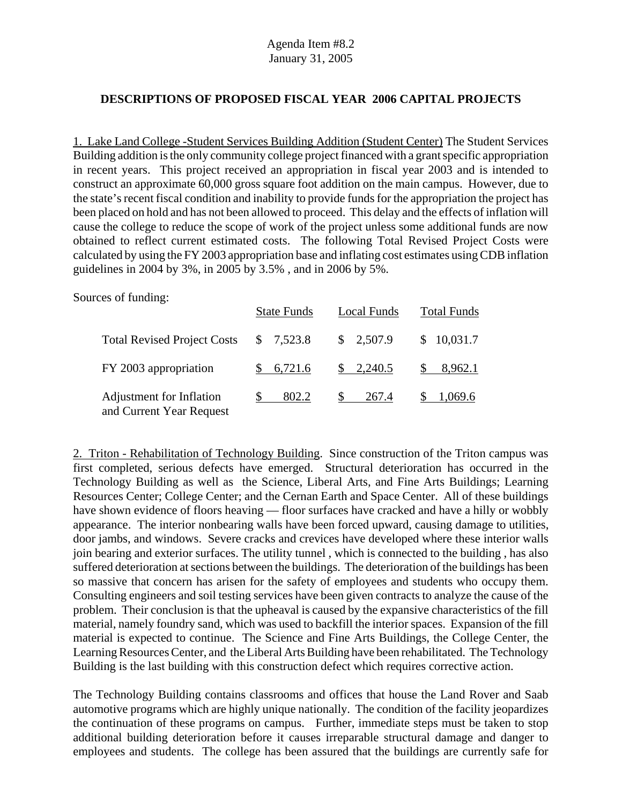### **DESCRIPTIONS OF PROPOSED FISCAL YEAR 2006 CAPITAL PROJECTS**

1. Lake Land College -Student Services Building Addition (Student Center) The Student Services Building addition is the only community college project financed with a grant specific appropriation in recent years. This project received an appropriation in fiscal year 2003 and is intended to construct an approximate 60,000 gross square foot addition on the main campus. However, due to the state's recent fiscal condition and inability to provide funds for the appropriation the project has been placed on hold and has not been allowed to proceed. This delay and the effects of inflation will cause the college to reduce the scope of work of the project unless some additional funds are now obtained to reflect current estimated costs. The following Total Revised Project Costs were calculated by using the FY 2003 appropriation base and inflating cost estimates using CDB inflation guidelines in 2004 by 3%, in 2005 by 3.5% , and in 2006 by 5%.

Sources of funding:

|                                                      | <b>State Funds</b> | Local Funds          | <b>Total Funds</b> |
|------------------------------------------------------|--------------------|----------------------|--------------------|
| <b>Total Revised Project Costs</b>                   | \$7,523.8          | \$2,507.9            | \$10,031.7         |
| FY 2003 appropriation                                | \$6,721.6          | $\frac{\$}{2,240.5}$ | $\$\,8.962.1$      |
| Adjustment for Inflation<br>and Current Year Request | 802.2              | S.<br>267.4          | 1,069.6            |

2. Triton - Rehabilitation of Technology Building. Since construction of the Triton campus was first completed, serious defects have emerged. Structural deterioration has occurred in the Technology Building as well as the Science, Liberal Arts, and Fine Arts Buildings; Learning Resources Center; College Center; and the Cernan Earth and Space Center. All of these buildings have shown evidence of floors heaving — floor surfaces have cracked and have a hilly or wobbly appearance. The interior nonbearing walls have been forced upward, causing damage to utilities, door jambs, and windows. Severe cracks and crevices have developed where these interior walls join bearing and exterior surfaces. The utility tunnel , which is connected to the building , has also suffered deterioration at sections between the buildings. The deterioration of the buildings has been so massive that concern has arisen for the safety of employees and students who occupy them. Consulting engineers and soil testing services have been given contracts to analyze the cause of the problem. Their conclusion is that the upheaval is caused by the expansive characteristics of the fill material, namely foundry sand, which was used to backfill the interior spaces. Expansion of the fill material is expected to continue. The Science and Fine Arts Buildings, the College Center, the Learning Resources Center, and the Liberal Arts Building have been rehabilitated. The Technology Building is the last building with this construction defect which requires corrective action.

The Technology Building contains classrooms and offices that house the Land Rover and Saab automotive programs which are highly unique nationally. The condition of the facility jeopardizes the continuation of these programs on campus. Further, immediate steps must be taken to stop additional building deterioration before it causes irreparable structural damage and danger to employees and students. The college has been assured that the buildings are currently safe for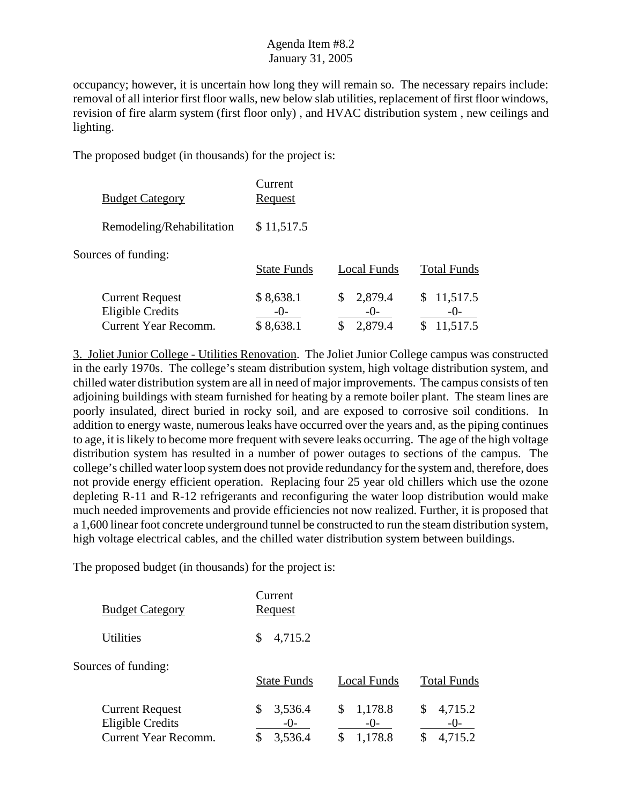occupancy; however, it is uncertain how long they will remain so. The necessary repairs include: removal of all interior first floor walls, new below slab utilities, replacement of first floor windows, revision of fire alarm system (first floor only) , and HVAC distribution system , new ceilings and lighting.

The proposed budget (in thousands) for the project is:

| <b>Budget Category</b>                                                           | Current<br>Request                |                                   |                                     |
|----------------------------------------------------------------------------------|-----------------------------------|-----------------------------------|-------------------------------------|
| Remodeling/Rehabilitation                                                        | \$11,517.5                        |                                   |                                     |
| Sources of funding:                                                              | <b>State Funds</b>                | Local Funds                       | <b>Total Funds</b>                  |
| <b>Current Request</b><br><b>Eligible Credits</b><br><b>Current Year Recomm.</b> | \$8,638.1<br>$-()$ -<br>\$8,638.1 | 2,879.4<br>\$<br>$-()$<br>2,879.4 | 11,517.5<br>\$<br>$-()$<br>11,517.5 |

3. Joliet Junior College - Utilities Renovation. The Joliet Junior College campus was constructed in the early 1970s. The college's steam distribution system, high voltage distribution system, and chilled water distribution system are all in need of major improvements. The campus consists of ten adjoining buildings with steam furnished for heating by a remote boiler plant. The steam lines are poorly insulated, direct buried in rocky soil, and are exposed to corrosive soil conditions. In addition to energy waste, numerous leaks have occurred over the years and, as the piping continues to age, it is likely to become more frequent with severe leaks occurring. The age of the high voltage distribution system has resulted in a number of power outages to sections of the campus. The college's chilled water loop system does not provide redundancy for the system and, therefore, does not provide energy efficient operation. Replacing four 25 year old chillers which use the ozone depleting R-11 and R-12 refrigerants and reconfiguring the water loop distribution would make much needed improvements and provide efficiencies not now realized. Further, it is proposed that a 1,600 linear foot concrete underground tunnel be constructed to run the steam distribution system, high voltage electrical cables, and the chilled water distribution system between buildings.

| <b>Budget Category</b>                                                           | Current<br><u>Request</u>                 |                                   |                                   |
|----------------------------------------------------------------------------------|-------------------------------------------|-----------------------------------|-----------------------------------|
| <b>Utilities</b>                                                                 | 4,715.2<br>\$                             |                                   |                                   |
| Sources of funding:                                                              | <b>State Funds</b>                        | Local Funds                       | <b>Total Funds</b>                |
| <b>Current Request</b><br><b>Eligible Credits</b><br><b>Current Year Recomm.</b> | 3,536.4<br>\$<br>$-()$ -<br>3,536.4<br>\$ | 1,178.8<br>\$<br>$-()$<br>1,178.8 | 4,715.2<br>\$<br>$-()$<br>4,715.2 |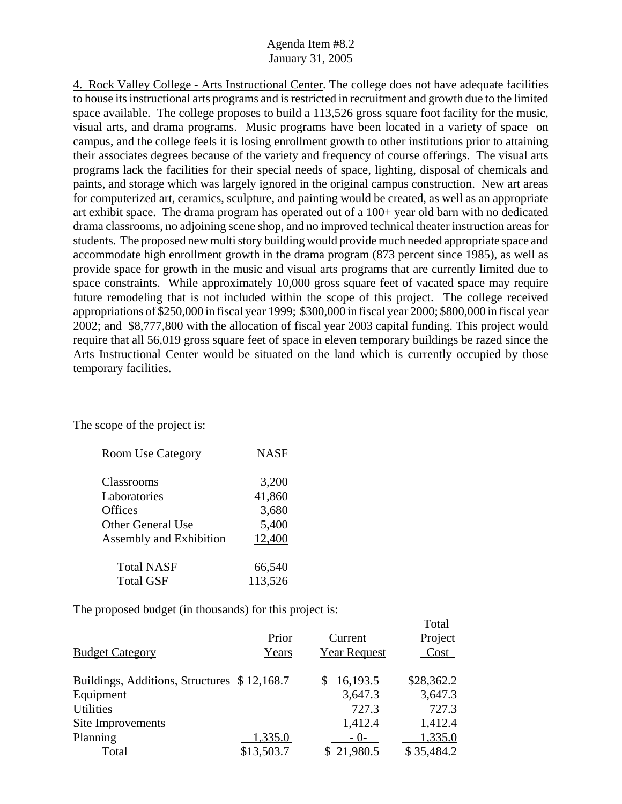4. Rock Valley College - Arts Instructional Center. The college does not have adequate facilities to house its instructional arts programs and is restricted in recruitment and growth due to the limited space available. The college proposes to build a 113,526 gross square foot facility for the music, visual arts, and drama programs. Music programs have been located in a variety of space on campus, and the college feels it is losing enrollment growth to other institutions prior to attaining their associates degrees because of the variety and frequency of course offerings. The visual arts programs lack the facilities for their special needs of space, lighting, disposal of chemicals and paints, and storage which was largely ignored in the original campus construction. New art areas for computerized art, ceramics, sculpture, and painting would be created, as well as an appropriate art exhibit space. The drama program has operated out of a 100+ year old barn with no dedicated drama classrooms, no adjoining scene shop, and no improved technical theater instruction areas for students. The proposed new multi story building would provide much needed appropriate space and accommodate high enrollment growth in the drama program (873 percent since 1985), as well as provide space for growth in the music and visual arts programs that are currently limited due to space constraints. While approximately 10,000 gross square feet of vacated space may require future remodeling that is not included within the scope of this project. The college received appropriations of \$250,000 in fiscal year 1999; \$300,000 in fiscal year 2000; \$800,000 in fiscal year 2002; and \$8,777,800 with the allocation of fiscal year 2003 capital funding. This project would require that all 56,019 gross square feet of space in eleven temporary buildings be razed since the Arts Instructional Center would be situated on the land which is currently occupied by those temporary facilities.

The scope of the project is:

| <b>Room Use Category</b> | <b>NASF</b> |
|--------------------------|-------------|
| Classrooms               | 3,200       |
| Laboratories             | 41,860      |
| Offices                  | 3,680       |
| <b>Other General Use</b> | 5,400       |
| Assembly and Exhibition  | 12,400      |
| <b>Total NASF</b>        | 66,540      |
| <b>Total GSF</b>         | 113,526     |

The proposed budget (in thousands) for this project is:

| <b>Budget Category</b>                      | Prior<br>Years | Current<br><b>Year Request</b> | TOtal<br>Project<br>Cost |
|---------------------------------------------|----------------|--------------------------------|--------------------------|
| Buildings, Additions, Structures \$12,168.7 |                | 16,193.5                       | \$28,362.2               |
| Equipment                                   |                | 3,647.3                        | 3,647.3                  |
| <b>Utilities</b>                            |                | 727.3                          | 727.3                    |
| Site Improvements                           |                | 1,412.4                        | 1,412.4                  |
| Planning                                    | 1,335.0        | $-()$ -                        | 1,335.0                  |
| Total                                       | \$13,503.7     | \$21,980.5                     | \$35,484.2               |

Total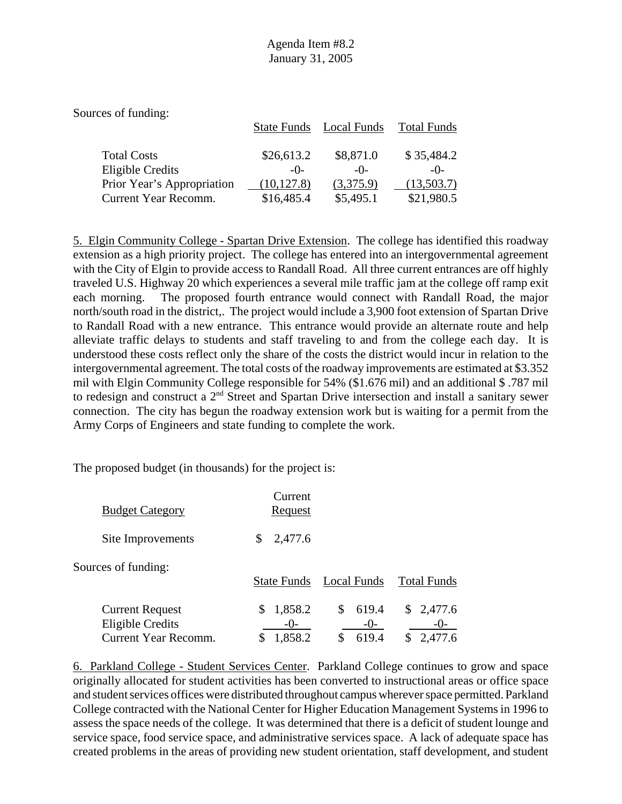| <b>State Funds</b> |            | <b>Total Funds</b>       |
|--------------------|------------|--------------------------|
|                    |            |                          |
|                    |            | \$35,484.2               |
| $-()$              | $-()$      | $-()$                    |
| (10, 127.8)        | (3,375.9)  | (13,503.7)               |
| \$16,485.4         | \$5,495.1  | \$21,980.5               |
|                    | \$26,613.2 | Local Funds<br>\$8,871.0 |

5. Elgin Community College - Spartan Drive Extension. The college has identified this roadway extension as a high priority project. The college has entered into an intergovernmental agreement with the City of Elgin to provide access to Randall Road. All three current entrances are off highly traveled U.S. Highway 20 which experiences a several mile traffic jam at the college off ramp exit each morning. The proposed fourth entrance would connect with Randall Road, the major north/south road in the district,. The project would include a 3,900 foot extension of Spartan Drive to Randall Road with a new entrance. This entrance would provide an alternate route and help alleviate traffic delays to students and staff traveling to and from the college each day. It is understood these costs reflect only the share of the costs the district would incur in relation to the intergovernmental agreement. The total costs of the roadway improvements are estimated at \$3.352 mil with Elgin Community College responsible for 54% (\$1.676 mil) and an additional \$ .787 mil to redesign and construct a 2<sup>nd</sup> Street and Spartan Drive intersection and install a sanitary sewer connection. The city has begun the roadway extension work but is waiting for a permit from the Army Corps of Engineers and state funding to complete the work.

The proposed budget (in thousands) for the project is:

| <b>Budget Category</b>                                                    | Current<br>Request               |                                     |                               |
|---------------------------------------------------------------------------|----------------------------------|-------------------------------------|-------------------------------|
| Site Improvements                                                         | 2,477.6<br>\$                    |                                     |                               |
| Sources of funding:                                                       | <b>State Funds</b>               | Local Funds                         | <b>Total Funds</b>            |
| <b>Current Request</b><br>Eligible Credits<br><b>Current Year Recomm.</b> | 1,858.2<br>S<br>$-()$<br>1,858.2 | 619.4<br>S.<br>$-()$<br>619.4<br>\$ | \$2,477.6<br>$-()$<br>2,477.6 |

6. Parkland College - Student Services Center. Parkland College continues to grow and space originally allocated for student activities has been converted to instructional areas or office space and student services offices were distributed throughout campus wherever space permitted. Parkland College contracted with the National Center for Higher Education Management Systems in 1996 to assess the space needs of the college. It was determined that there is a deficit of student lounge and service space, food service space, and administrative services space. A lack of adequate space has created problems in the areas of providing new student orientation, staff development, and student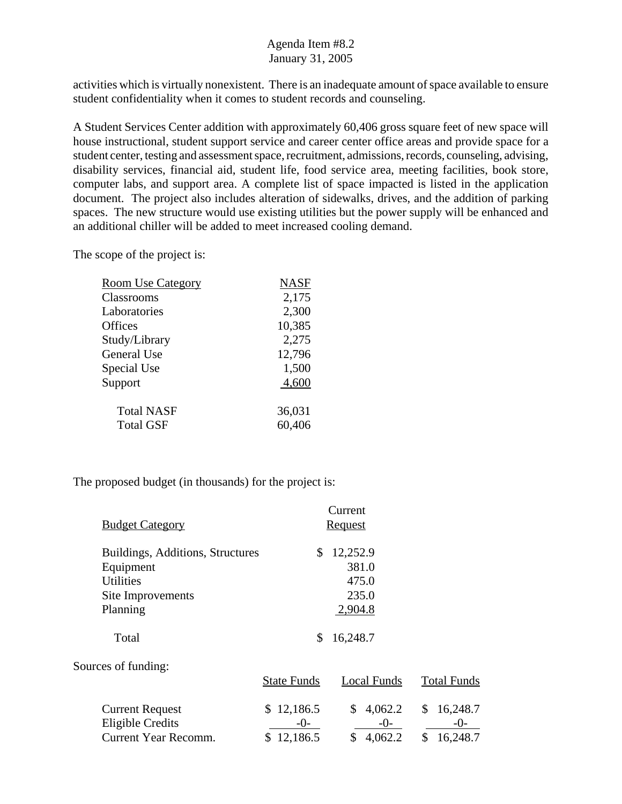activities which is virtually nonexistent. There is an inadequate amount of space available to ensure student confidentiality when it comes to student records and counseling.

A Student Services Center addition with approximately 60,406 gross square feet of new space will house instructional, student support service and career center office areas and provide space for a student center, testing and assessment space, recruitment, admissions, records, counseling, advising, disability services, financial aid, student life, food service area, meeting facilities, book store, computer labs, and support area. A complete list of space impacted is listed in the application document. The project also includes alteration of sidewalks, drives, and the addition of parking spaces. The new structure would use existing utilities but the power supply will be enhanced and an additional chiller will be added to meet increased cooling demand.

The scope of the project is:

| <b>Room Use Category</b> | <b>NASF</b> |
|--------------------------|-------------|
| Classrooms               | 2,175       |
| Laboratories             | 2,300       |
| Offices                  | 10,385      |
| Study/Library            | 2,275       |
| General Use              | 12,796      |
| Special Use              | 1,500       |
| Support                  | 4,600       |
| <b>Total NASF</b>        | 36,031      |
| <b>Total GSF</b>         | 60,406      |

|                                  |                    | Current        |                    |
|----------------------------------|--------------------|----------------|--------------------|
| <b>Budget Category</b>           |                    | <b>Request</b> |                    |
| Buildings, Additions, Structures | \$                 | 12,252.9       |                    |
| Equipment                        |                    | 381.0          |                    |
| <b>Utilities</b>                 |                    | 475.0          |                    |
| Site Improvements                |                    | 235.0          |                    |
| Planning                         |                    | 2,904.8        |                    |
| Total                            | \$                 | 16,248.7       |                    |
| Sources of funding:              |                    |                |                    |
|                                  | <b>State Funds</b> | Local Funds    | <b>Total Funds</b> |
| <b>Current Request</b>           | 12,186.5<br>S.     | 4,062.2<br>\$  | 16,248.7<br>\$     |
| <b>Eligible Credits</b>          | $-()$ -            | $-()$ -        | $-()$              |
| <b>Current Year Recomm.</b>      | 12,186.5<br>\$.    | 4,062.2<br>\$  | \$<br>16,248.7     |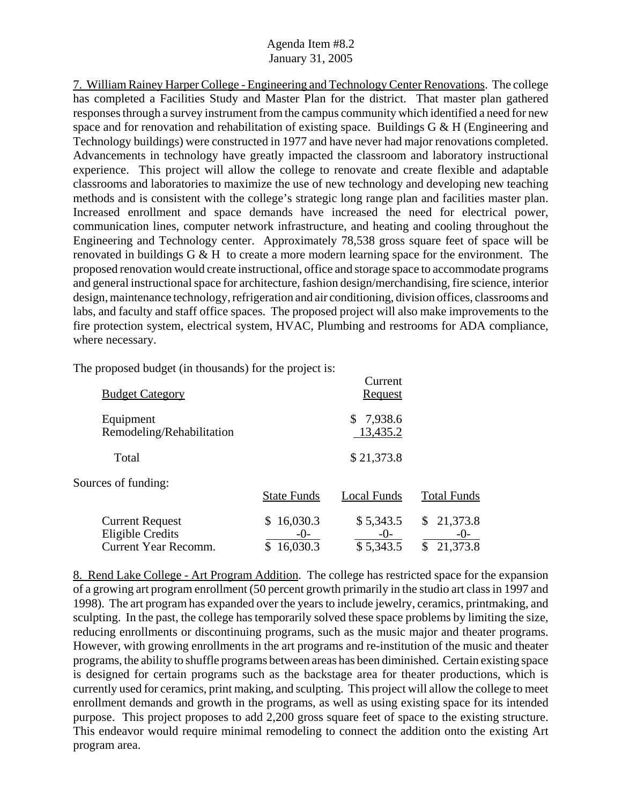7. William Rainey Harper College - Engineering and Technology Center Renovations. The college has completed a Facilities Study and Master Plan for the district. That master plan gathered responses through a survey instrument from the campus community which identified a need for new space and for renovation and rehabilitation of existing space. Buildings G & H (Engineering and Technology buildings) were constructed in 1977 and have never had major renovations completed. Advancements in technology have greatly impacted the classroom and laboratory instructional experience. This project will allow the college to renovate and create flexible and adaptable classrooms and laboratories to maximize the use of new technology and developing new teaching methods and is consistent with the college's strategic long range plan and facilities master plan. Increased enrollment and space demands have increased the need for electrical power, communication lines, computer network infrastructure, and heating and cooling throughout the Engineering and Technology center. Approximately 78,538 gross square feet of space will be renovated in buildings G & H to create a more modern learning space for the environment. The proposed renovation would create instructional, office and storage space to accommodate programs and general instructional space for architecture, fashion design/merchandising, fire science, interior design, maintenance technology, refrigeration and air conditioning, division offices, classrooms and labs, and faculty and staff office spaces. The proposed project will also make improvements to the fire protection system, electrical system, HVAC, Plumbing and restrooms for ADA compliance, where necessary.

Current

The proposed budget (in thousands) for the project is:

| <b>Budget Category</b>                                                           |                                 | Cuncil<br>Request               |                                            |
|----------------------------------------------------------------------------------|---------------------------------|---------------------------------|--------------------------------------------|
| Equipment<br>Remodeling/Rehabilitation                                           |                                 | \$7,938.6<br>13,435.2           |                                            |
| Total                                                                            |                                 | \$21,373.8                      |                                            |
| Sources of funding:                                                              | <b>State Funds</b>              | Local Funds                     | <b>Total Funds</b>                         |
| <b>Current Request</b><br><b>Eligible Credits</b><br><b>Current Year Recomm.</b> | \$16,030.3<br>$-()$<br>16,030.3 | \$5,343.5<br>$-()$<br>\$5,343.5 | 21,373.8<br>\$<br>$-()$ -<br>21,373.8<br>S |

8. Rend Lake College - Art Program Addition. The college has restricted space for the expansion of a growing art program enrollment (50 percent growth primarily in the studio art class in 1997 and 1998). The art program has expanded over the years to include jewelry, ceramics, printmaking, and sculpting. In the past, the college has temporarily solved these space problems by limiting the size, reducing enrollments or discontinuing programs, such as the music major and theater programs. However, with growing enrollments in the art programs and re-institution of the music and theater programs, the ability to shuffle programs between areas has been diminished. Certain existing space is designed for certain programs such as the backstage area for theater productions, which is currently used for ceramics, print making, and sculpting. This project will allow the college to meet enrollment demands and growth in the programs, as well as using existing space for its intended purpose. This project proposes to add 2,200 gross square feet of space to the existing structure. This endeavor would require minimal remodeling to connect the addition onto the existing Art program area.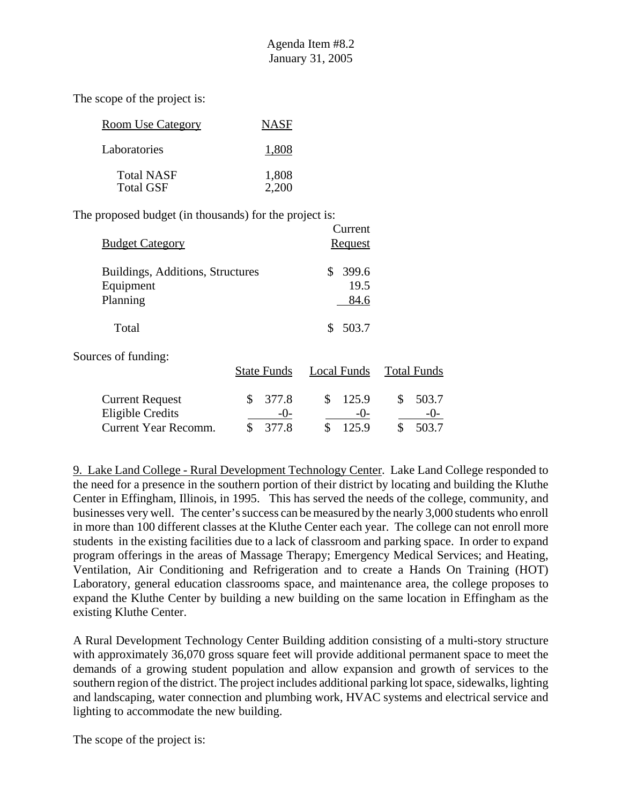The scope of the project is:

| <b>Room Use Category</b>              | <b>NASF</b>    |
|---------------------------------------|----------------|
| Laboratories                          | 1,808          |
| <b>Total NASF</b><br><b>Total GSF</b> | 1,808<br>2,200 |

The proposed budget (in thousands) for the project is:

| <b>Budget Category</b>                                    |                      | Current<br><b>Request</b>   |                    |
|-----------------------------------------------------------|----------------------|-----------------------------|--------------------|
| Buildings, Additions, Structures<br>Equipment<br>Planning |                      | 399.6<br>S.<br>19.5<br>84.6 |                    |
| Total                                                     |                      | 503.7<br>\$                 |                    |
| Sources of funding:                                       | <b>State Funds</b>   | Local Funds                 | <b>Total Funds</b> |
| <b>Current Request</b><br><b>Eligible Credits</b>         | \$<br>377.8<br>$-()$ | \$<br>125.9<br>$-()$        | \$<br>503.7        |

Current Year Recomm. \$ 377.8 \$ 125.9 \$ 503.7

9. Lake Land College - Rural Development Technology Center. Lake Land College responded to the need for a presence in the southern portion of their district by locating and building the Kluthe Center in Effingham, Illinois, in 1995. This has served the needs of the college, community, and businesses very well. The center's success can be measured by the nearly 3,000 students who enroll in more than 100 different classes at the Kluthe Center each year. The college can not enroll more students in the existing facilities due to a lack of classroom and parking space. In order to expand program offerings in the areas of Massage Therapy; Emergency Medical Services; and Heating, Ventilation, Air Conditioning and Refrigeration and to create a Hands On Training (HOT) Laboratory, general education classrooms space, and maintenance area, the college proposes to expand the Kluthe Center by building a new building on the same location in Effingham as the existing Kluthe Center.

A Rural Development Technology Center Building addition consisting of a multi-story structure with approximately 36,070 gross square feet will provide additional permanent space to meet the demands of a growing student population and allow expansion and growth of services to the southern region of the district. The project includes additional parking lot space, sidewalks, lighting and landscaping, water connection and plumbing work, HVAC systems and electrical service and lighting to accommodate the new building.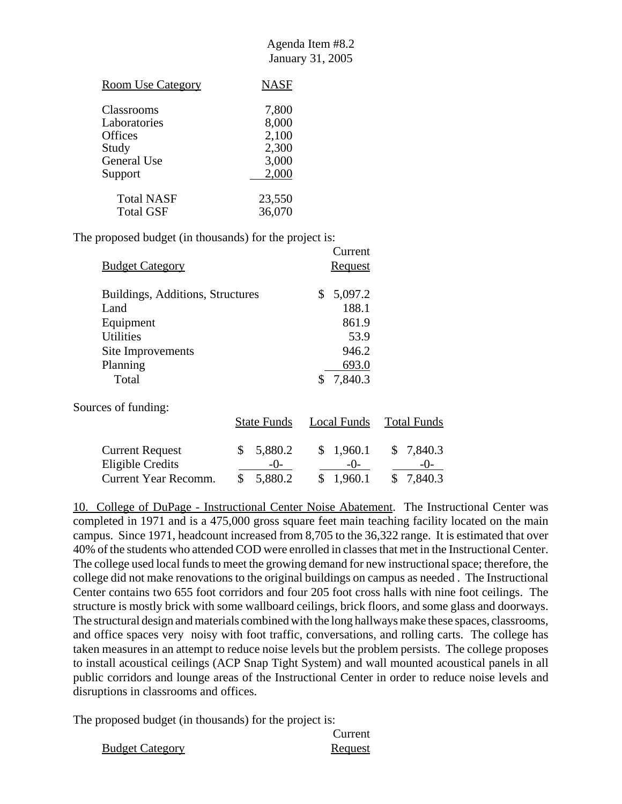$C$ urrant

| <b>Room Use Category</b> | <b>NASF</b> |
|--------------------------|-------------|
| <b>Classrooms</b>        | 7,800       |
| Laboratories             | 8,000       |
| <b>Offices</b>           | 2,100       |
| Study                    | 2,300       |
| <b>General Use</b>       | 3,000       |
| Support                  | 2,000       |
| <b>Total NASF</b>        | 23,550      |
| <b>Total GSF</b>         | 36,070      |

The proposed budget (in thousands) for the project is:

|                                  |                    | Cuncin         |                    |
|----------------------------------|--------------------|----------------|--------------------|
| <b>Budget Category</b>           |                    | <b>Request</b> |                    |
| Buildings, Additions, Structures |                    | 5,097.2<br>\$  |                    |
| Land                             |                    | 188.1          |                    |
| Equipment                        |                    | 861.9          |                    |
| <b>Utilities</b>                 |                    | 53.9           |                    |
| Site Improvements                |                    | 946.2          |                    |
| Planning                         |                    | 693.0          |                    |
| Total                            |                    | 7,840.3<br>\$  |                    |
| Sources of funding:              |                    |                |                    |
|                                  | <b>State Funds</b> | Local Funds    | <b>Total Funds</b> |
| <b>Current Request</b>           | \$<br>5,880.2      | 1,960.1<br>\$  | 7,840.3            |
| <b>Eligible Credits</b>          | -0-                | $-0-$          | $-()$ -            |
| Current Year Recomm.             | \$<br>5,880.2      | \$<br>1,960.1  | \$<br>7,840.3      |

10. College of DuPage - Instructional Center Noise Abatement. The Instructional Center was completed in 1971 and is a 475,000 gross square feet main teaching facility located on the main campus. Since 1971, headcount increased from 8,705 to the 36,322 range. It is estimated that over 40% of the students who attended COD were enrolled in classes that met in the Instructional Center. The college used local funds to meet the growing demand for new instructional space; therefore, the college did not make renovations to the original buildings on campus as needed . The Instructional Center contains two 655 foot corridors and four 205 foot cross halls with nine foot ceilings. The structure is mostly brick with some wallboard ceilings, brick floors, and some glass and doorways. The structural design and materials combined with the long hallways make these spaces, classrooms, and office spaces very noisy with foot traffic, conversations, and rolling carts. The college has taken measures in an attempt to reduce noise levels but the problem persists. The college proposes to install acoustical ceilings (ACP Snap Tight System) and wall mounted acoustical panels in all public corridors and lounge areas of the Instructional Center in order to reduce noise levels and disruptions in classrooms and offices.

|                        | Current |
|------------------------|---------|
| <b>Budget Category</b> | Request |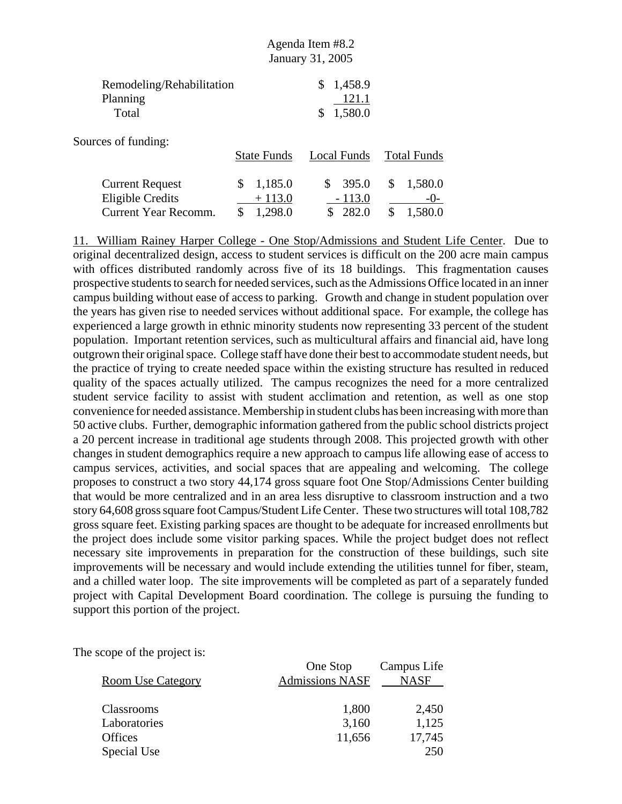|                                                                           | Agenda Item #8.2<br>January 31, 2005       |                                         |                                           |
|---------------------------------------------------------------------------|--------------------------------------------|-----------------------------------------|-------------------------------------------|
| Remodeling/Rehabilitation<br>Planning<br>Total                            |                                            | 1,458.9<br>\$<br>121.1<br>1,580.0<br>\$ |                                           |
| Sources of funding:                                                       | <b>State Funds</b>                         | Local Funds                             | <b>Total Funds</b>                        |
| <b>Current Request</b><br><b>Eligible Credits</b><br>Current Year Recomm. | \$<br>1,185.0<br>$+113.0$<br>\$<br>1,298.0 | \$<br>395.0<br>$-113.0$<br>282.0        | \$<br>1,580.0<br>$-()$ -<br>\$<br>1,580.0 |

11. William Rainey Harper College - One Stop/Admissions and Student Life Center. Due to original decentralized design, access to student services is difficult on the 200 acre main campus with offices distributed randomly across five of its 18 buildings. This fragmentation causes prospective students to search for needed services, such as the Admissions Office located in an inner campus building without ease of access to parking. Growth and change in student population over the years has given rise to needed services without additional space. For example, the college has experienced a large growth in ethnic minority students now representing 33 percent of the student population. Important retention services, such as multicultural affairs and financial aid, have long outgrown their original space. College staff have done their best to accommodate student needs, but the practice of trying to create needed space within the existing structure has resulted in reduced quality of the spaces actually utilized. The campus recognizes the need for a more centralized student service facility to assist with student acclimation and retention, as well as one stop convenience for needed assistance. Membership in student clubs has been increasing with more than 50 active clubs. Further, demographic information gathered from the public school districts project a 20 percent increase in traditional age students through 2008. This projected growth with other changes in student demographics require a new approach to campus life allowing ease of access to campus services, activities, and social spaces that are appealing and welcoming. The college proposes to construct a two story 44,174 gross square foot One Stop/Admissions Center building that would be more centralized and in an area less disruptive to classroom instruction and a two story 64,608 gross square foot Campus/Student Life Center. These two structures will total 108,782 gross square feet. Existing parking spaces are thought to be adequate for increased enrollments but the project does include some visitor parking spaces. While the project budget does not reflect necessary site improvements in preparation for the construction of these buildings, such site improvements will be necessary and would include extending the utilities tunnel for fiber, steam, and a chilled water loop. The site improvements will be completed as part of a separately funded project with Capital Development Board coordination. The college is pursuing the funding to support this portion of the project.

| The scope of the project is: |  |  |  |
|------------------------------|--|--|--|
|------------------------------|--|--|--|

|                          | One Stop               | Campus Life |
|--------------------------|------------------------|-------------|
| <b>Room Use Category</b> | <b>Admissions NASF</b> | <b>NASF</b> |
| Classrooms               | 1,800                  | 2,450       |
| Laboratories             | 3,160                  | 1,125       |
| <b>Offices</b>           | 11,656                 | 17,745      |
| Special Use              |                        | 250         |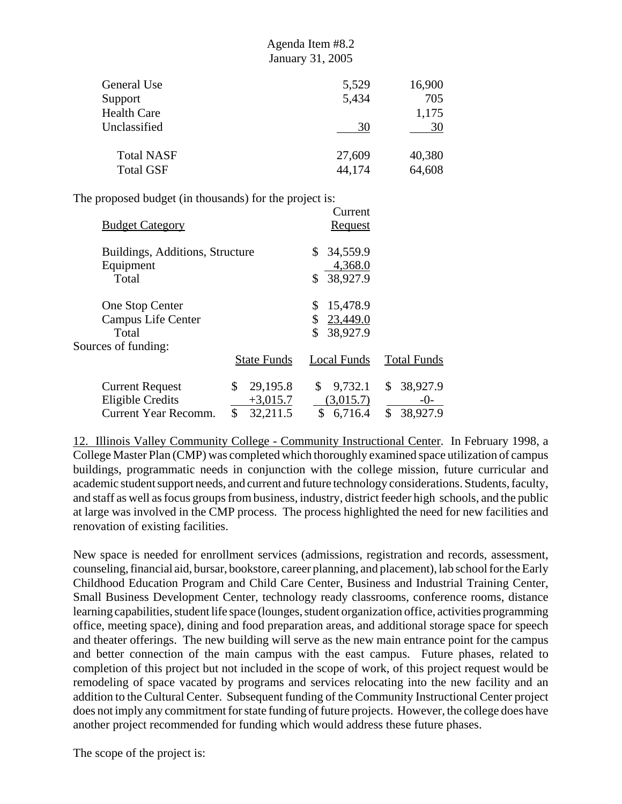| General Use       | 5,529  | 16,900 |
|-------------------|--------|--------|
|                   |        |        |
| Support           | 5,434  | 705    |
| Health Care       |        | 1,175  |
| Unclassified      | 30     | 30     |
| <b>Total NASF</b> | 27,609 | 40,380 |
| <b>Total GSF</b>  | 44,174 | 64,608 |

The proposed budget (in thousands) for the project is:

| <b>Budget Category</b>                                                           |                                                | Current<br><u>Request</u>                    |                                           |
|----------------------------------------------------------------------------------|------------------------------------------------|----------------------------------------------|-------------------------------------------|
| Buildings, Additions, Structure<br>Equipment<br>Total                            |                                                | 34,559.9<br>S.<br>4,368.0<br>38,927.9        |                                           |
| One Stop Center<br>Campus Life Center<br>Total                                   |                                                | 15,478.9<br>\$<br>23,449.0<br>38,927.9<br>\$ |                                           |
| Sources of funding:                                                              | <b>State Funds</b>                             | Local Funds                                  | <b>Total Funds</b>                        |
| <b>Current Request</b><br><b>Eligible Credits</b><br><b>Current Year Recomm.</b> | 29,195.8<br>\$<br>$+3,015.7$<br>\$<br>32,211.5 | \$<br>9,732.1<br>(3,015.7)<br>\$<br>6,716.4  | 38,927.9<br>\$<br>$-0-$<br>\$<br>38,927.9 |

12. Illinois Valley Community College - Community Instructional Center. In February 1998, a College Master Plan (CMP) was completed which thoroughly examined space utilization of campus buildings, programmatic needs in conjunction with the college mission, future curricular and academic student support needs, and current and future technology considerations. Students, faculty, and staff as well as focus groups from business, industry, district feeder high schools, and the public at large was involved in the CMP process. The process highlighted the need for new facilities and renovation of existing facilities.

New space is needed for enrollment services (admissions, registration and records, assessment, counseling, financial aid, bursar, bookstore, career planning, and placement), lab school for the Early Childhood Education Program and Child Care Center, Business and Industrial Training Center, Small Business Development Center, technology ready classrooms, conference rooms, distance learning capabilities, student life space (lounges, student organization office, activities programming office, meeting space), dining and food preparation areas, and additional storage space for speech and theater offerings. The new building will serve as the new main entrance point for the campus and better connection of the main campus with the east campus. Future phases, related to completion of this project but not included in the scope of work, of this project request would be remodeling of space vacated by programs and services relocating into the new facility and an addition to the Cultural Center. Subsequent funding of the Community Instructional Center project does not imply any commitment for state funding of future projects. However, the college does have another project recommended for funding which would address these future phases.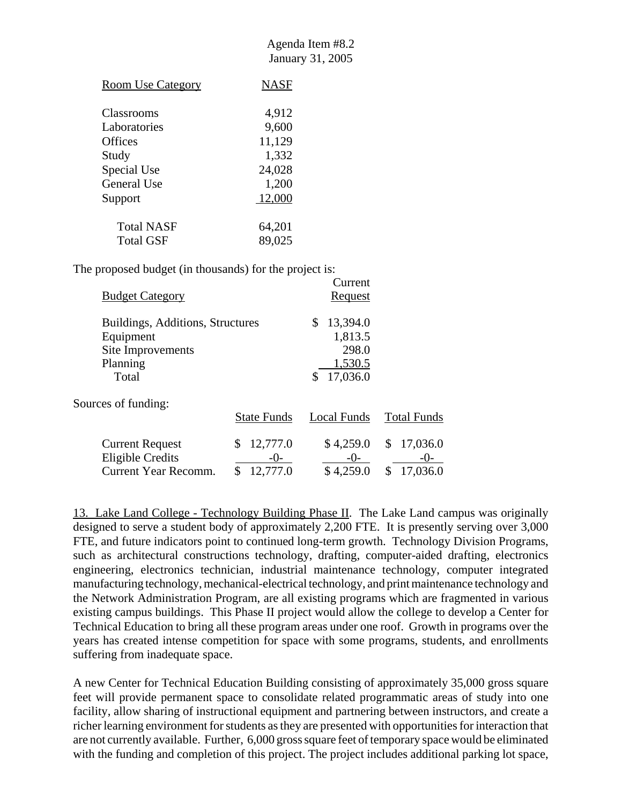| <b>Room Use Category</b> | <b>NASF</b> |
|--------------------------|-------------|
| Classrooms               | 4,912       |
| Laboratories             | 9,600       |
| <b>Offices</b>           | 11,129      |
| Study                    | 1,332       |
| Special Use              | 24,028      |
| General Use              | 1,200       |
| Support                  | 12,000      |
| <b>Total NASF</b>        | 64,201      |
| Total GSF                | 89,025      |

The proposed budget (in thousands) for the project is:

| <b>Budget Category</b>                                                                  |                                       | Current<br>Request                                        |                                           |
|-----------------------------------------------------------------------------------------|---------------------------------------|-----------------------------------------------------------|-------------------------------------------|
| Buildings, Additions, Structures<br>Equipment<br>Site Improvements<br>Planning<br>Total |                                       | 13,394.0<br>\$<br>1,813.5<br>298.0<br>1,530.5<br>17,036.0 |                                           |
| Sources of funding:                                                                     | <b>State Funds</b>                    | Local Funds                                               | <b>Total Funds</b>                        |
| <b>Current Request</b><br><b>Eligible Credits</b><br>Current Year Recomm.               | 12,777.0<br>\$<br>$-()$ -<br>12,777.0 | \$4,259.0<br>$-()$ -<br>\$4,259.0                         | 17,036.0<br>\$<br>$-0-$<br>17,036.0<br>\$ |

13. Lake Land College - Technology Building Phase II. The Lake Land campus was originally designed to serve a student body of approximately 2,200 FTE. It is presently serving over 3,000 FTE, and future indicators point to continued long-term growth. Technology Division Programs, such as architectural constructions technology, drafting, computer-aided drafting, electronics engineering, electronics technician, industrial maintenance technology, computer integrated manufacturing technology, mechanical-electrical technology, and print maintenance technology and the Network Administration Program, are all existing programs which are fragmented in various existing campus buildings. This Phase II project would allow the college to develop a Center for Technical Education to bring all these program areas under one roof. Growth in programs over the years has created intense competition for space with some programs, students, and enrollments suffering from inadequate space.

A new Center for Technical Education Building consisting of approximately 35,000 gross square feet will provide permanent space to consolidate related programmatic areas of study into one facility, allow sharing of instructional equipment and partnering between instructors, and create a richer learning environment for students as they are presented with opportunities for interaction that are not currently available. Further, 6,000 gross square feet of temporary space would be eliminated with the funding and completion of this project. The project includes additional parking lot space,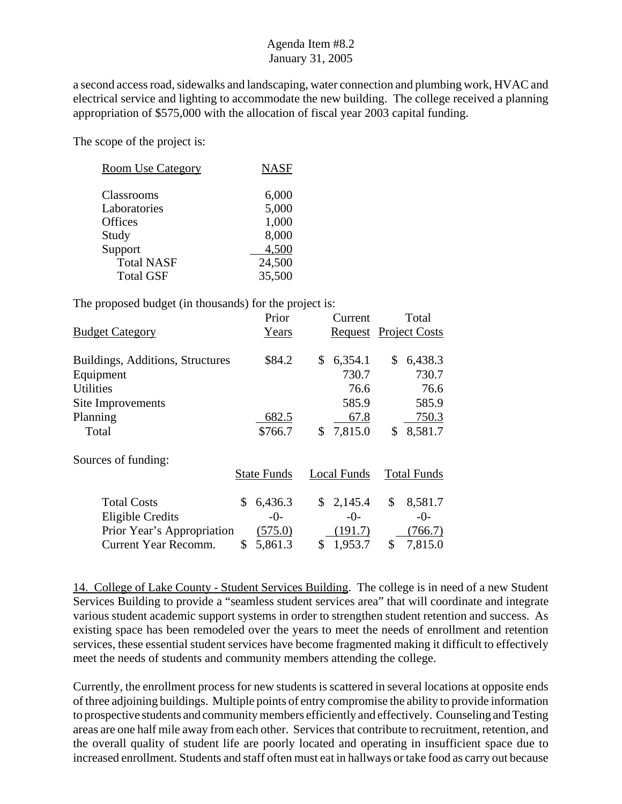a second access road, sidewalks and landscaping, water connection and plumbing work, HVAC and electrical service and lighting to accommodate the new building. The college received a planning appropriation of \$575,000 with the allocation of fiscal year 2003 capital funding.

The scope of the project is:

| <b>Room Use Category</b> | <b>NASF</b> |
|--------------------------|-------------|
| Classrooms               | 6,000       |
| Laboratories             | 5,000       |
| <b>Offices</b>           | 1,000       |
| Study                    | 8,000       |
| Support                  | 4,500       |
| <b>Total NASF</b>        | 24,500      |
| <b>Total GSF</b>         | 35,500      |

The proposed budget (in thousands) for the project is:

|                                  | Prior              |    | Current                      | Total              |
|----------------------------------|--------------------|----|------------------------------|--------------------|
| <b>Budget Category</b>           | Years              |    | <b>Request</b> Project Costs |                    |
|                                  |                    |    |                              |                    |
| Buildings, Additions, Structures | \$84.2             | \$ | 6,354.1                      | \$<br>6,438.3      |
| Equipment                        |                    |    | 730.7                        | 730.7              |
| <b>Utilities</b>                 |                    |    | 76.6                         | 76.6               |
| Site Improvements                |                    |    | 585.9                        | 585.9              |
| Planning                         | 682.5              |    | 67.8                         | 750.3              |
| Total                            | \$766.7            | S. | 7,815.0                      | \$<br>8,581.7      |
| Sources of funding:              |                    |    |                              |                    |
|                                  | <b>State Funds</b> |    | <b>Local Funds</b>           | <b>Total Funds</b> |
| <b>Total Costs</b>               | \$<br>6,436.3      | \$ | 2,145.4                      | \$<br>8,581.7      |
| <b>Eligible Credits</b>          | $-0-$              |    | $-0-$                        | $-0-$              |
| Prior Year's Appropriation       | (575.0)            |    | (191.7)                      | (766.7)            |
| Current Year Recomm.             | \$<br>5,861.3      | \$ | 1,953.7                      | \$<br>7,815.0      |

14. College of Lake County - Student Services Building. The college is in need of a new Student Services Building to provide a "seamless student services area" that will coordinate and integrate various student academic support systems in order to strengthen student retention and success. As existing space has been remodeled over the years to meet the needs of enrollment and retention services, these essential student services have become fragmented making it difficult to effectively meet the needs of students and community members attending the college.

Currently, the enrollment process for new students is scattered in several locations at opposite ends of three adjoining buildings. Multiple points of entry compromise the ability to provide information to prospective students and community members efficiently and effectively. Counseling and Testing areas are one half mile away from each other. Services that contribute to recruitment, retention, and the overall quality of student life are poorly located and operating in insufficient space due to increased enrollment. Students and staff often must eat in hallways or take food as carry out because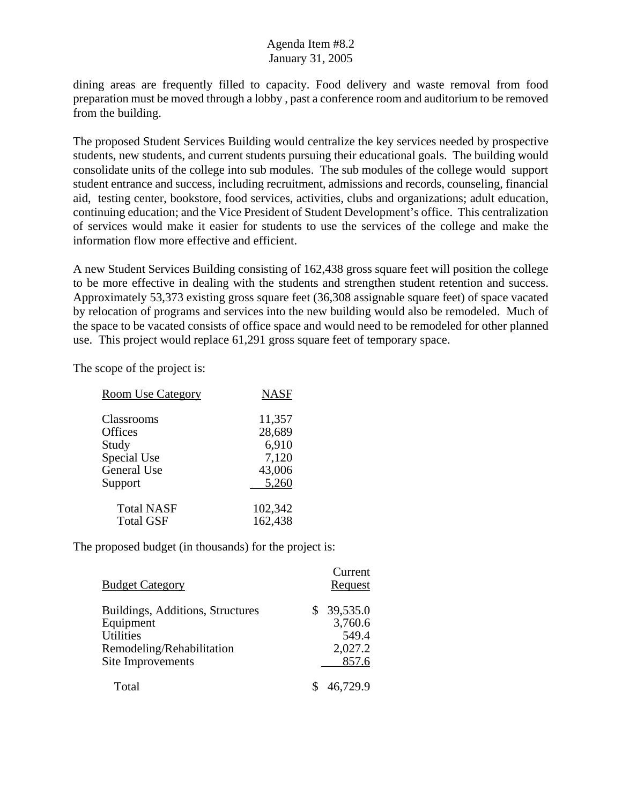dining areas are frequently filled to capacity. Food delivery and waste removal from food preparation must be moved through a lobby , past a conference room and auditorium to be removed from the building.

The proposed Student Services Building would centralize the key services needed by prospective students, new students, and current students pursuing their educational goals. The building would consolidate units of the college into sub modules. The sub modules of the college would support student entrance and success, including recruitment, admissions and records, counseling, financial aid, testing center, bookstore, food services, activities, clubs and organizations; adult education, continuing education; and the Vice President of Student Development's office. This centralization of services would make it easier for students to use the services of the college and make the information flow more effective and efficient.

A new Student Services Building consisting of 162,438 gross square feet will position the college to be more effective in dealing with the students and strengthen student retention and success. Approximately 53,373 existing gross square feet (36,308 assignable square feet) of space vacated by relocation of programs and services into the new building would also be remodeled. Much of the space to be vacated consists of office space and would need to be remodeled for other planned use. This project would replace 61,291 gross square feet of temporary space.

The scope of the project is:

| <b>Room Use Category</b> | <b>NASF</b> |
|--------------------------|-------------|
| Classrooms               | 11,357      |
| Offices                  | 28,689      |
| Study                    | 6,910       |
| Special Use              | 7,120       |
| <b>General Use</b>       | 43,006      |
| Support                  | 5,260       |
| <b>Total NASF</b>        | 102,342     |
| <b>Total GSF</b>         | 162,438     |

| <b>Budget Category</b>                                                                                              | Current<br>Request                                 |
|---------------------------------------------------------------------------------------------------------------------|----------------------------------------------------|
| Buildings, Additions, Structures<br>Equipment<br><b>Utilities</b><br>Remodeling/Rehabilitation<br>Site Improvements | \$39,535.0<br>3,760.6<br>549.4<br>2,027.2<br>857.6 |
| Total                                                                                                               | 46,729.9                                           |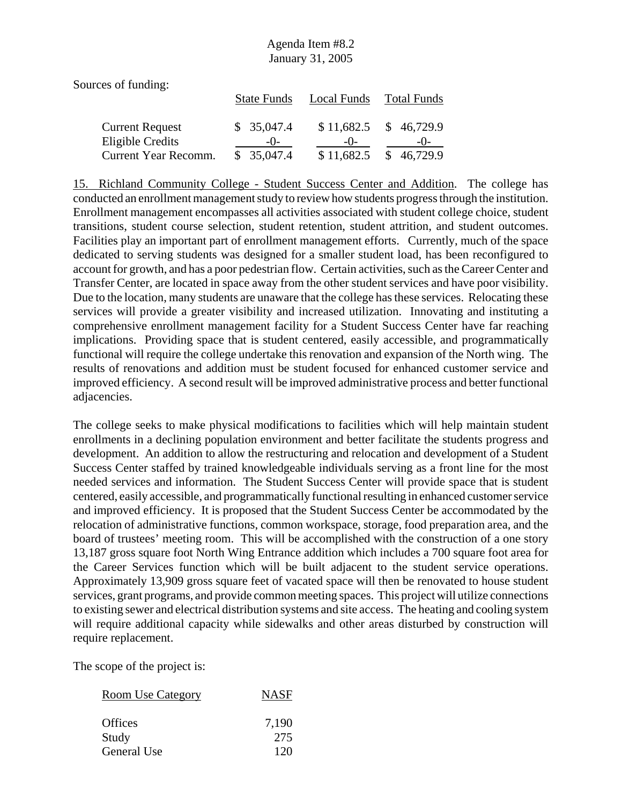Sources of funding:

|                                            | <b>State Funds</b>  | Local Funds         | <b>Total Funds</b>  |
|--------------------------------------------|---------------------|---------------------|---------------------|
| <b>Current Request</b><br>Eligible Credits | \$35,047.4<br>$-()$ | \$11,682.5<br>$-()$ | \$46,729.9<br>$-()$ |
| Current Year Recomm.                       | \$35,047.4          | \$11,682.5          | \$46,729.9          |

15. Richland Community College - Student Success Center and Addition. The college has conducted an enrollment management study to review how students progress through the institution. Enrollment management encompasses all activities associated with student college choice, student transitions, student course selection, student retention, student attrition, and student outcomes. Facilities play an important part of enrollment management efforts. Currently, much of the space dedicated to serving students was designed for a smaller student load, has been reconfigured to account for growth, and has a poor pedestrian flow. Certain activities, such as the Career Center and Transfer Center, are located in space away from the other student services and have poor visibility. Due to the location, many students are unaware that the college has these services. Relocating these services will provide a greater visibility and increased utilization. Innovating and instituting a comprehensive enrollment management facility for a Student Success Center have far reaching implications. Providing space that is student centered, easily accessible, and programmatically functional will require the college undertake this renovation and expansion of the North wing. The results of renovations and addition must be student focused for enhanced customer service and improved efficiency. A second result will be improved administrative process and better functional adjacencies.

The college seeks to make physical modifications to facilities which will help maintain student enrollments in a declining population environment and better facilitate the students progress and development. An addition to allow the restructuring and relocation and development of a Student Success Center staffed by trained knowledgeable individuals serving as a front line for the most needed services and information. The Student Success Center will provide space that is student centered, easily accessible, and programmatically functional resulting in enhanced customer service and improved efficiency. It is proposed that the Student Success Center be accommodated by the relocation of administrative functions, common workspace, storage, food preparation area, and the board of trustees' meeting room. This will be accomplished with the construction of a one story 13,187 gross square foot North Wing Entrance addition which includes a 700 square foot area for the Career Services function which will be built adjacent to the student service operations. Approximately 13,909 gross square feet of vacated space will then be renovated to house student services, grant programs, and provide common meeting spaces. This project will utilize connections to existing sewer and electrical distribution systems and site access. The heating and cooling system will require additional capacity while sidewalks and other areas disturbed by construction will require replacement.

| <b>Room Use Category</b> | <b>NASF</b> |
|--------------------------|-------------|
| Offices                  | 7,190       |
| Study                    | 275         |
| General Use              | 120         |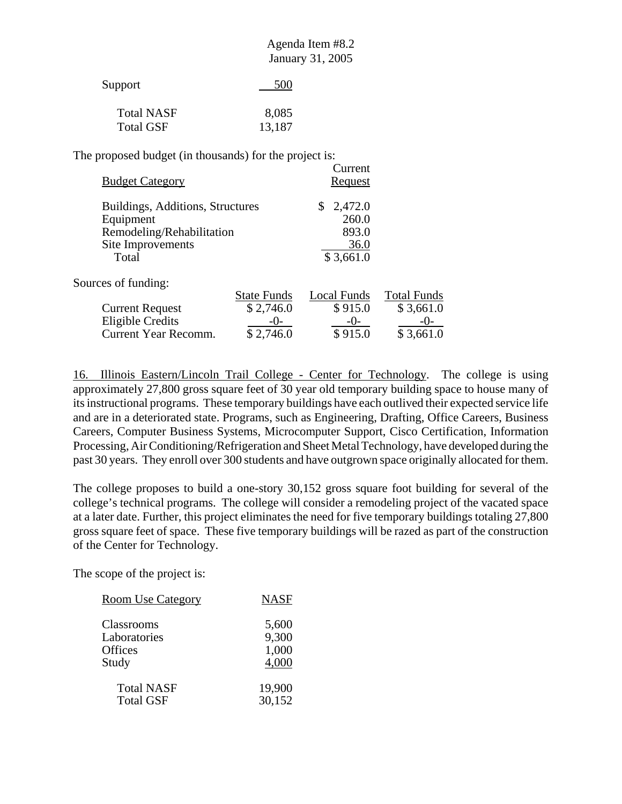| Agenda Item #8.2 |  |
|------------------|--|
| January 31, 2005 |  |

| Support           | 500    |
|-------------------|--------|
| <b>Total NASF</b> | 8,085  |
| <b>Total GSF</b>  | 13,187 |

| <b>Budget Category</b>           |                    | Current<br>Request |                    |
|----------------------------------|--------------------|--------------------|--------------------|
| Buildings, Additions, Structures |                    | 2,472.0<br>\$      |                    |
| Equipment                        |                    | 260.0              |                    |
| Remodeling/Rehabilitation        |                    | 893.0              |                    |
| Site Improvements                |                    | 36.0               |                    |
| Total                            |                    | \$3,661.0          |                    |
| Sources of funding:              |                    |                    |                    |
|                                  | <b>State Funds</b> | Local Funds        | <b>Total Funds</b> |
| <b>Current Request</b>           | \$2,746.0          | \$915.0            | \$3,661.0          |
| <b>Eligible Credits</b>          | -0-                | $-()$ -            | $-()$ -            |
| Current Year Recomm.             | \$2,746.0          | \$915.0            | \$3,661.0          |

16. Illinois Eastern/Lincoln Trail College - Center for Technology. The college is using approximately 27,800 gross square feet of 30 year old temporary building space to house many of its instructional programs. These temporary buildings have each outlived their expected service life and are in a deteriorated state. Programs, such as Engineering, Drafting, Office Careers, Business Careers, Computer Business Systems, Microcomputer Support, Cisco Certification, Information Processing, Air Conditioning/Refrigeration and Sheet Metal Technology, have developed during the past 30 years. They enroll over 300 students and have outgrown space originally allocated for them.

The college proposes to build a one-story 30,152 gross square foot building for several of the college's technical programs. The college will consider a remodeling project of the vacated space at a later date. Further, this project eliminates the need for five temporary buildings totaling 27,800 gross square feet of space. These five temporary buildings will be razed as part of the construction of the Center for Technology.

| <b>Room Use Category</b> | <b>NASF</b> |
|--------------------------|-------------|
| Classrooms               | 5,600       |
| Laboratories             | 9,300       |
| Offices                  | 1,000       |
| Study                    | 4,000       |
| <b>Total NASF</b>        | 19,900      |
| <b>Total GSF</b>         | 30,152      |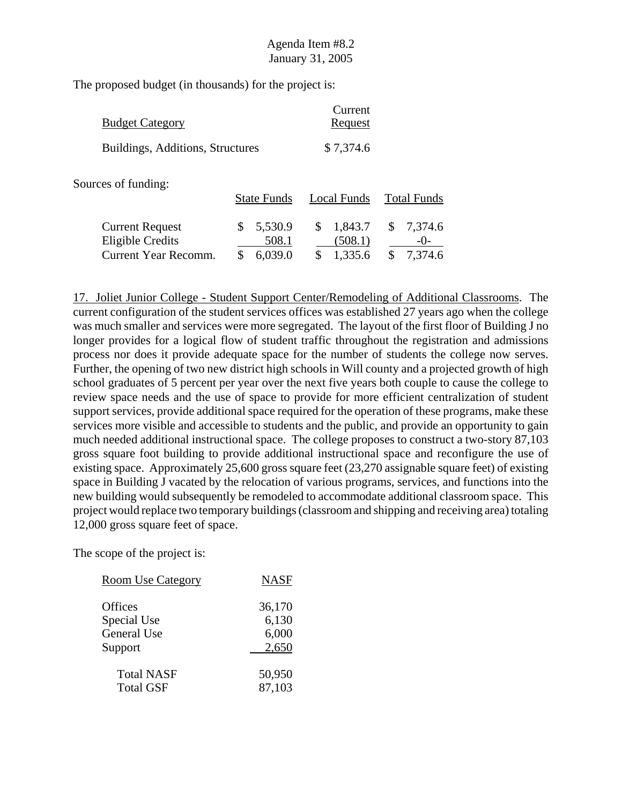| <b>Budget Category</b>                                                           |                                   | Current<br>Request                        |                                     |
|----------------------------------------------------------------------------------|-----------------------------------|-------------------------------------------|-------------------------------------|
| Buildings, Additions, Structures                                                 |                                   | \$7,374.6                                 |                                     |
| Sources of funding:                                                              | <b>State Funds</b>                | Local Funds                               | <b>Total Funds</b>                  |
| <b>Current Request</b><br><b>Eligible Credits</b><br><b>Current Year Recomm.</b> | 5,530.9<br>\$<br>508.1<br>6,039.0 | 1,843.7<br>\$<br>(508.1)<br>1,335.6<br>\$ | 7,374.6<br>\$<br>$-()$ -<br>7,374.6 |

17. Joliet Junior College - Student Support Center/Remodeling of Additional Classrooms. The current configuration of the student services offices was established 27 years ago when the college was much smaller and services were more segregated. The layout of the first floor of Building J no longer provides for a logical flow of student traffic throughout the registration and admissions process nor does it provide adequate space for the number of students the college now serves. Further, the opening of two new district high schools in Will county and a projected growth of high school graduates of 5 percent per year over the next five years both couple to cause the college to review space needs and the use of space to provide for more efficient centralization of student support services, provide additional space required for the operation of these programs, make these services more visible and accessible to students and the public, and provide an opportunity to gain much needed additional instructional space. The college proposes to construct a two-story 87,103 gross square foot building to provide additional instructional space and reconfigure the use of existing space. Approximately 25,600 gross square feet (23,270 assignable square feet) of existing space in Building J vacated by the relocation of various programs, services, and functions into the new building would subsequently be remodeled to accommodate additional classroom space. This project would replace two temporary buildings (classroom and shipping and receiving area) totaling 12,000 gross square feet of space.

| <b>Room Use Category</b> | <b>NASF</b> |
|--------------------------|-------------|
| Offices                  | 36,170      |
| Special Use              | 6,130       |
| General Use              | 6,000       |
| Support                  | 2,650       |
| <b>Total NASF</b>        | 50,950      |
| <b>Total GSF</b>         | 87,103      |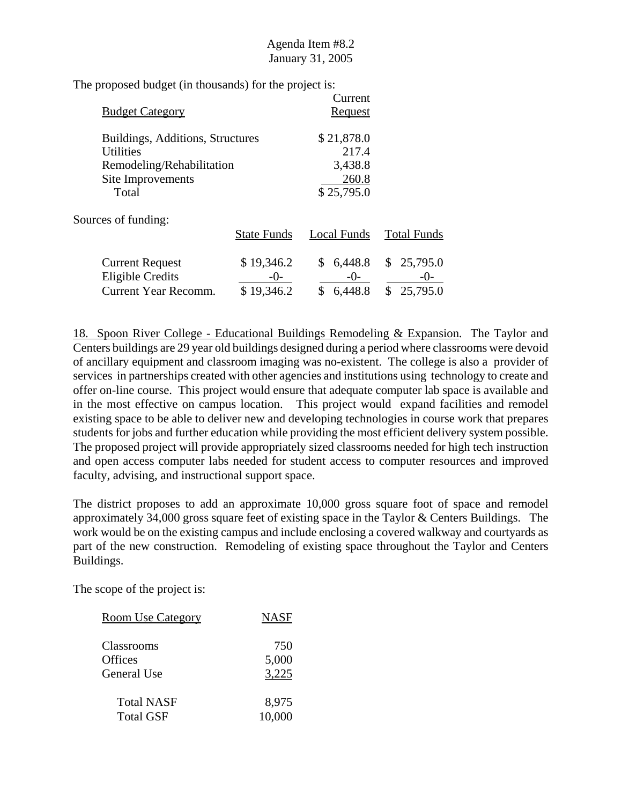| <b>Budget Category</b>                               |                    | Current<br><b>Request</b> |                    |
|------------------------------------------------------|--------------------|---------------------------|--------------------|
| Buildings, Additions, Structures<br><b>Utilities</b> |                    | \$21,878.0<br>217.4       |                    |
| Remodeling/Rehabilitation                            |                    | 3,438.8                   |                    |
| Site Improvements                                    |                    | 260.8                     |                    |
| Total                                                |                    | \$25,795.0                |                    |
| Sources of funding:                                  |                    |                           |                    |
|                                                      | <b>State Funds</b> | Local Funds               | <b>Total Funds</b> |
| <b>Current Request</b>                               | \$19,346.2         | \$<br>6,448.8             | \$25,795.0         |
| <b>Eligible Credits</b>                              | $-()$ -            | $-()$ -                   | $-()$ -            |
| Current Year Recomm.                                 | \$19,346.2         | 6,448.8<br>\$             | \$<br>25,795.0     |

18. Spoon River College - Educational Buildings Remodeling & Expansion. The Taylor and Centers buildings are 29 year old buildings designed during a period where classrooms were devoid of ancillary equipment and classroom imaging was no-existent. The college is also a provider of services in partnerships created with other agencies and institutions using technology to create and offer on-line course. This project would ensure that adequate computer lab space is available and in the most effective on campus location. This project would expand facilities and remodel existing space to be able to deliver new and developing technologies in course work that prepares students for jobs and further education while providing the most efficient delivery system possible. The proposed project will provide appropriately sized classrooms needed for high tech instruction and open access computer labs needed for student access to computer resources and improved faculty, advising, and instructional support space.

The district proposes to add an approximate 10,000 gross square foot of space and remodel approximately 34,000 gross square feet of existing space in the Taylor & Centers Buildings. The work would be on the existing campus and include enclosing a covered walkway and courtyards as part of the new construction. Remodeling of existing space throughout the Taylor and Centers Buildings.

| <b>Room Use Category</b> | <b>NASF</b> |
|--------------------------|-------------|
| Classrooms               | 750         |
| Offices                  | 5,000       |
| General Use              | 3,225       |
| Total NASF               | 8,975       |
| Total GSF                | 10,000      |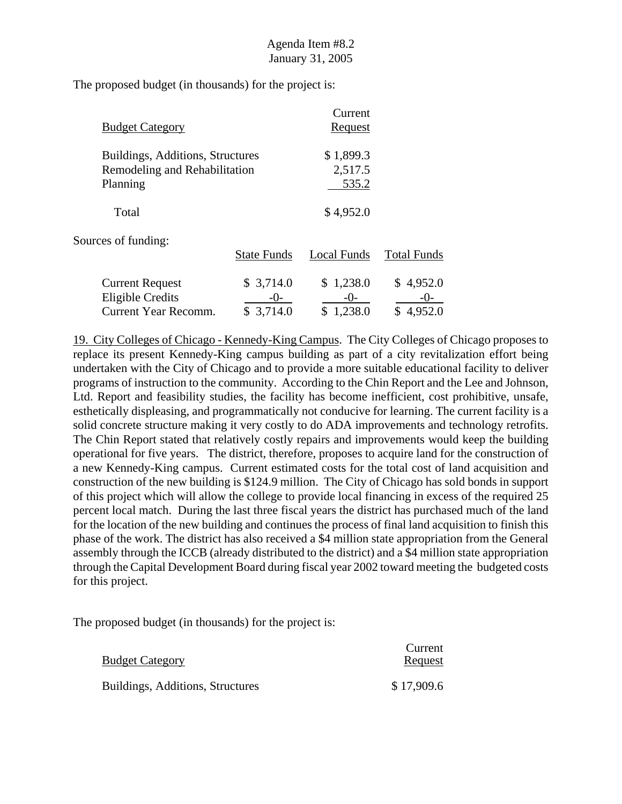| <b>Budget Category</b>                                                        |                                   | Current<br>Request                |                                 |
|-------------------------------------------------------------------------------|-----------------------------------|-----------------------------------|---------------------------------|
| Buildings, Additions, Structures<br>Remodeling and Rehabilitation<br>Planning |                                   | \$1,899.3<br>2,517.5<br>535.2     |                                 |
| Total                                                                         |                                   | \$4,952.0                         |                                 |
| Sources of funding:                                                           | <b>State Funds</b>                | Local Funds                       | <b>Total Funds</b>              |
| <b>Current Request</b><br>Eligible Credits<br><b>Current Year Recomm.</b>     | \$3,714.0<br>$-()$ -<br>\$3,714.0 | \$1,238.0<br>$-()$ -<br>\$1,238.0 | \$4,952.0<br>$-()$<br>\$4,952.0 |

19. City Colleges of Chicago - Kennedy-King Campus. The City Colleges of Chicago proposes to replace its present Kennedy-King campus building as part of a city revitalization effort being undertaken with the City of Chicago and to provide a more suitable educational facility to deliver programs of instruction to the community. According to the Chin Report and the Lee and Johnson, Ltd. Report and feasibility studies, the facility has become inefficient, cost prohibitive, unsafe, esthetically displeasing, and programmatically not conducive for learning. The current facility is a solid concrete structure making it very costly to do ADA improvements and technology retrofits. The Chin Report stated that relatively costly repairs and improvements would keep the building operational for five years. The district, therefore, proposes to acquire land for the construction of a new Kennedy-King campus. Current estimated costs for the total cost of land acquisition and construction of the new building is \$124.9 million. The City of Chicago has sold bonds in support of this project which will allow the college to provide local financing in excess of the required 25 percent local match. During the last three fiscal years the district has purchased much of the land for the location of the new building and continues the process of final land acquisition to finish this phase of the work. The district has also received a \$4 million state appropriation from the General assembly through the ICCB (already distributed to the district) and a \$4 million state appropriation through the Capital Development Board during fiscal year 2002 toward meeting the budgeted costs for this project.

| <b>Budget Category</b>           | Current<br>Request |
|----------------------------------|--------------------|
| Buildings, Additions, Structures | \$17,909.6         |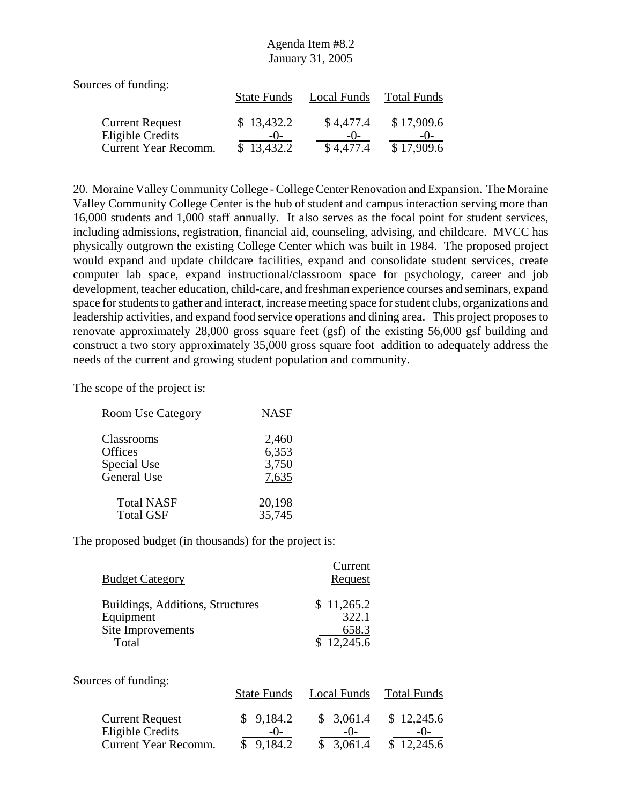| Sources of funding:                      |                     |                    |                     |
|------------------------------------------|---------------------|--------------------|---------------------|
|                                          | <b>State Funds</b>  | Local Funds        | Total Funds         |
| <b>Current Request</b>                   | \$13,432.2<br>$-()$ | \$4,477.4<br>$-()$ | \$17,909.6<br>$-()$ |
| Eligible Credits<br>Current Year Recomm. | \$13,432.2          | \$4,477.4          | \$17,909.6          |

20. Moraine Valley Community College - College Center Renovation and Expansion. The Moraine Valley Community College Center is the hub of student and campus interaction serving more than 16,000 students and 1,000 staff annually. It also serves as the focal point for student services, including admissions, registration, financial aid, counseling, advising, and childcare. MVCC has physically outgrown the existing College Center which was built in 1984. The proposed project would expand and update childcare facilities, expand and consolidate student services, create computer lab space, expand instructional/classroom space for psychology, career and job development, teacher education, child-care, and freshman experience courses and seminars, expand space for students to gather and interact, increase meeting space for student clubs, organizations and leadership activities, and expand food service operations and dining area. This project proposes to renovate approximately 28,000 gross square feet (gsf) of the existing 56,000 gsf building and construct a two story approximately 35,000 gross square foot addition to adequately address the needs of the current and growing student population and community.

The scope of the project is:

| <b>Room Use Category</b> | <b>NASF</b> |
|--------------------------|-------------|
| Classrooms               | 2,460       |
| Offices                  | 6,353       |
| Special Use              | 3,750       |
| <b>General Use</b>       | 7,635       |
| <b>Total NASF</b>        | 20,198      |
| <b>Total GSF</b>         | 35,745      |

| <b>Budget Category</b>           | Current<br>Request |
|----------------------------------|--------------------|
| Buildings, Additions, Structures | \$11,265.2         |
| Equipment                        | 322.1              |
| Site Improvements                | 658.3              |
| Total                            | \$12,245.6         |

|                        | <b>State Funds</b> | Local Funds | <b>Total Funds</b> |
|------------------------|--------------------|-------------|--------------------|
| <b>Current Request</b> | \$9,184.2          | \$3,061.4   | \$12,245.6         |
| Eligible Credits       | $-()$              | $-()$       | $-()$              |
| Current Year Recomm.   | \$9,184.2          | \$3,061.4   | \$12,245.6         |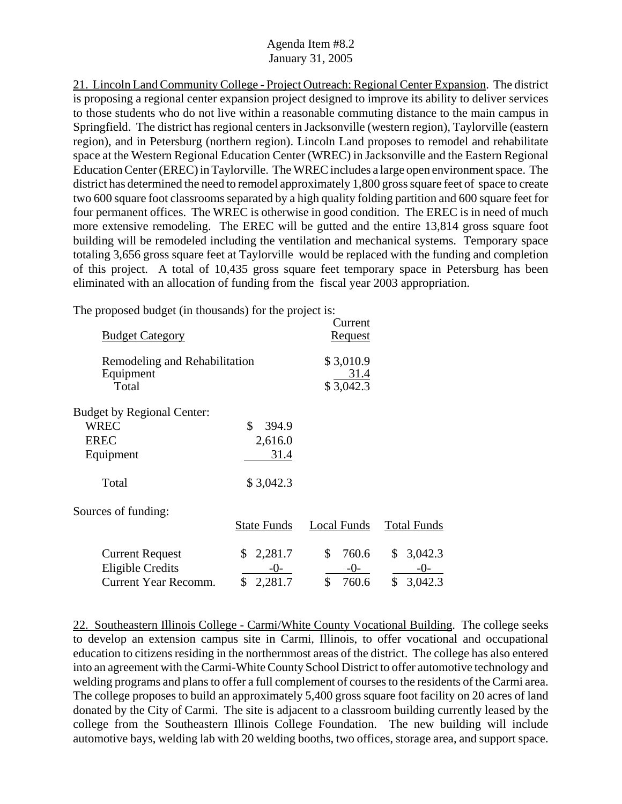21. Lincoln Land Community College - Project Outreach: Regional Center Expansion. The district is proposing a regional center expansion project designed to improve its ability to deliver services to those students who do not live within a reasonable commuting distance to the main campus in Springfield. The district has regional centers in Jacksonville (western region), Taylorville (eastern region), and in Petersburg (northern region). Lincoln Land proposes to remodel and rehabilitate space at the Western Regional Education Center (WREC) in Jacksonville and the Eastern Regional Education Center (EREC) in Taylorville. The WREC includes a large open environment space. The district has determined the need to remodel approximately 1,800 gross square feet of space to create two 600 square foot classrooms separated by a high quality folding partition and 600 square feet for four permanent offices. The WREC is otherwise in good condition. The EREC is in need of much more extensive remodeling. The EREC will be gutted and the entire 13,814 gross square foot building will be remodeled including the ventilation and mechanical systems. Temporary space totaling 3,656 gross square feet at Taylorville would be replaced with the funding and completion of this project. A total of 10,435 gross square feet temporary space in Petersburg has been eliminated with an allocation of funding from the fiscal year 2003 appropriation.

The proposed budget (in thousands) for the project is:

| <b>Budget Category</b>                              |                    | Current<br><u>Request</u>      |                    |
|-----------------------------------------------------|--------------------|--------------------------------|--------------------|
| Remodeling and Rehabilitation<br>Equipment<br>Total |                    | \$3,010.9<br>31.4<br>\$3,042.3 |                    |
| <b>Budget by Regional Center:</b>                   |                    |                                |                    |
| <b>WREC</b>                                         | \$<br>394.9        |                                |                    |
| <b>EREC</b>                                         | 2,616.0            |                                |                    |
| Equipment                                           | <u>31.4</u>        |                                |                    |
| Total                                               | \$3,042.3          |                                |                    |
| Sources of funding:                                 |                    |                                |                    |
|                                                     | <b>State Funds</b> | Local Funds                    | <b>Total Funds</b> |
| <b>Current Request</b>                              | 2,281.7<br>\$      | \$<br>760.6                    | 3,042.3<br>\$      |
| <b>Eligible Credits</b>                             | -0-                | $-0-$                          | $-()$ -            |
| Current Year Recomm.                                | \$<br>2,281.7      | \$<br>760.6                    | \$<br>3,042.3      |

22. Southeastern Illinois College - Carmi/White County Vocational Building. The college seeks to develop an extension campus site in Carmi, Illinois, to offer vocational and occupational education to citizens residing in the northernmost areas of the district. The college has also entered into an agreement with the Carmi-White County School District to offer automotive technology and welding programs and plans to offer a full complement of courses to the residents of the Carmi area. The college proposes to build an approximately 5,400 gross square foot facility on 20 acres of land donated by the City of Carmi. The site is adjacent to a classroom building currently leased by the college from the Southeastern Illinois College Foundation. The new building will include automotive bays, welding lab with 20 welding booths, two offices, storage area, and support space.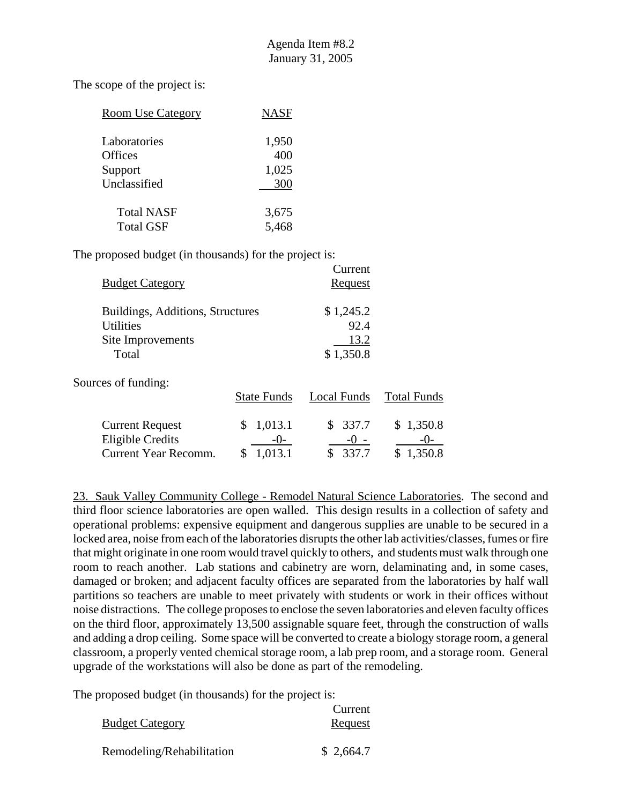The scope of the project is:

| <b>Room Use Category</b> | <b>NASF</b> |
|--------------------------|-------------|
| Laboratories             | 1,950       |
| <b>Offices</b>           | 400         |
| Support                  | 1,025       |
| Unclassified             | 300         |
| <b>Total NASF</b>        | 3,675       |
| <b>Total GSF</b>         | 5,468       |

The proposed budget (in thousands) for the project is:

| <b>Budget Category</b>                               |                    | Current<br><u>Request</u> |                    |
|------------------------------------------------------|--------------------|---------------------------|--------------------|
| Buildings, Additions, Structures<br><b>Utilities</b> |                    | \$1,245.2<br>92.4         |                    |
| Site Improvements                                    |                    | 13.2                      |                    |
| Total                                                |                    | \$1,350.8                 |                    |
| Sources of funding:                                  |                    |                           |                    |
|                                                      | <b>State Funds</b> | Local Funds               | <b>Total Funds</b> |
| <b>Current Request</b>                               | 1,013.1<br>S       | \$337.7                   | \$1,350.8          |
| <b>Eligible Credits</b>                              | $-()$ -            | $-() -$                   | $-()$              |
| Current Year Recomm.                                 | 1.013.1<br>S       | 337.7<br>\$               | 1,350.8<br>\$      |

23. Sauk Valley Community College - Remodel Natural Science Laboratories. The second and third floor science laboratories are open walled. This design results in a collection of safety and operational problems: expensive equipment and dangerous supplies are unable to be secured in a locked area, noise from each of the laboratories disrupts the other lab activities/classes, fumes or fire that might originate in one room would travel quickly to others, and students must walk through one room to reach another. Lab stations and cabinetry are worn, delaminating and, in some cases, damaged or broken; and adjacent faculty offices are separated from the laboratories by half wall partitions so teachers are unable to meet privately with students or work in their offices without noise distractions. The college proposes to enclose the seven laboratories and eleven faculty offices on the third floor, approximately 13,500 assignable square feet, through the construction of walls and adding a drop ceiling. Some space will be converted to create a biology storage room, a general classroom, a properly vented chemical storage room, a lab prep room, and a storage room. General upgrade of the workstations will also be done as part of the remodeling.

|                           | Current   |
|---------------------------|-----------|
| <b>Budget Category</b>    | Request   |
| Remodeling/Rehabilitation | \$2,664.7 |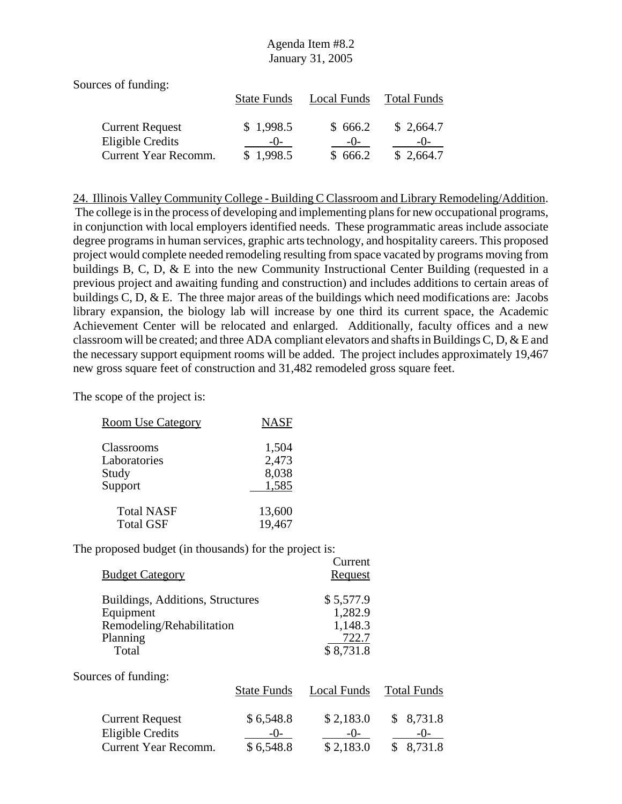| Sources of funding:    |                    |             |                    |
|------------------------|--------------------|-------------|--------------------|
|                        | <b>State Funds</b> | Local Funds | <b>Total Funds</b> |
|                        |                    |             |                    |
| <b>Current Request</b> | \$1,998.5          | \$666.2     | \$2,664.7          |
| Eligible Credits       | $-()$              | $-()$       | $-()$              |
| Current Year Recomm.   | \$1,998.5          | \$666.2     | \$2,664.7          |

24. Illinois Valley Community College - Building C Classroom and Library Remodeling/Addition. The college is in the process of developing and implementing plans for new occupational programs, in conjunction with local employers identified needs. These programmatic areas include associate degree programs in human services, graphic arts technology, and hospitality careers. This proposed project would complete needed remodeling resulting from space vacated by programs moving from buildings B, C, D, & E into the new Community Instructional Center Building (requested in a previous project and awaiting funding and construction) and includes additions to certain areas of buildings C, D, & E. The three major areas of the buildings which need modifications are: Jacobs library expansion, the biology lab will increase by one third its current space, the Academic Achievement Center will be relocated and enlarged. Additionally, faculty offices and a new classroom will be created; and three ADA compliant elevators and shafts in Buildings C, D, & E and the necessary support equipment rooms will be added. The project includes approximately 19,467 new gross square feet of construction and 31,482 remodeled gross square feet.

The scope of the project is:

| <b>Room Use Category</b> | <b>NASF</b> |
|--------------------------|-------------|
| Classrooms               | 1,504       |
| Laboratories             | 2,473       |
| Study                    | 8,038       |
| Support                  | 1,585       |
| <b>Total NASF</b>        | 13,600      |
| <b>Total GSF</b>         | 19,467      |

| <b>Budget Category</b>                                                                          |                                     | Current<br><b>Request</b>                             |                                           |
|-------------------------------------------------------------------------------------------------|-------------------------------------|-------------------------------------------------------|-------------------------------------------|
| Buildings, Additions, Structures<br>Equipment<br>Remodeling/Rehabilitation<br>Planning<br>Total |                                     | \$5,577.9<br>1,282.9<br>1,148.3<br>722.7<br>\$8,731.8 |                                           |
| Sources of funding:                                                                             | <b>State Funds</b>                  | Local Funds                                           | <b>Total Funds</b>                        |
| <b>Current Request</b><br><b>Eligible Credits</b><br><b>Current Year Recomm.</b>                | \$6,548.8<br>$ \Omega$<br>\$6,548.8 | \$2,183.0<br>$-()$ -<br>\$2,183.0                     | 8,731.8<br>\$<br>$-()$ -<br>8,731.8<br>\$ |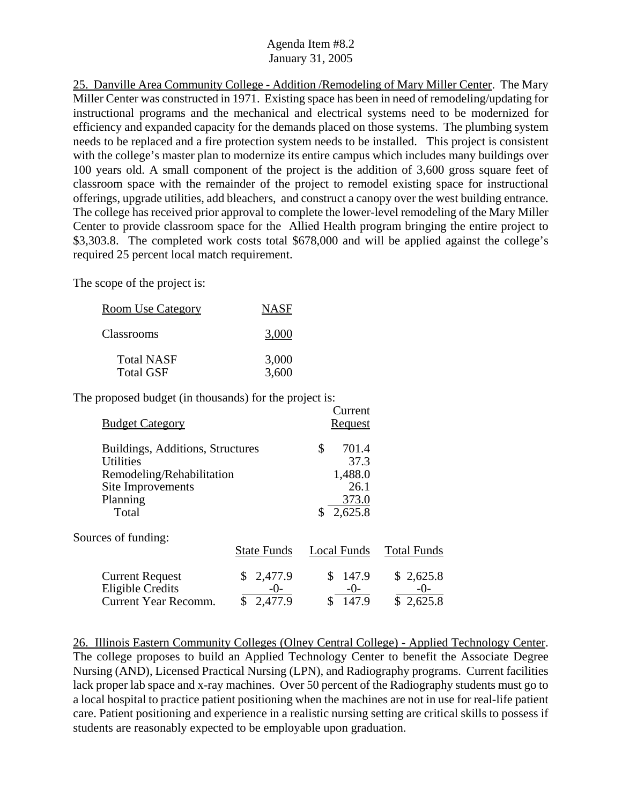25. Danville Area Community College - Addition /Remodeling of Mary Miller Center. The Mary Miller Center was constructed in 1971. Existing space has been in need of remodeling/updating for instructional programs and the mechanical and electrical systems need to be modernized for efficiency and expanded capacity for the demands placed on those systems. The plumbing system needs to be replaced and a fire protection system needs to be installed. This project is consistent with the college's master plan to modernize its entire campus which includes many buildings over 100 years old. A small component of the project is the addition of 3,600 gross square feet of classroom space with the remainder of the project to remodel existing space for instructional offerings, upgrade utilities, add bleachers, and construct a canopy over the west building entrance. The college has received prior approval to complete the lower-level remodeling of the Mary Miller Center to provide classroom space for the Allied Health program bringing the entire project to \$3,303.8. The completed work costs total \$678,000 and will be applied against the college's required 25 percent local match requirement.

The scope of the project is:

| <b>Room Use Category</b> | <b>NASF</b> |
|--------------------------|-------------|
| Classrooms               | 3,000       |
| <b>Total NASF</b>        | 3,000       |
| <b>Total GSF</b>         | 3,600       |

The proposed budget (in thousands) for the project is:  $C$ urrent

| <b>Budget Category</b>                               |                    | Cultur<br><u>Request</u> |                    |
|------------------------------------------------------|--------------------|--------------------------|--------------------|
| Buildings, Additions, Structures<br><b>Utilities</b> |                    | \$<br>701.4<br>37.3      |                    |
| Remodeling/Rehabilitation                            |                    | 1,488.0                  |                    |
| Site Improvements                                    |                    | 26.1                     |                    |
| Planning                                             |                    | 373.0                    |                    |
| Total                                                |                    | 2,625.8                  |                    |
| Sources of funding:                                  |                    |                          |                    |
|                                                      | <b>State Funds</b> | <b>Local Funds</b>       | <b>Total Funds</b> |
| <b>Current Request</b>                               | 2,477.9<br>\$      | \$<br>147.9              | \$2,625.8          |
| Eligible Credits                                     | $-()$ -            | $-0-$                    | $-()$              |
| <b>Current Year Recomm.</b>                          | 2,477.9            | 147.9<br>\$              | \$2,625.8          |

26. Illinois Eastern Community Colleges (Olney Central College) - Applied Technology Center. The college proposes to build an Applied Technology Center to benefit the Associate Degree Nursing (AND), Licensed Practical Nursing (LPN), and Radiography programs. Current facilities lack proper lab space and x-ray machines. Over 50 percent of the Radiography students must go to a local hospital to practice patient positioning when the machines are not in use for real-life patient care. Patient positioning and experience in a realistic nursing setting are critical skills to possess if students are reasonably expected to be employable upon graduation.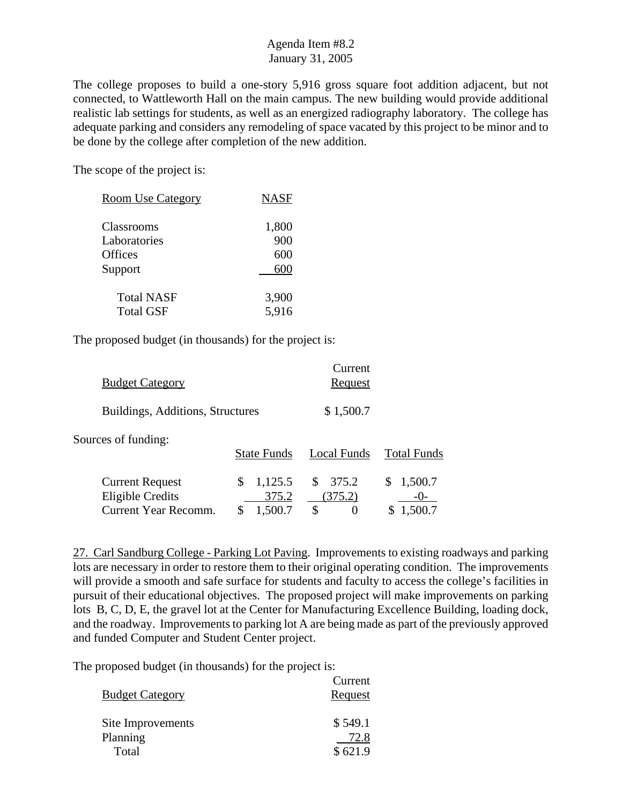The college proposes to build a one-story 5,916 gross square foot addition adjacent, but not connected, to Wattleworth Hall on the main campus. The new building would provide additional realistic lab settings for students, as well as an energized radiography laboratory. The college has adequate parking and considers any remodeling of space vacated by this project to be minor and to be done by the college after completion of the new addition.

The scope of the project is:

| <b>Room Use Category</b> | <b>NASF</b> |
|--------------------------|-------------|
|                          |             |
| Classrooms               | 1,800       |
| Laboratories             | 900         |
| Offices                  | 600         |
| Support                  | 600         |
|                          |             |
| <b>Total NASF</b>        | 3,900       |
| <b>Total GSF</b>         | 5,916       |
|                          |             |

The proposed budget (in thousands) for the project is:

| <b>Budget Category</b>                                                           |                                  | Current<br><u>Request</u>    |                    |
|----------------------------------------------------------------------------------|----------------------------------|------------------------------|--------------------|
| Buildings, Additions, Structures                                                 |                                  | \$1,500.7                    |                    |
| Sources of funding:                                                              | <b>State Funds</b>               | Local Funds                  | <b>Total Funds</b> |
| <b>Current Request</b><br><b>Eligible Credits</b><br><b>Current Year Recomm.</b> | 1,125.5<br>S<br>375.2<br>1,500.7 | 375.2<br>\$<br>(375.2)<br>\$ | 1,500.7<br>1,500.7 |

27. Carl Sandburg College - Parking Lot Paving. Improvements to existing roadways and parking lots are necessary in order to restore them to their original operating condition. The improvements will provide a smooth and safe surface for students and faculty to access the college's facilities in pursuit of their educational objectives. The proposed project will make improvements on parking lots B, C, D, E, the gravel lot at the Center for Manufacturing Excellence Building, loading dock, and the roadway. Improvements to parking lot A are being made as part of the previously approved and funded Computer and Student Center project.

|                        | Current |
|------------------------|---------|
| <b>Budget Category</b> | Request |
| Site Improvements      | \$549.1 |
| Planning               | 72.8    |
| Total                  | \$621.9 |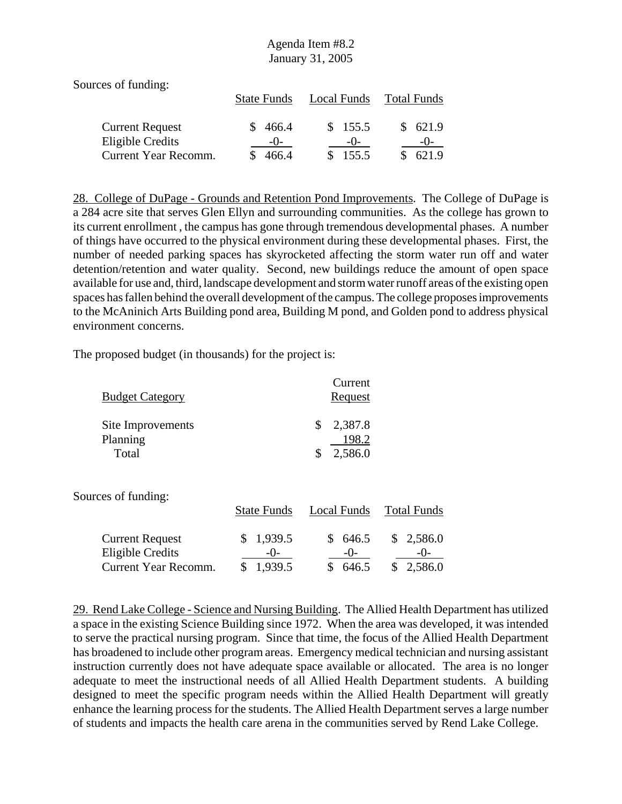| Sources of funding:                      |                    |                |                    |
|------------------------------------------|--------------------|----------------|--------------------|
|                                          | <b>State Funds</b> | Local Funds    | <b>Total Funds</b> |
| <b>Current Request</b>                   | 466.4              | \$155.5        | 621.9              |
| Eligible Credits<br>Current Year Recomm. | $-()$<br>466.4     | $-()$<br>155.5 | $-()$<br>621.9     |

28. College of DuPage - Grounds and Retention Pond Improvements. The College of DuPage is a 284 acre site that serves Glen Ellyn and surrounding communities. As the college has grown to its current enrollment , the campus has gone through tremendous developmental phases. A number of things have occurred to the physical environment during these developmental phases. First, the number of needed parking spaces has skyrocketed affecting the storm water run off and water detention/retention and water quality. Second, new buildings reduce the amount of open space available for use and, third, landscape development and storm water runoff areas of the existing open spaces has fallen behind the overall development of the campus. The college proposes improvements to the McAninich Arts Building pond area, Building M pond, and Golden pond to address physical environment concerns.

The proposed budget (in thousands) for the project is:

| <b>Budget Category</b> | Current<br>Request     |
|------------------------|------------------------|
| Site Improvements      | \$2,387.8              |
| Planning<br>Total      | 198.2<br>2,586.0<br>\$ |

Sources of funding:

|                                            | <b>State Funds</b> | Local Funds       | Total Funds        |
|--------------------------------------------|--------------------|-------------------|--------------------|
| <b>Current Request</b><br>Eligible Credits | \$1,939.5<br>$-()$ | \$ 646.5<br>$-()$ | \$2,586.0<br>$-()$ |
| Current Year Recomm.                       | \$1,939.5          | \$646.5           | \$2,586.0          |

29. Rend Lake College - Science and Nursing Building. The Allied Health Department has utilized a space in the existing Science Building since 1972. When the area was developed, it was intended to serve the practical nursing program. Since that time, the focus of the Allied Health Department has broadened to include other program areas. Emergency medical technician and nursing assistant instruction currently does not have adequate space available or allocated. The area is no longer adequate to meet the instructional needs of all Allied Health Department students. A building designed to meet the specific program needs within the Allied Health Department will greatly enhance the learning process for the students. The Allied Health Department serves a large number of students and impacts the health care arena in the communities served by Rend Lake College.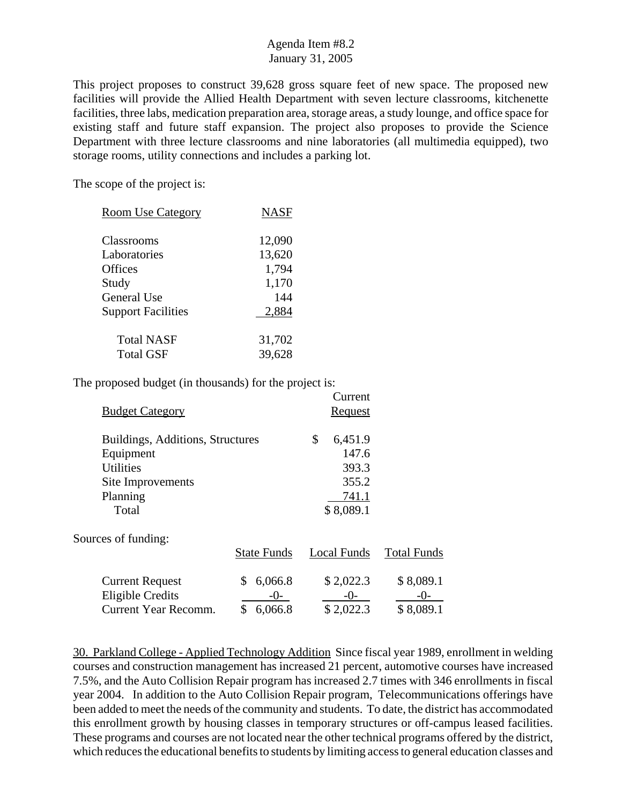This project proposes to construct 39,628 gross square feet of new space. The proposed new facilities will provide the Allied Health Department with seven lecture classrooms, kitchenette facilities, three labs, medication preparation area, storage areas, a study lounge, and office space for existing staff and future staff expansion. The project also proposes to provide the Science Department with three lecture classrooms and nine laboratories (all multimedia equipped), two storage rooms, utility connections and includes a parking lot.

The scope of the project is:

| <b>Room Use Category</b>  | <b>NASF</b> |
|---------------------------|-------------|
| Classrooms                | 12,090      |
| Laboratories              | 13,620      |
| Offices                   | 1,794       |
| Study                     | 1,170       |
| General Use               | 144         |
| <b>Support Facilities</b> | 2,884       |
| <b>Total NASF</b>         | 31,702      |
| <b>Total GSF</b>          | 39,628      |

The proposed budget (in thousands) for the project is:

|                                  |                    | Current        |                    |
|----------------------------------|--------------------|----------------|--------------------|
| <b>Budget Category</b>           |                    | <b>Request</b> |                    |
| Buildings, Additions, Structures |                    | \$<br>6,451.9  |                    |
| Equipment                        |                    | 147.6          |                    |
| <b>Utilities</b>                 |                    | 393.3          |                    |
| Site Improvements                |                    | 355.2          |                    |
| Planning                         |                    | 741.1          |                    |
| Total                            |                    | \$8,089.1      |                    |
| Sources of funding:              |                    |                |                    |
|                                  | <b>State Funds</b> | Local Funds    | <b>Total Funds</b> |
| <b>Current Request</b>           | 6,066.8<br>\$      | \$2,022.3      | \$8,089.1          |
| <b>Eligible Credits</b>          | $-()$ -            | $-()$          | -()-               |
| Current Year Recomm.             | \$<br>6,066.8      | \$2,022.3      | \$8,089.1          |

30. Parkland College - Applied Technology Addition Since fiscal year 1989, enrollment in welding courses and construction management has increased 21 percent, automotive courses have increased 7.5%, and the Auto Collision Repair program has increased 2.7 times with 346 enrollments in fiscal year 2004. In addition to the Auto Collision Repair program, Telecommunications offerings have been added to meet the needs of the community and students. To date, the district has accommodated this enrollment growth by housing classes in temporary structures or off-campus leased facilities. These programs and courses are not located near the other technical programs offered by the district, which reduces the educational benefits to students by limiting access to general education classes and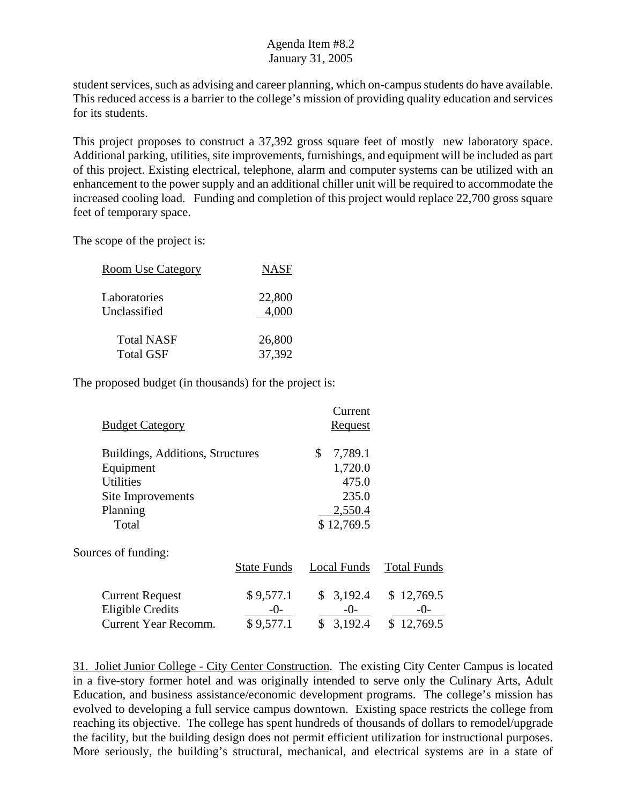student services, such as advising and career planning, which on-campus students do have available. This reduced access is a barrier to the college's mission of providing quality education and services for its students.

This project proposes to construct a 37,392 gross square feet of mostly new laboratory space. Additional parking, utilities, site improvements, furnishings, and equipment will be included as part of this project. Existing electrical, telephone, alarm and computer systems can be utilized with an enhancement to the power supply and an additional chiller unit will be required to accommodate the increased cooling load. Funding and completion of this project would replace 22,700 gross square feet of temporary space.

The scope of the project is:

| <b>Room Use Category</b> | <b>NASF</b> |
|--------------------------|-------------|
| Laboratories             | 22,800      |
| Unclassified             | 4,000       |
| <b>Total NASF</b>        | 26,800      |
| <b>Total GSF</b>         | 37,392      |

The proposed budget (in thousands) for the project is:

| <b>Budget Category</b>                                                                                      |                                 | Current<br><b>Request</b>                         |                                  |
|-------------------------------------------------------------------------------------------------------------|---------------------------------|---------------------------------------------------|----------------------------------|
| Buildings, Additions, Structures<br>Equipment<br><b>Utilities</b><br>Site Improvements<br>Planning<br>Total |                                 | \$<br>7,789.1<br>1,720.0<br>2,550.4<br>\$12,769.5 | 475.0<br>235.0                   |
| Sources of funding:                                                                                         | <b>State Funds</b>              | Local Funds                                       | <b>Total Funds</b>               |
| <b>Current Request</b><br><b>Eligible Credits</b><br>Current Year Recomm.                                   | \$9,577.1<br>$-()$<br>\$9,577.1 | \$3,192.4<br>$-0-$<br>\$<br>3,192.4               | \$12,769.5<br>-()-<br>\$12,769.5 |

31. Joliet Junior College - City Center Construction. The existing City Center Campus is located in a five-story former hotel and was originally intended to serve only the Culinary Arts, Adult Education, and business assistance/economic development programs. The college's mission has evolved to developing a full service campus downtown. Existing space restricts the college from reaching its objective. The college has spent hundreds of thousands of dollars to remodel/upgrade the facility, but the building design does not permit efficient utilization for instructional purposes. More seriously, the building's structural, mechanical, and electrical systems are in a state of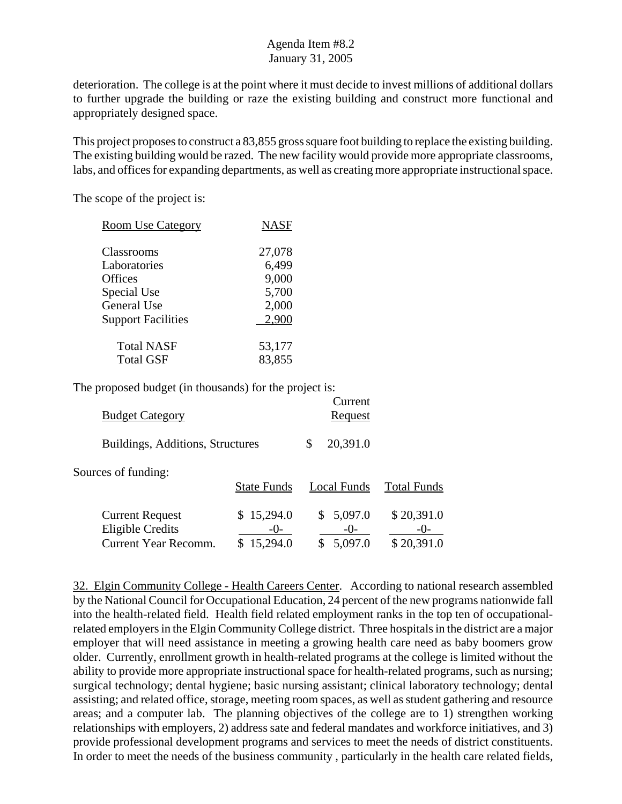deterioration. The college is at the point where it must decide to invest millions of additional dollars to further upgrade the building or raze the existing building and construct more functional and appropriately designed space.

This project proposes to construct a 83,855 gross square foot building to replace the existing building. The existing building would be razed. The new facility would provide more appropriate classrooms, labs, and offices for expanding departments, as well as creating more appropriate instructional space.

The scope of the project is:

| <b>Room Use Category</b>  | <b>NASF</b> |
|---------------------------|-------------|
| Classrooms                | 27,078      |
| Laboratories              | 6,499       |
| Offices                   | 9,000       |
| Special Use               | 5,700       |
| General Use               | 2,000       |
| <b>Support Facilities</b> | 2,900       |
| <b>Total NASF</b>         | 53,177      |
| <b>Total GSF</b>          | 83,855      |

The proposed budget (in thousands) for the project is:

| <b>Budget Category</b>                                                           |                        | Current<br>Request            |                                   |
|----------------------------------------------------------------------------------|------------------------|-------------------------------|-----------------------------------|
| Buildings, Additions, Structures                                                 |                        | 20,391.0<br>S                 |                                   |
| Sources of funding:                                                              | <b>State Funds</b>     | Local Funds                   | <b>Total Funds</b>                |
| <b>Current Request</b><br><b>Eligible Credits</b><br><b>Current Year Recomm.</b> | \$15,294.0<br>15,294.0 | 5,097.0<br>$-()$ -<br>5,097.0 | \$20,391.0<br>$-()$<br>\$20,391.0 |

32. Elgin Community College - Health Careers Center. According to national research assembled by the National Council for Occupational Education, 24 percent of the new programs nationwide fall into the health-related field. Health field related employment ranks in the top ten of occupationalrelated employers in the Elgin Community College district. Three hospitals in the district are a major employer that will need assistance in meeting a growing health care need as baby boomers grow older. Currently, enrollment growth in health-related programs at the college is limited without the ability to provide more appropriate instructional space for health-related programs, such as nursing; surgical technology; dental hygiene; basic nursing assistant; clinical laboratory technology; dental assisting; and related office, storage, meeting room spaces, as well as student gathering and resource areas; and a computer lab. The planning objectives of the college are to 1) strengthen working relationships with employers, 2) address sate and federal mandates and workforce initiatives, and 3) provide professional development programs and services to meet the needs of district constituents. In order to meet the needs of the business community , particularly in the health care related fields,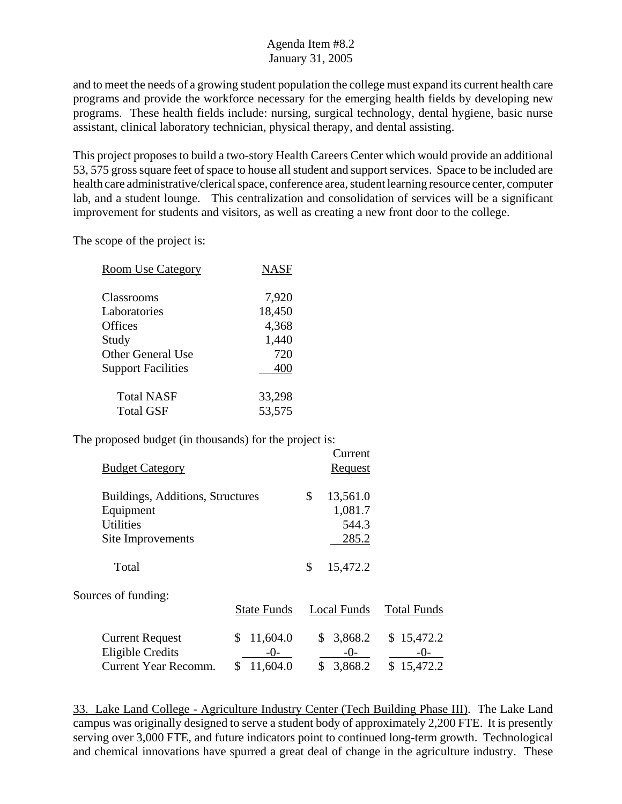and to meet the needs of a growing student population the college must expand its current health care programs and provide the workforce necessary for the emerging health fields by developing new programs. These health fields include: nursing, surgical technology, dental hygiene, basic nurse assistant, clinical laboratory technician, physical therapy, and dental assisting.

This project proposes to build a two-story Health Careers Center which would provide an additional 53, 575 gross square feet of space to house all student and support services. Space to be included are health care administrative/clerical space, conference area, student learning resource center, computer lab, and a student lounge. This centralization and consolidation of services will be a significant improvement for students and visitors, as well as creating a new front door to the college.

Current

The scope of the project is:

| <b>Room Use Category</b>  | <b>NASF</b> |
|---------------------------|-------------|
| Classrooms                | 7,920       |
| Laboratories              | 18,450      |
| <b>Offices</b>            | 4,368       |
| Study                     | 1,440       |
| <b>Other General Use</b>  | 720         |
| <b>Support Facilities</b> | 400         |
| <b>Total NASF</b>         | 33,298      |
| <b>Total GSF</b>          | 53,575      |

The proposed budget (in thousands) for the project is:

|                                  |                    | Cultur         |                    |
|----------------------------------|--------------------|----------------|--------------------|
| <b>Budget Category</b>           |                    | <b>Request</b> |                    |
| Buildings, Additions, Structures |                    | \$<br>13,561.0 |                    |
| Equipment                        |                    | 1,081.7        |                    |
| <b>Utilities</b>                 |                    | 544.3          |                    |
| Site Improvements                |                    | 285.2          |                    |
| Total                            |                    | \$<br>15,472.2 |                    |
| Sources of funding:              |                    |                |                    |
|                                  | <b>State Funds</b> | Local Funds    | <b>Total Funds</b> |
| <b>Current Request</b>           | 11,604.0<br>\$     | 3,868.2<br>\$  | \$15,472.2         |
| <b>Eligible Credits</b>          | $-0-$              | $-0-$          | -0-                |
| Current Year Recomm.             | 11,604.0<br>\$     | \$<br>3,868.2  | \$15,472.2         |

33. Lake Land College - Agriculture Industry Center (Tech Building Phase III). The Lake Land campus was originally designed to serve a student body of approximately 2,200 FTE. It is presently serving over 3,000 FTE, and future indicators point to continued long-term growth. Technological and chemical innovations have spurred a great deal of change in the agriculture industry. These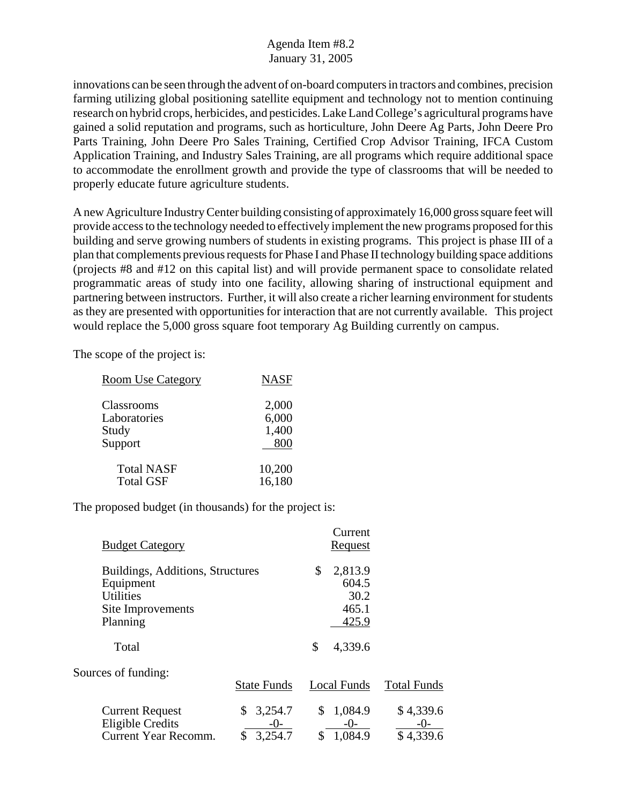innovations can be seen through the advent of on-board computers in tractors and combines, precision farming utilizing global positioning satellite equipment and technology not to mention continuing research on hybrid crops, herbicides, and pesticides. Lake Land College's agricultural programs have gained a solid reputation and programs, such as horticulture, John Deere Ag Parts, John Deere Pro Parts Training, John Deere Pro Sales Training, Certified Crop Advisor Training, IFCA Custom Application Training, and Industry Sales Training, are all programs which require additional space to accommodate the enrollment growth and provide the type of classrooms that will be needed to properly educate future agriculture students.

A new Agriculture Industry Center building consisting of approximately 16,000 gross square feet will provide access to the technology needed to effectively implement the new programs proposed for this building and serve growing numbers of students in existing programs. This project is phase III of a plan that complements previous requests for Phase I and Phase II technology building space additions (projects #8 and #12 on this capital list) and will provide permanent space to consolidate related programmatic areas of study into one facility, allowing sharing of instructional equipment and partnering between instructors. Further, it will also create a richer learning environment for students as they are presented with opportunities for interaction that are not currently available. This project would replace the 5,000 gross square foot temporary Ag Building currently on campus.

The scope of the project is:

| <b>Room Use Category</b> | <b>NASF</b> |
|--------------------------|-------------|
| Classrooms               | 2,000       |
| Laboratories             | 6,000       |
| Study                    | 1,400       |
| Support                  | 800         |
| <b>Total NASF</b>        | 10,200      |
| <b>Total GSF</b>         | 16,180      |

| <b>Budget Category</b>                                                                             |                                       |          | Current<br><u>Request</u>                  |                                |
|----------------------------------------------------------------------------------------------------|---------------------------------------|----------|--------------------------------------------|--------------------------------|
| Buildings, Additions, Structures<br>Equipment<br><b>Utilities</b><br>Site Improvements<br>Planning |                                       | \$       | 2,813.9<br>604.5<br>30.2<br>465.1<br>425.9 |                                |
| Total                                                                                              |                                       | \$       | 4,339.6                                    |                                |
| Sources of funding:                                                                                | <b>State Funds</b>                    |          | Local Funds                                | <b>Total Funds</b>             |
| <b>Current Request</b><br><b>Eligible Credits</b><br><b>Current Year Recomm.</b>                   | 3,254.7<br>\$<br>-0-<br>3,254.7<br>\$ | \$<br>\$ | 1,084.9<br>$-0-$<br>1,084.9                | \$4,339.6<br>-()-<br>\$4,339.6 |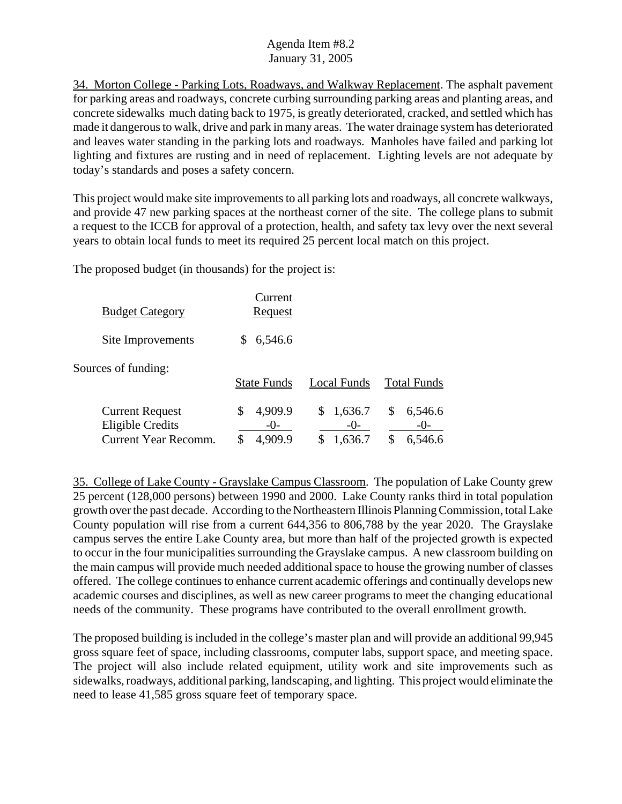34. Morton College - Parking Lots, Roadways, and Walkway Replacement. The asphalt pavement for parking areas and roadways, concrete curbing surrounding parking areas and planting areas, and concrete sidewalks much dating back to 1975, is greatly deteriorated, cracked, and settled which has made it dangerous to walk, drive and park in many areas. The water drainage system has deteriorated and leaves water standing in the parking lots and roadways. Manholes have failed and parking lot lighting and fixtures are rusting and in need of replacement. Lighting levels are not adequate by today's standards and poses a safety concern.

This project would make site improvements to all parking lots and roadways, all concrete walkways, and provide 47 new parking spaces at the northeast corner of the site. The college plans to submit a request to the ICCB for approval of a protection, health, and safety tax levy over the next several years to obtain local funds to meet its required 25 percent local match on this project.

The proposed budget (in thousands) for the project is:

| <b>Budget Category</b>                            | Current<br><u>Request</u> |                  |                          |
|---------------------------------------------------|---------------------------|------------------|--------------------------|
| Site Improvements                                 | 6,546.6<br>S              |                  |                          |
| Sources of funding:                               | <b>State Funds</b>        | Local Funds      | <b>Total Funds</b>       |
| <b>Current Request</b><br><b>Eligible Credits</b> | 4,909.9<br>\$<br>$-()$    | 1,636.7<br>$-0-$ | \$<br>6,546.6<br>$-()$ - |
| Current Year Recomm.                              | \$<br>4,909.9             | 1,636.7          | 6,546.6                  |

35. College of Lake County - Grayslake Campus Classroom. The population of Lake County grew 25 percent (128,000 persons) between 1990 and 2000. Lake County ranks third in total population growth over the past decade. According to the Northeastern Illinois Planning Commission, total Lake County population will rise from a current 644,356 to 806,788 by the year 2020. The Grayslake campus serves the entire Lake County area, but more than half of the projected growth is expected to occur in the four municipalities surrounding the Grayslake campus. A new classroom building on the main campus will provide much needed additional space to house the growing number of classes offered. The college continues to enhance current academic offerings and continually develops new academic courses and disciplines, as well as new career programs to meet the changing educational needs of the community. These programs have contributed to the overall enrollment growth.

The proposed building is included in the college's master plan and will provide an additional 99,945 gross square feet of space, including classrooms, computer labs, support space, and meeting space. The project will also include related equipment, utility work and site improvements such as sidewalks, roadways, additional parking, landscaping, and lighting. This project would eliminate the need to lease 41,585 gross square feet of temporary space.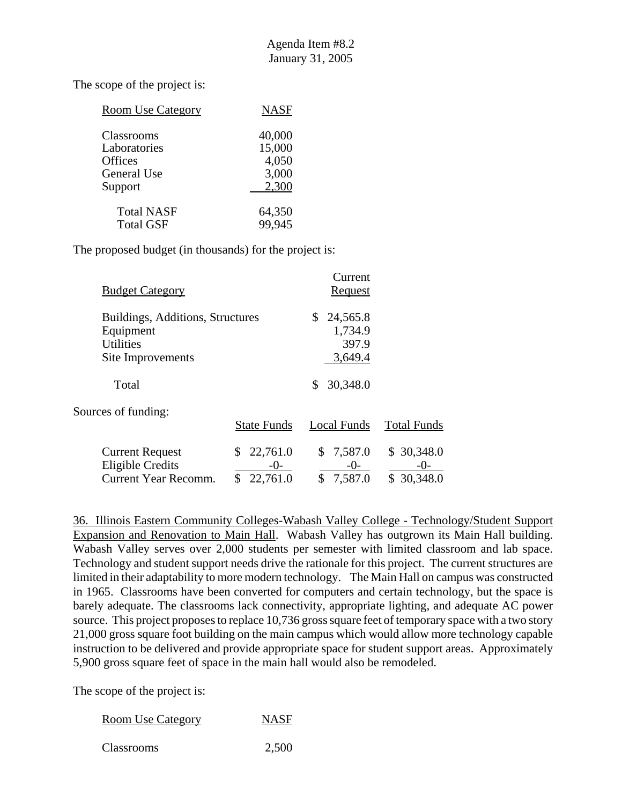The scope of the project is:

| <b>NASF</b> |
|-------------|
| 40,000      |
| 15,000      |
| 4,050       |
| 3,000       |
| 2,300       |
| 64,350      |
| 99,945      |
|             |

The proposed budget (in thousands) for the project is:

| <b>Budget Category</b>                                                                 |                                   | Current<br>Request                            |                                     |
|----------------------------------------------------------------------------------------|-----------------------------------|-----------------------------------------------|-------------------------------------|
| Buildings, Additions, Structures<br>Equipment<br><b>Utilities</b><br>Site Improvements |                                   | 24,565.8<br>\$<br>1,734.9<br>397.9<br>3,649.4 |                                     |
| Total                                                                                  |                                   | 30,348.0<br>\$                                |                                     |
| Sources of funding:                                                                    | <b>State Funds</b>                | Local Funds                                   | <b>Total Funds</b>                  |
| <b>Current Request</b><br><b>Eligible Credits</b><br><b>Current Year Recomm.</b>       | 22,761.0<br>\$<br>-0-<br>22,761.0 | 7,587.0<br>\$<br>$-0-$<br>7,587.0<br>\$       | \$30,348.0<br>$-()$ -<br>\$30,348.0 |

36. Illinois Eastern Community Colleges-Wabash Valley College - Technology/Student Support Expansion and Renovation to Main Hall. Wabash Valley has outgrown its Main Hall building. Wabash Valley serves over 2,000 students per semester with limited classroom and lab space. Technology and student support needs drive the rationale for this project. The current structures are limited in their adaptability to more modern technology. The Main Hall on campus was constructed in 1965. Classrooms have been converted for computers and certain technology, but the space is barely adequate. The classrooms lack connectivity, appropriate lighting, and adequate AC power source. This project proposes to replace 10,736 gross square feet of temporary space with a two story 21,000 gross square foot building on the main campus which would allow more technology capable instruction to be delivered and provide appropriate space for student support areas. Approximately 5,900 gross square feet of space in the main hall would also be remodeled.

| <b>Room Use Category</b> | <b>NASF</b> |
|--------------------------|-------------|
|                          |             |

| Classrooms | 2,500 |
|------------|-------|
|------------|-------|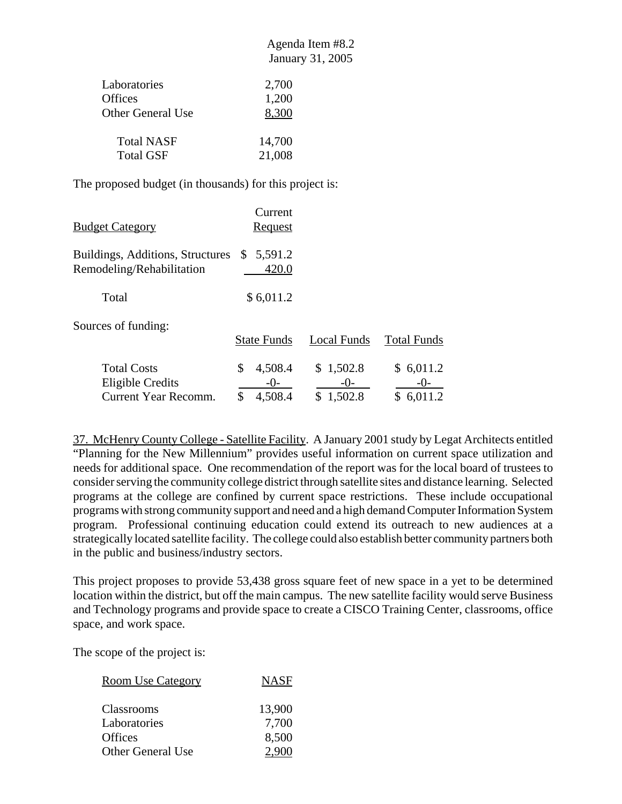| Laboratories      | 2,700  |
|-------------------|--------|
| Offices           | 1,200  |
| Other General Use | 8,300  |
| <b>Total NASF</b> | 14,700 |
| <b>Total GSF</b>  | 21,008 |

The proposed budget (in thousands) for this project is:

| <b>Budget Category</b>                                               | Current<br><u>Request</u>                 |                                     |                                     |
|----------------------------------------------------------------------|-------------------------------------------|-------------------------------------|-------------------------------------|
| <b>Buildings, Additions, Structures</b><br>Remodeling/Rehabilitation | 5,591.2<br>\$<br>420.0                    |                                     |                                     |
| Total                                                                | \$6,011.2                                 |                                     |                                     |
| Sources of funding:                                                  | <b>State Funds</b>                        | Local Funds                         | <b>Total Funds</b>                  |
| <b>Total Costs</b><br>Eligible Credits<br>Current Year Recomm.       | \$<br>4,508.4<br>$-()$ -<br>4,508.4<br>\$ | \$1,502.8<br>$-()$<br>1,502.8<br>\$ | \$6,011.2<br>$-()$<br>\$<br>6,011.2 |

37. McHenry County College - Satellite Facility. A January 2001 study by Legat Architects entitled "Planning for the New Millennium" provides useful information on current space utilization and needs for additional space. One recommendation of the report was for the local board of trustees to consider serving the community college district through satellite sites and distance learning. Selected programs at the college are confined by current space restrictions. These include occupational programs with strong community support and need and a high demand Computer Information System program. Professional continuing education could extend its outreach to new audiences at a strategically located satellite facility. The college could also establish better community partners both in the public and business/industry sectors.

This project proposes to provide 53,438 gross square feet of new space in a yet to be determined location within the district, but off the main campus. The new satellite facility would serve Business and Technology programs and provide space to create a CISCO Training Center, classrooms, office space, and work space.

The scope of the project is:

| <b>Room Use Category</b> | <b>NASF</b> |
|--------------------------|-------------|
| Classrooms               | 13,900      |
| Laboratories             | 7,700       |
| <b>Offices</b>           | 8,500       |
| <b>Other General Use</b> | 2.900       |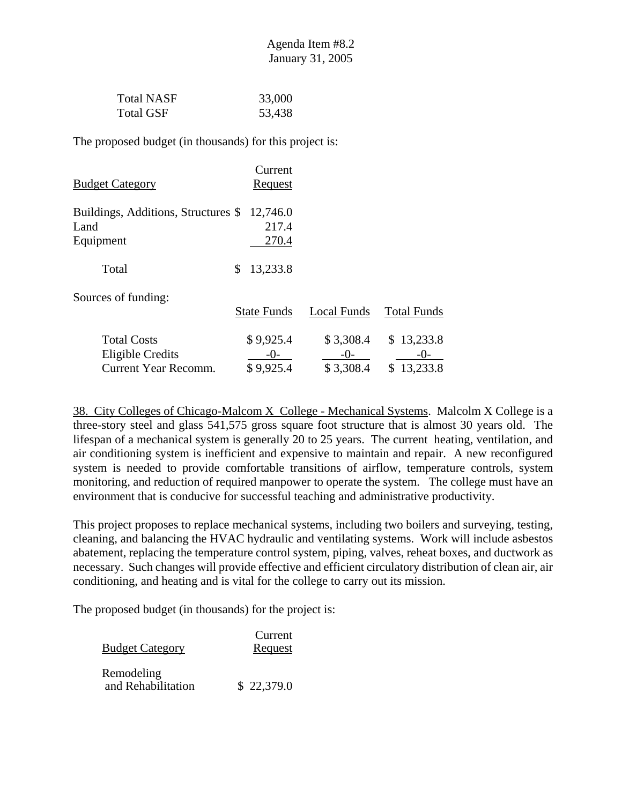| <b>Total NASF</b> | 33,000 |
|-------------------|--------|
| Total GSF         | 53,438 |

| <u>Budget Category</u>                                                | Current<br><u>Request</u>         |                                 |                                     |
|-----------------------------------------------------------------------|-----------------------------------|---------------------------------|-------------------------------------|
| Buildings, Additions, Structures \$<br>Land<br>Equipment              | 12,746.0<br>217.4<br>270.4        |                                 |                                     |
| Total                                                                 | \$<br>13,233.8                    |                                 |                                     |
| Sources of funding:                                                   | <b>State Funds</b>                | <b>Local Funds</b>              | <b>Total Funds</b>                  |
| <b>Total Costs</b><br>Eligible Credits<br><b>Current Year Recomm.</b> | \$9,925.4<br>$-()$ -<br>\$9,925.4 | \$3,308.4<br>$-()$<br>\$3,308.4 | \$13,233.8<br>$-()$ -<br>\$13,233.8 |

38. City Colleges of Chicago-Malcom X College - Mechanical Systems. Malcolm X College is a three-story steel and glass 541,575 gross square foot structure that is almost 30 years old. The lifespan of a mechanical system is generally 20 to 25 years. The current heating, ventilation, and air conditioning system is inefficient and expensive to maintain and repair. A new reconfigured system is needed to provide comfortable transitions of airflow, temperature controls, system monitoring, and reduction of required manpower to operate the system. The college must have an environment that is conducive for successful teaching and administrative productivity.

This project proposes to replace mechanical systems, including two boilers and surveying, testing, cleaning, and balancing the HVAC hydraulic and ventilating systems. Work will include asbestos abatement, replacing the temperature control system, piping, valves, reheat boxes, and ductwork as necessary. Such changes will provide effective and efficient circulatory distribution of clean air, air conditioning, and heating and is vital for the college to carry out its mission.

| <b>Budget Category</b>           | Current<br>Request |
|----------------------------------|--------------------|
| Remodeling<br>and Rehabilitation | \$22,379.0         |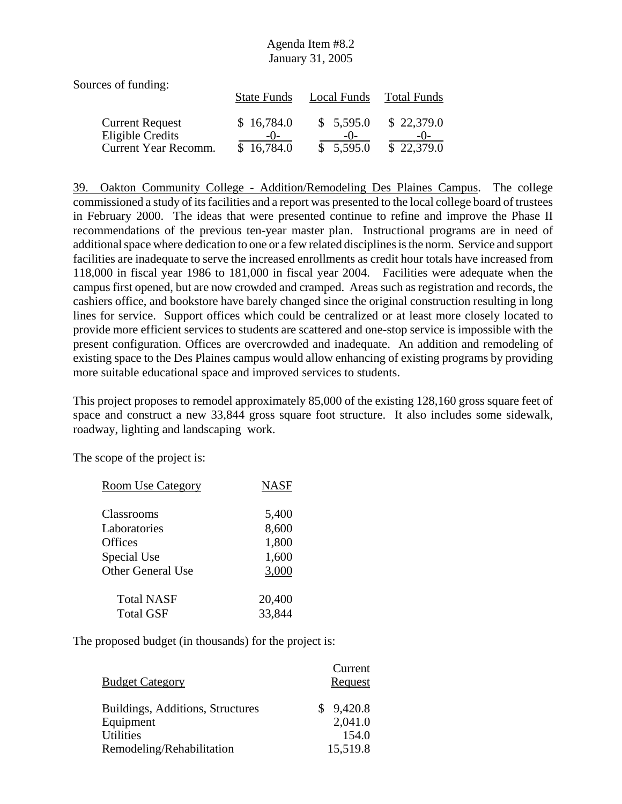| Sources of funding:                                                |                                   |                                 |                          |
|--------------------------------------------------------------------|-----------------------------------|---------------------------------|--------------------------|
|                                                                    | <b>State Funds</b>                | Local Funds                     | <b>Total Funds</b>       |
| <b>Current Request</b><br>Eligible Credits<br>Current Year Recomm. | \$16,784.0<br>$-()$<br>\$16,784.0 | \$5,595.0<br>$-()$<br>\$5,595.0 | \$22,379.0<br>\$22,379.0 |

39. Oakton Community College - Addition/Remodeling Des Plaines Campus. The college commissioned a study of its facilities and a report was presented to the local college board of trustees in February 2000. The ideas that were presented continue to refine and improve the Phase II recommendations of the previous ten-year master plan. Instructional programs are in need of additional space where dedication to one or a few related disciplines is the norm. Service and support facilities are inadequate to serve the increased enrollments as credit hour totals have increased from 118,000 in fiscal year 1986 to 181,000 in fiscal year 2004. Facilities were adequate when the campus first opened, but are now crowded and cramped. Areas such as registration and records, the cashiers office, and bookstore have barely changed since the original construction resulting in long lines for service. Support offices which could be centralized or at least more closely located to provide more efficient services to students are scattered and one-stop service is impossible with the present configuration. Offices are overcrowded and inadequate. An addition and remodeling of existing space to the Des Plaines campus would allow enhancing of existing programs by providing more suitable educational space and improved services to students.

This project proposes to remodel approximately 85,000 of the existing 128,160 gross square feet of space and construct a new 33,844 gross square foot structure. It also includes some sidewalk, roadway, lighting and landscaping work.

The scope of the project is:

| <b>Room Use Category</b> | <b>NASF</b> |
|--------------------------|-------------|
|                          |             |
| Classrooms               | 5,400       |
| Laboratories             | 8,600       |
| Offices                  | 1,800       |
| Special Use              | 1,600       |
| <b>Other General Use</b> | 3,000       |
|                          |             |
| <b>Total NASF</b>        | 20,400      |
| <b>Total GSF</b>         | 33,844      |
|                          |             |

| <b>Budget Category</b>           | Current<br>Request |
|----------------------------------|--------------------|
| Buildings, Additions, Structures | 9,420.8<br>S.      |
| Equipment                        | 2,041.0            |
| <b>Utilities</b>                 | 154.0              |
| Remodeling/Rehabilitation        | 15,519.8           |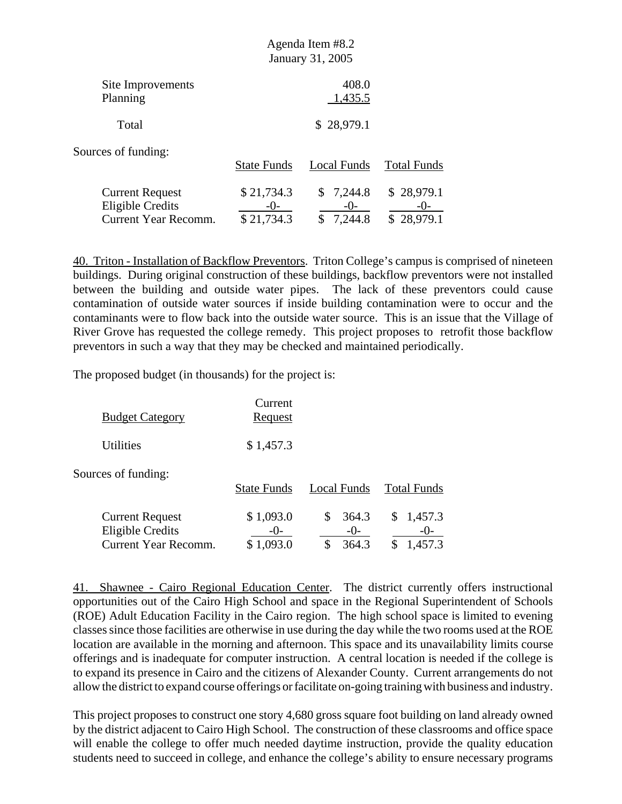| January 31, 2005                  |                                 |                          |
|-----------------------------------|---------------------------------|--------------------------|
|                                   | 408.0<br>1,435.5                |                          |
|                                   | \$28,979.1                      |                          |
| <b>State Funds</b>                | Local Funds                     | <b>Total Funds</b>       |
| \$21,734.3<br>$-()$<br>\$21,734.3 | \$7,244.8<br>$-()$ -<br>7,244.8 | \$28,979.1<br>\$28,979.1 |
|                                   |                                 |                          |

40. Triton - Installation of Backflow Preventors. Triton College's campus is comprised of nineteen buildings. During original construction of these buildings, backflow preventors were not installed between the building and outside water pipes. The lack of these preventors could cause contamination of outside water sources if inside building contamination were to occur and the contaminants were to flow back into the outside water source. This is an issue that the Village of River Grove has requested the college remedy. This project proposes to retrofit those backflow preventors in such a way that they may be checked and maintained periodically.

Agenda Item #8.2

The proposed budget (in thousands) for the project is:

| <b>Budget Category</b>                                                           | Current<br><b>Request</b>          |                         |                                  |
|----------------------------------------------------------------------------------|------------------------------------|-------------------------|----------------------------------|
| Utilities                                                                        | \$1,457.3                          |                         |                                  |
| Sources of funding:                                                              | <b>State Funds</b>                 | Local Funds             | <b>Total Funds</b>               |
| <b>Current Request</b><br><b>Eligible Credits</b><br><b>Current Year Recomm.</b> | \$1,093.0<br>$-()$<br>1,093.0<br>S | 364.3<br>$-()$<br>364.3 | 1,457.3<br>\$<br>-()-<br>1,457.3 |

41. Shawnee - Cairo Regional Education Center. The district currently offers instructional opportunities out of the Cairo High School and space in the Regional Superintendent of Schools (ROE) Adult Education Facility in the Cairo region. The high school space is limited to evening classes since those facilities are otherwise in use during the day while the two rooms used at the ROE location are available in the morning and afternoon. This space and its unavailability limits course offerings and is inadequate for computer instruction. A central location is needed if the college is to expand its presence in Cairo and the citizens of Alexander County. Current arrangements do not allow the district to expand course offerings or facilitate on-going training with business and industry.

This project proposes to construct one story 4,680 gross square foot building on land already owned by the district adjacent to Cairo High School. The construction of these classrooms and office space will enable the college to offer much needed daytime instruction, provide the quality education students need to succeed in college, and enhance the college's ability to ensure necessary programs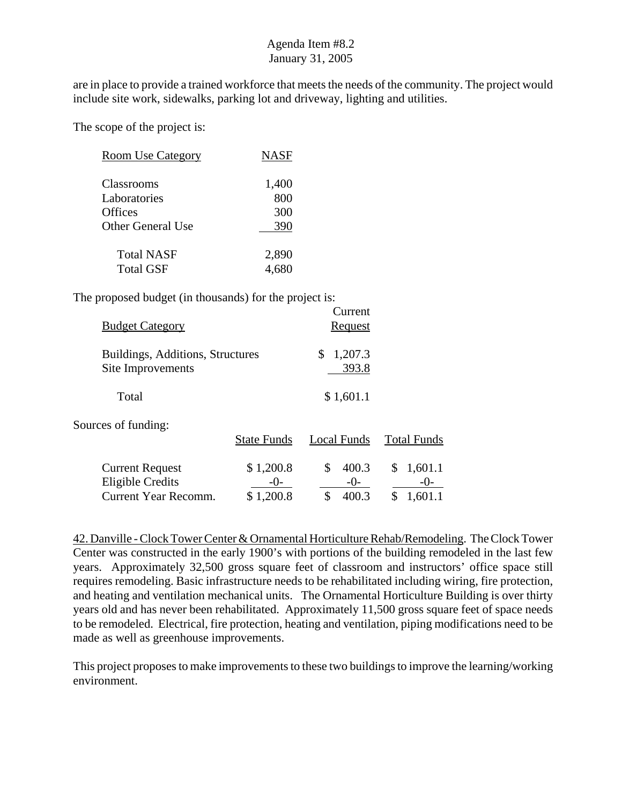are in place to provide a trained workforce that meets the needs of the community. The project would include site work, sidewalks, parking lot and driveway, lighting and utilities.

The scope of the project is:

| <b>Room Use Category</b> | <b>NASF</b> |
|--------------------------|-------------|
| Classrooms               | 1,400       |
| Laboratories<br>Offices  | 800<br>300  |
| <b>Other General Use</b> | 390         |
| Total NASF               | 2,890       |
| Total GSF                |             |

The proposed budget (in thousands) for the project is:

| <b>Budget Category</b>                                                           |                                   | Current<br>Request                    |                                  |
|----------------------------------------------------------------------------------|-----------------------------------|---------------------------------------|----------------------------------|
| Buildings, Additions, Structures<br>Site Improvements                            |                                   | \$<br>1,207.3<br>393.8                |                                  |
| Total                                                                            |                                   | \$1,601.1                             |                                  |
| Sources of funding:                                                              | <b>State Funds</b>                | Local Funds                           | <b>Total Funds</b>               |
| <b>Current Request</b><br><b>Eligible Credits</b><br><b>Current Year Recomm.</b> | \$1,200.8<br>$-()$ -<br>\$1,200.8 | \$<br>400.3<br>$-()$ -<br>\$<br>400.3 | 1,601.1<br>S<br>$-()$<br>1,601.1 |

42. Danville - Clock Tower Center & Ornamental Horticulture Rehab/Remodeling. The Clock Tower Center was constructed in the early 1900's with portions of the building remodeled in the last few years. Approximately 32,500 gross square feet of classroom and instructors' office space still requires remodeling. Basic infrastructure needs to be rehabilitated including wiring, fire protection, and heating and ventilation mechanical units. The Ornamental Horticulture Building is over thirty years old and has never been rehabilitated. Approximately 11,500 gross square feet of space needs to be remodeled. Electrical, fire protection, heating and ventilation, piping modifications need to be made as well as greenhouse improvements.

This project proposes to make improvements to these two buildings to improve the learning/working environment.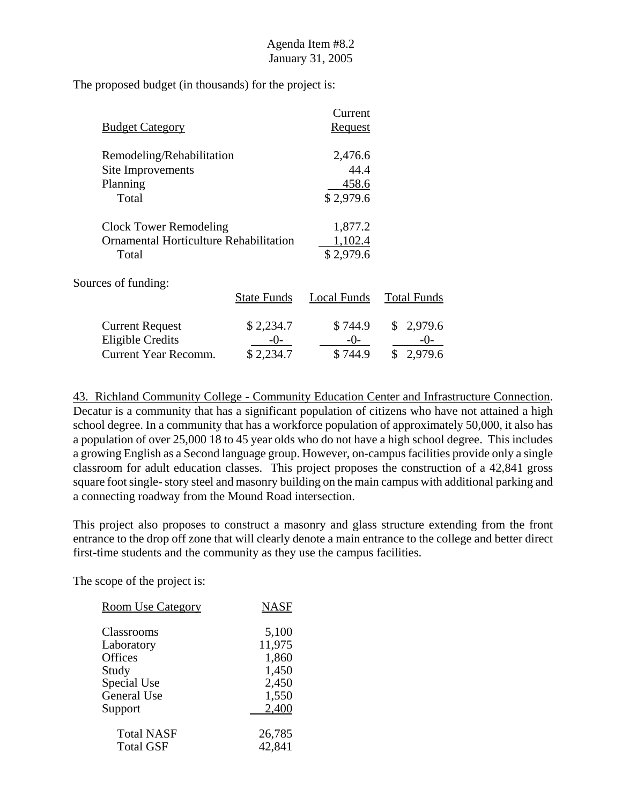The proposed budget (in thousands) for the project is:

|                               |                                        | Current              |                    |
|-------------------------------|----------------------------------------|----------------------|--------------------|
| <b>Budget Category</b>        |                                        | <b>Request</b>       |                    |
| Remodeling/Rehabilitation     |                                        | 2,476.6              |                    |
| Site Improvements             |                                        | 44.4                 |                    |
| Planning                      |                                        | 458.6                |                    |
| Total                         |                                        | \$2,979.6            |                    |
| <b>Clock Tower Remodeling</b> |                                        | 1,877.2              |                    |
|                               | Ornamental Horticulture Rehabilitation |                      |                    |
| Total                         |                                        | 1,102.4<br>\$2,979.6 |                    |
| Sources of funding:           |                                        |                      |                    |
|                               | <b>State Funds</b>                     | Local Funds          | <b>Total Funds</b> |
| <b>Current Request</b>        | \$2,234.7                              | \$744.9              | \$2,979.6          |
| <b>Eligible Credits</b>       | $-()$                                  | $-()$ -              | -()-               |
| <b>Current Year Recomm.</b>   | \$2,234.7                              | \$744.9              | \$2,979.6          |
|                               |                                        |                      |                    |

43. Richland Community College - Community Education Center and Infrastructure Connection. Decatur is a community that has a significant population of citizens who have not attained a high school degree. In a community that has a workforce population of approximately 50,000, it also has a population of over 25,000 18 to 45 year olds who do not have a high school degree. This includes a growing English as a Second language group. However, on-campus facilities provide only a single classroom for adult education classes. This project proposes the construction of a 42,841 gross square foot single- story steel and masonry building on the main campus with additional parking and a connecting roadway from the Mound Road intersection.

This project also proposes to construct a masonry and glass structure extending from the front entrance to the drop off zone that will clearly denote a main entrance to the college and better direct first-time students and the community as they use the campus facilities.

| <b>Room Use Category</b> | <b>NASF</b> |
|--------------------------|-------------|
| Classrooms               | 5,100       |
| Laboratory               | 11,975      |
| Offices                  | 1,860       |
| Study                    | 1,450       |
| Special Use              | 2,450       |
| General Use              | 1,550       |
| Support                  | 2,400       |
| <b>Total NASF</b>        | 26,785      |
| <b>Total GSF</b>         | 42,841      |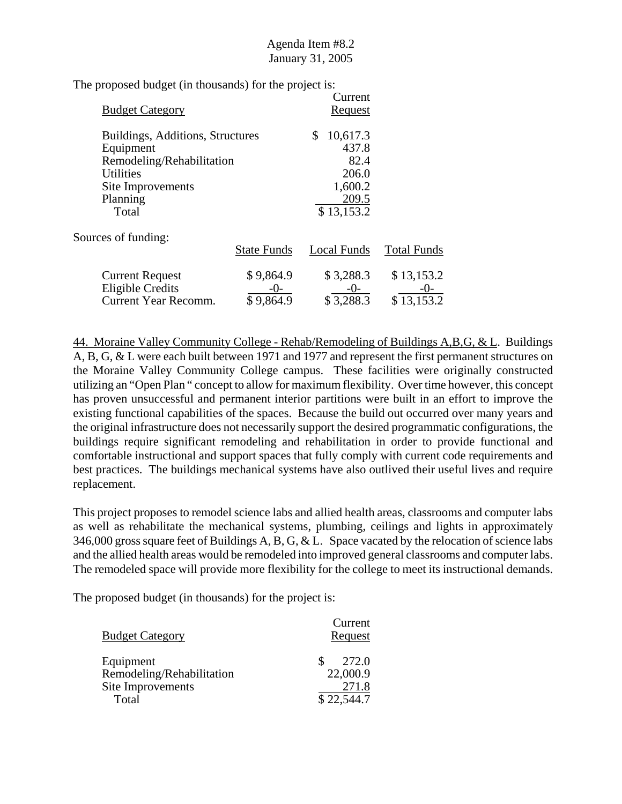| <b>Budget Category</b>           |                    | Current<br><b>Request</b> |                    |
|----------------------------------|--------------------|---------------------------|--------------------|
| Buildings, Additions, Structures |                    | \$<br>10,617.3            |                    |
| Equipment                        |                    | 437.8                     |                    |
| Remodeling/Rehabilitation        |                    | 82.4                      |                    |
| <b>Utilities</b>                 |                    | 206.0                     |                    |
| Site Improvements                |                    | 1,600.2                   |                    |
| Planning                         |                    | 209.5                     |                    |
| Total                            |                    | \$13,153.2                |                    |
| Sources of funding:              |                    |                           |                    |
|                                  | <b>State Funds</b> | Local Funds               | <b>Total Funds</b> |
| <b>Current Request</b>           | \$9,864.9          | \$3,288.3                 | \$13,153.2         |
| <b>Eligible Credits</b>          | $-()$ -            | $-0-$                     | $-()$              |
| <b>Current Year Recomm.</b>      | \$9,864.9          | \$3,288.3                 | \$13,153.2         |

44. Moraine Valley Community College - Rehab/Remodeling of Buildings A,B,G, & L. Buildings A, B, G, & L were each built between 1971 and 1977 and represent the first permanent structures on the Moraine Valley Community College campus. These facilities were originally constructed utilizing an "Open Plan " concept to allow for maximum flexibility. Over time however, this concept has proven unsuccessful and permanent interior partitions were built in an effort to improve the existing functional capabilities of the spaces. Because the build out occurred over many years and the original infrastructure does not necessarily support the desired programmatic configurations, the buildings require significant remodeling and rehabilitation in order to provide functional and comfortable instructional and support spaces that fully comply with current code requirements and best practices. The buildings mechanical systems have also outlived their useful lives and require replacement.

This project proposes to remodel science labs and allied health areas, classrooms and computer labs as well as rehabilitate the mechanical systems, plumbing, ceilings and lights in approximately 346,000 gross square feet of Buildings A, B, G, & L. Space vacated by the relocation of science labs and the allied health areas would be remodeled into improved general classrooms and computer labs. The remodeled space will provide more flexibility for the college to meet its instructional demands.

| <b>Budget Category</b>    | Current<br>Request |
|---------------------------|--------------------|
| Equipment                 | 272.0              |
| Remodeling/Rehabilitation | 22,000.9           |
| Site Improvements         | 271.8              |
| Total                     | \$22,544.7         |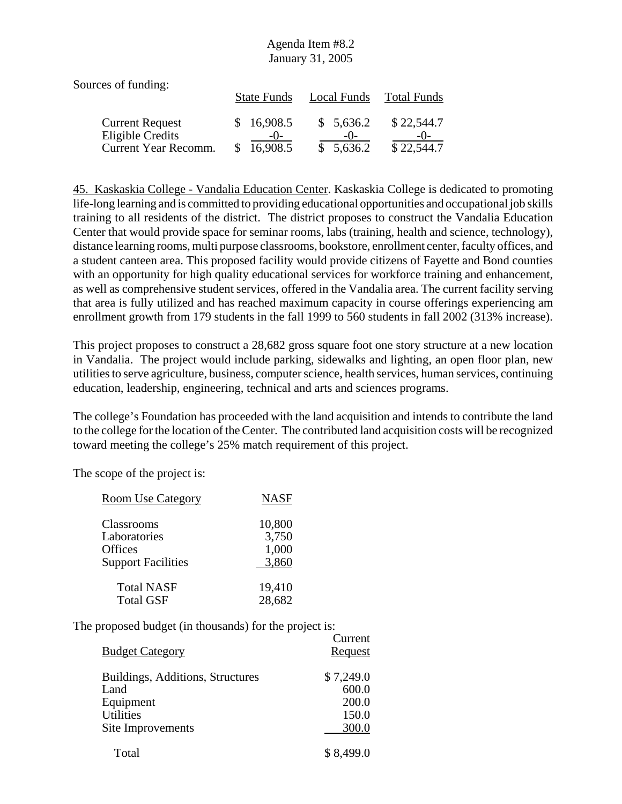| Sources of funding:                        |                     |                    |                     |
|--------------------------------------------|---------------------|--------------------|---------------------|
|                                            | <b>State Funds</b>  | Local Funds        | <b>Total Funds</b>  |
| <b>Current Request</b><br>Eligible Credits | \$16,908.5<br>$-()$ | \$5,636.2<br>$-()$ | \$22,544.7<br>$-()$ |
| Current Year Recomm.                       | 16,908.5            | \$5,636.2          | \$22,544.7          |

45. Kaskaskia College - Vandalia Education Center. Kaskaskia College is dedicated to promoting life-long learning and is committed to providing educational opportunities and occupational job skills training to all residents of the district. The district proposes to construct the Vandalia Education Center that would provide space for seminar rooms, labs (training, health and science, technology), distance learning rooms, multi purpose classrooms, bookstore, enrollment center, faculty offices, and a student canteen area. This proposed facility would provide citizens of Fayette and Bond counties with an opportunity for high quality educational services for workforce training and enhancement, as well as comprehensive student services, offered in the Vandalia area. The current facility serving that area is fully utilized and has reached maximum capacity in course offerings experiencing am enrollment growth from 179 students in the fall 1999 to 560 students in fall 2002 (313% increase).

This project proposes to construct a 28,682 gross square foot one story structure at a new location in Vandalia. The project would include parking, sidewalks and lighting, an open floor plan, new utilities to serve agriculture, business, computer science, health services, human services, continuing education, leadership, engineering, technical and arts and sciences programs.

The college's Foundation has proceeded with the land acquisition and intends to contribute the land to the college for the location of the Center. The contributed land acquisition costs will be recognized toward meeting the college's 25% match requirement of this project.

The scope of the project is:

| <b>Room Use Category</b>  | <b>NASF</b> |
|---------------------------|-------------|
| Classrooms                | 10,800      |
| Laboratories              | 3,750       |
| Offices                   | 1,000       |
| <b>Support Facilities</b> | 3,860       |
| <b>Total NASF</b>         | 19,410      |
| <b>Total GSF</b>          | 28,682      |

|                                  | Current        |
|----------------------------------|----------------|
| <b>Budget Category</b>           | <b>Request</b> |
| Buildings, Additions, Structures | \$7,249.0      |
| Land                             | 600.0          |
| Equipment                        | 200.0          |
| <b>Utilities</b>                 | 150.0          |
| Site Improvements                | 300.0          |
| Total                            | \$8,499.0      |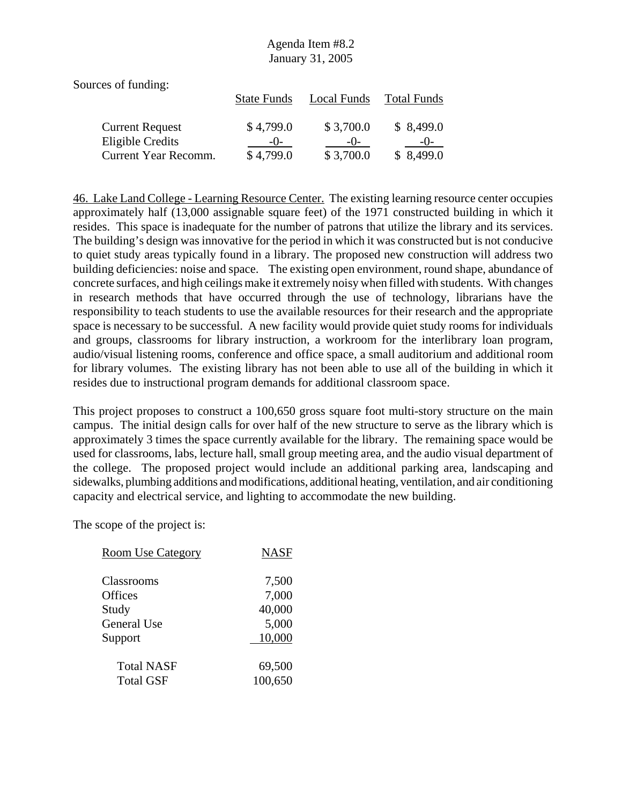| Sources of funding:         |                    |             |                    |
|-----------------------------|--------------------|-------------|--------------------|
|                             | <b>State Funds</b> | Local Funds | <b>Total Funds</b> |
|                             |                    |             |                    |
| <b>Current Request</b>      | \$4,799.0          | \$3,700.0   | \$8,499.0          |
| Eligible Credits            | $-()$              | $-()$       | $-()$              |
| <b>Current Year Recomm.</b> | \$4,799.0          | \$3,700.0   | \$8,499.0          |

46. Lake Land College - Learning Resource Center. The existing learning resource center occupies approximately half (13,000 assignable square feet) of the 1971 constructed building in which it resides. This space is inadequate for the number of patrons that utilize the library and its services. The building's design was innovative for the period in which it was constructed but is not conducive to quiet study areas typically found in a library. The proposed new construction will address two building deficiencies: noise and space. The existing open environment, round shape, abundance of concrete surfaces, and high ceilings make it extremely noisy when filled with students. With changes in research methods that have occurred through the use of technology, librarians have the responsibility to teach students to use the available resources for their research and the appropriate space is necessary to be successful. A new facility would provide quiet study rooms for individuals and groups, classrooms for library instruction, a workroom for the interlibrary loan program, audio/visual listening rooms, conference and office space, a small auditorium and additional room for library volumes. The existing library has not been able to use all of the building in which it resides due to instructional program demands for additional classroom space.

This project proposes to construct a 100,650 gross square foot multi-story structure on the main campus. The initial design calls for over half of the new structure to serve as the library which is approximately 3 times the space currently available for the library. The remaining space would be used for classrooms, labs, lecture hall, small group meeting area, and the audio visual department of the college. The proposed project would include an additional parking area, landscaping and sidewalks, plumbing additions and modifications, additional heating, ventilation, and air conditioning capacity and electrical service, and lighting to accommodate the new building.

| <b>Room Use Category</b> | <b>NASF</b> |
|--------------------------|-------------|
|                          |             |
| Classrooms               | 7,500       |
| Offices                  | 7,000       |
| Study                    | 40,000      |
| General Use              | 5,000       |
| Support                  | 10,000      |
| <b>Total NASF</b>        | 69,500      |
| <b>Total GSF</b>         | 100,650     |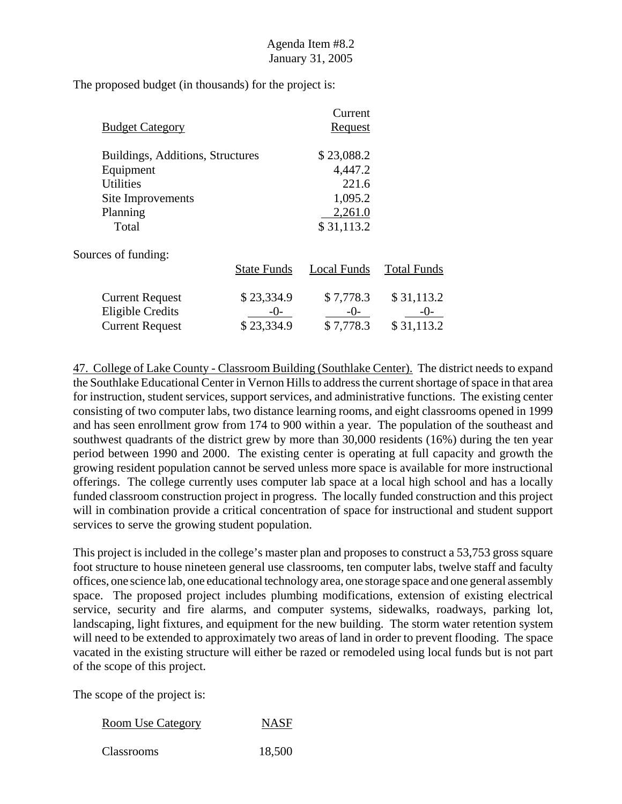| <b>Budget Category</b>           |                    | Current<br><b>Request</b> |                    |
|----------------------------------|--------------------|---------------------------|--------------------|
| Buildings, Additions, Structures |                    | \$23,088.2                |                    |
| Equipment                        |                    | 4,447.2                   |                    |
| <b>Utilities</b>                 |                    | 221.6                     |                    |
| Site Improvements                |                    | 1,095.2                   |                    |
| Planning                         |                    | 2,261.0                   |                    |
| Total                            |                    | \$31,113.2                |                    |
| Sources of funding:              |                    |                           |                    |
|                                  | <b>State Funds</b> | Local Funds               | <b>Total Funds</b> |
| <b>Current Request</b>           | \$23,334.9         | \$7,778.3                 | \$31,113.2         |
| Eligible Credits                 | $-()$              | $-0-$                     | $-()$              |
| <b>Current Request</b>           | \$23,334.9         | \$7,778.3                 | \$31,113.2         |

47. College of Lake County - Classroom Building (Southlake Center). The district needs to expand the Southlake Educational Center in Vernon Hills to address the current shortage of space in that area for instruction, student services, support services, and administrative functions. The existing center consisting of two computer labs, two distance learning rooms, and eight classrooms opened in 1999 and has seen enrollment grow from 174 to 900 within a year. The population of the southeast and southwest quadrants of the district grew by more than 30,000 residents (16%) during the ten year period between 1990 and 2000. The existing center is operating at full capacity and growth the growing resident population cannot be served unless more space is available for more instructional offerings. The college currently uses computer lab space at a local high school and has a locally funded classroom construction project in progress. The locally funded construction and this project will in combination provide a critical concentration of space for instructional and student support services to serve the growing student population.

This project is included in the college's master plan and proposes to construct a 53,753 gross square foot structure to house nineteen general use classrooms, ten computer labs, twelve staff and faculty offices, one science lab, one educational technology area, one storage space and one general assembly space. The proposed project includes plumbing modifications, extension of existing electrical service, security and fire alarms, and computer systems, sidewalks, roadways, parking lot, landscaping, light fixtures, and equipment for the new building. The storm water retention system will need to be extended to approximately two areas of land in order to prevent flooding. The space vacated in the existing structure will either be razed or remodeled using local funds but is not part of the scope of this project.

The scope of the project is:

| <b>Room Use Category</b> | <b>NASF</b> |
|--------------------------|-------------|
|--------------------------|-------------|

Classrooms 18,500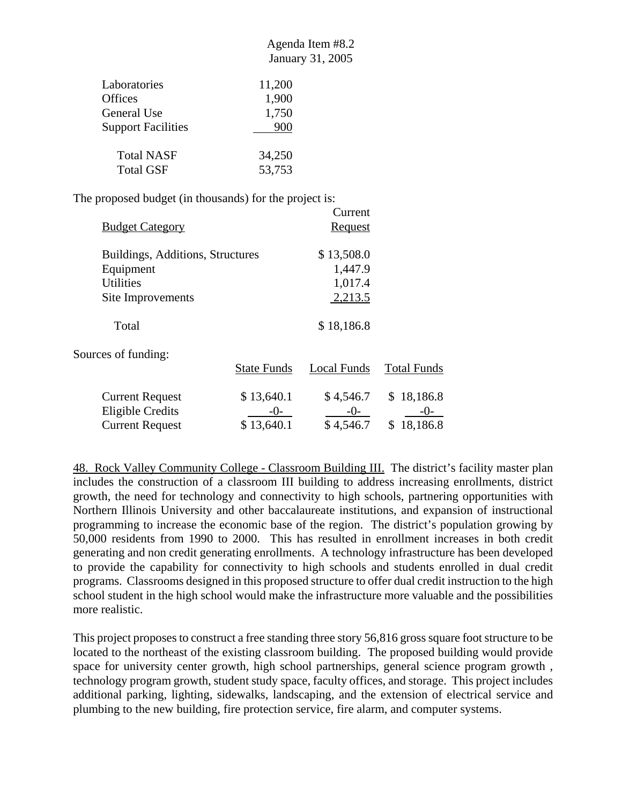$C<sub>trans</sub> + C<sub>trans</sub>$ 

| Laboratories              | 11,200 |
|---------------------------|--------|
| <b>Offices</b>            | 1,900  |
| General Use               | 1,750  |
| <b>Support Facilities</b> | 900    |
| <b>Total NASF</b>         | 34,250 |
| <b>Total GSF</b>          | 53,753 |

The proposed budget (in thousands) for the project is:

|                                  |                    | Current        |                    |
|----------------------------------|--------------------|----------------|--------------------|
| <b>Budget Category</b>           |                    | <b>Request</b> |                    |
| Buildings, Additions, Structures |                    | \$13,508.0     |                    |
| Equipment                        |                    | 1,447.9        |                    |
| <b>Utilities</b>                 |                    | 1,017.4        |                    |
| Site Improvements                |                    | 2,213.5        |                    |
| Total                            |                    | \$18,186.8     |                    |
| Sources of funding:              |                    |                |                    |
|                                  | <b>State Funds</b> | Local Funds    | <b>Total Funds</b> |
| <b>Current Request</b>           | \$13,640.1         | \$4,546.7      | \$18,186.8         |
| <b>Eligible Credits</b>          | -()-               | $-0-$          | -()-               |

Current Request  $$ 13,640.1$   $$ 4,546.7$   $$ 18,186.8$ 

48. Rock Valley Community College - Classroom Building III. The district's facility master plan includes the construction of a classroom III building to address increasing enrollments, district growth, the need for technology and connectivity to high schools, partnering opportunities with Northern Illinois University and other baccalaureate institutions, and expansion of instructional programming to increase the economic base of the region. The district's population growing by 50,000 residents from 1990 to 2000. This has resulted in enrollment increases in both credit generating and non credit generating enrollments. A technology infrastructure has been developed to provide the capability for connectivity to high schools and students enrolled in dual credit programs. Classrooms designed in this proposed structure to offer dual credit instruction to the high school student in the high school would make the infrastructure more valuable and the possibilities more realistic.

This project proposes to construct a free standing three story 56,816 gross square foot structure to be located to the northeast of the existing classroom building. The proposed building would provide space for university center growth, high school partnerships, general science program growth , technology program growth, student study space, faculty offices, and storage. This project includes additional parking, lighting, sidewalks, landscaping, and the extension of electrical service and plumbing to the new building, fire protection service, fire alarm, and computer systems.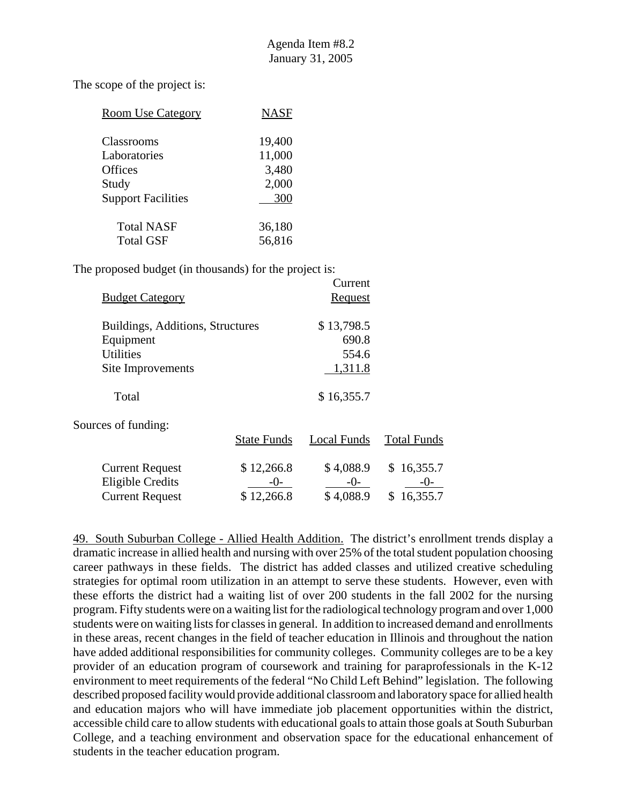The scope of the project is:

| <b>Room Use Category</b>  | <b>NASF</b> |
|---------------------------|-------------|
| Classrooms                | 19,400      |
| Laboratories              | 11,000      |
| <b>Offices</b>            | 3,480       |
| Study                     | 2,000       |
| <b>Support Facilities</b> | 300         |
| <b>Total NASF</b>         | 36,180      |
| <b>Total GSF</b>          | 56,816      |

The proposed budget (in thousands) for the project is:

|                                  |                    | Current        |                    |
|----------------------------------|--------------------|----------------|--------------------|
| <b>Budget Category</b>           |                    | <b>Request</b> |                    |
| Buildings, Additions, Structures |                    | \$13,798.5     |                    |
| Equipment                        |                    | 690.8          |                    |
| <b>Utilities</b>                 |                    | 554.6          |                    |
| Site Improvements                |                    | 1,311.8        |                    |
| Total                            |                    | \$16,355.7     |                    |
| Sources of funding:              |                    |                |                    |
|                                  | <b>State Funds</b> | Local Funds    | <b>Total Funds</b> |
| <b>Current Request</b>           | \$12,266.8         | \$4,088.9      | 16,355.7<br>S.     |
| <b>Eligible Credits</b>          | $-()$ -            | $-()$          | -0-                |
| <b>Current Request</b>           | \$12,266.8         | \$4,088.9      | 16,355.7<br>\$     |

49. South Suburban College - Allied Health Addition. The district's enrollment trends display a dramatic increase in allied health and nursing with over 25% of the total student population choosing career pathways in these fields. The district has added classes and utilized creative scheduling strategies for optimal room utilization in an attempt to serve these students. However, even with these efforts the district had a waiting list of over 200 students in the fall 2002 for the nursing program. Fifty students were on a waiting list for the radiological technology program and over 1,000 students were on waiting lists for classes in general. In addition to increased demand and enrollments in these areas, recent changes in the field of teacher education in Illinois and throughout the nation have added additional responsibilities for community colleges. Community colleges are to be a key provider of an education program of coursework and training for paraprofessionals in the K-12 environment to meet requirements of the federal "No Child Left Behind" legislation. The following described proposed facility would provide additional classroom and laboratory space for allied health and education majors who will have immediate job placement opportunities within the district, accessible child care to allow students with educational goals to attain those goals at South Suburban College, and a teaching environment and observation space for the educational enhancement of students in the teacher education program.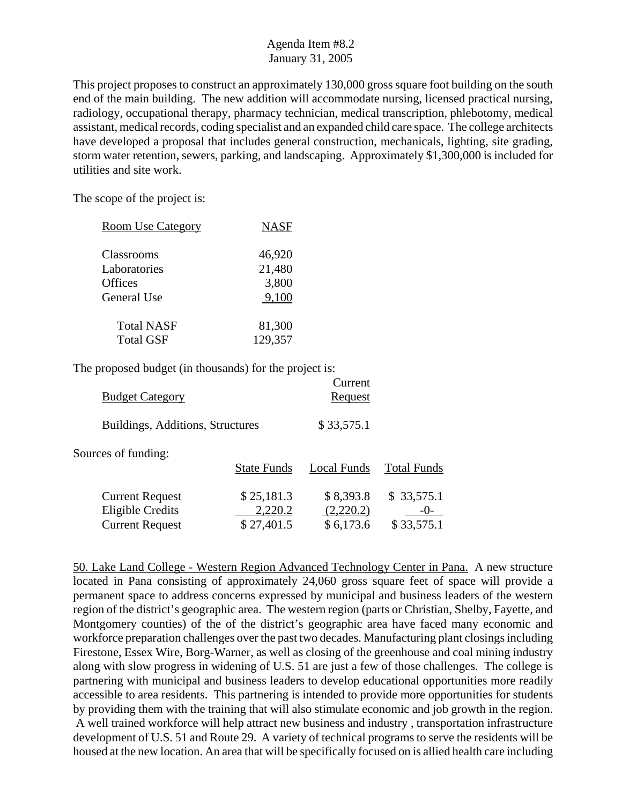This project proposes to construct an approximately 130,000 gross square foot building on the south end of the main building. The new addition will accommodate nursing, licensed practical nursing, radiology, occupational therapy, pharmacy technician, medical transcription, phlebotomy, medical assistant, medical records, coding specialist and an expanded child care space. The college architects have developed a proposal that includes general construction, mechanicals, lighting, site grading, storm water retention, sewers, parking, and landscaping. Approximately \$1,300,000 is included for utilities and site work.

The scope of the project is:

| <b>Room Use Category</b> | <b>NASF</b> |
|--------------------------|-------------|
|                          |             |
| Classrooms               | 46,920      |
| Laboratories             | 21,480      |
| Offices                  | 3,800       |
| General Use              | 9,100       |
|                          |             |
| <b>Total NASF</b>        | 81,300      |
| <b>Total GSF</b>         | 129,357     |

The proposed budget (in thousands) for the project is:

| <b>Budget Category</b>                                                      |                                     | Current<br>Request                  |                                   |
|-----------------------------------------------------------------------------|-------------------------------------|-------------------------------------|-----------------------------------|
| Buildings, Additions, Structures                                            |                                     | \$33,575.1                          |                                   |
| Sources of funding:                                                         | <b>State Funds</b>                  | Local Funds                         | <b>Total Funds</b>                |
| <b>Current Request</b><br><b>Eligible Credits</b><br><b>Current Request</b> | \$25,181.3<br>2,220.2<br>\$27,401.5 | \$8,393.8<br>(2,220.2)<br>\$6,173.6 | \$33,575.1<br>$-0-$<br>\$33,575.1 |

50. Lake Land College - Western Region Advanced Technology Center in Pana. A new structure located in Pana consisting of approximately 24,060 gross square feet of space will provide a permanent space to address concerns expressed by municipal and business leaders of the western region of the district's geographic area. The western region (parts or Christian, Shelby, Fayette, and Montgomery counties) of the of the district's geographic area have faced many economic and workforce preparation challenges over the past two decades. Manufacturing plant closings including Firestone, Essex Wire, Borg-Warner, as well as closing of the greenhouse and coal mining industry along with slow progress in widening of U.S. 51 are just a few of those challenges. The college is partnering with municipal and business leaders to develop educational opportunities more readily accessible to area residents. This partnering is intended to provide more opportunities for students by providing them with the training that will also stimulate economic and job growth in the region. A well trained workforce will help attract new business and industry , transportation infrastructure development of U.S. 51 and Route 29. A variety of technical programs to serve the residents will be housed at the new location. An area that will be specifically focused on is allied health care including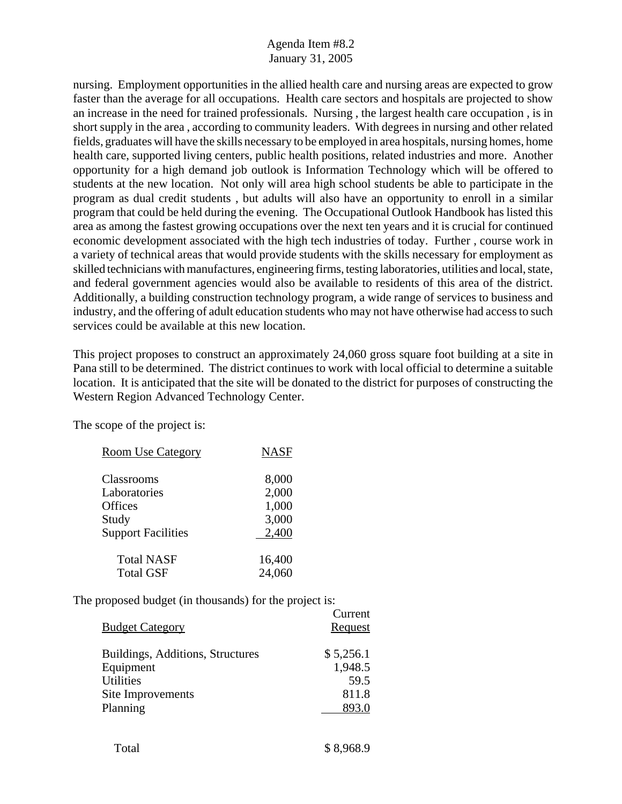nursing. Employment opportunities in the allied health care and nursing areas are expected to grow faster than the average for all occupations. Health care sectors and hospitals are projected to show an increase in the need for trained professionals. Nursing , the largest health care occupation , is in short supply in the area , according to community leaders. With degrees in nursing and other related fields, graduates will have the skills necessary to be employed in area hospitals, nursing homes, home health care, supported living centers, public health positions, related industries and more. Another opportunity for a high demand job outlook is Information Technology which will be offered to students at the new location. Not only will area high school students be able to participate in the program as dual credit students , but adults will also have an opportunity to enroll in a similar program that could be held during the evening. The Occupational Outlook Handbook has listed this area as among the fastest growing occupations over the next ten years and it is crucial for continued economic development associated with the high tech industries of today. Further , course work in a variety of technical areas that would provide students with the skills necessary for employment as skilled technicians with manufactures, engineering firms, testing laboratories, utilities and local, state, and federal government agencies would also be available to residents of this area of the district. Additionally, a building construction technology program, a wide range of services to business and industry, and the offering of adult education students who may not have otherwise had access to such services could be available at this new location.

This project proposes to construct an approximately 24,060 gross square foot building at a site in Pana still to be determined. The district continues to work with local official to determine a suitable location. It is anticipated that the site will be donated to the district for purposes of constructing the Western Region Advanced Technology Center.

The scope of the project is:

| <b>Room Use Category</b>  | <b>NASF</b> |
|---------------------------|-------------|
|                           |             |
| Classrooms                | 8,000       |
| Laboratories              | 2,000       |
| Offices                   | 1,000       |
| Study                     | 3,000       |
| <b>Support Facilities</b> | 2,400       |
|                           |             |
| <b>Total NASF</b>         | 16,400      |
| <b>Total GSF</b>          | 24,060      |

| <b>Budget Category</b>                                                                             | Culture<br>Request                             |
|----------------------------------------------------------------------------------------------------|------------------------------------------------|
| Buildings, Additions, Structures<br>Equipment<br><b>Utilities</b><br>Site Improvements<br>Planning | \$5,256.1<br>1,948.5<br>59.5<br>811.8<br>893.0 |
|                                                                                                    |                                                |

| \$8,968.9 |
|-----------|
|           |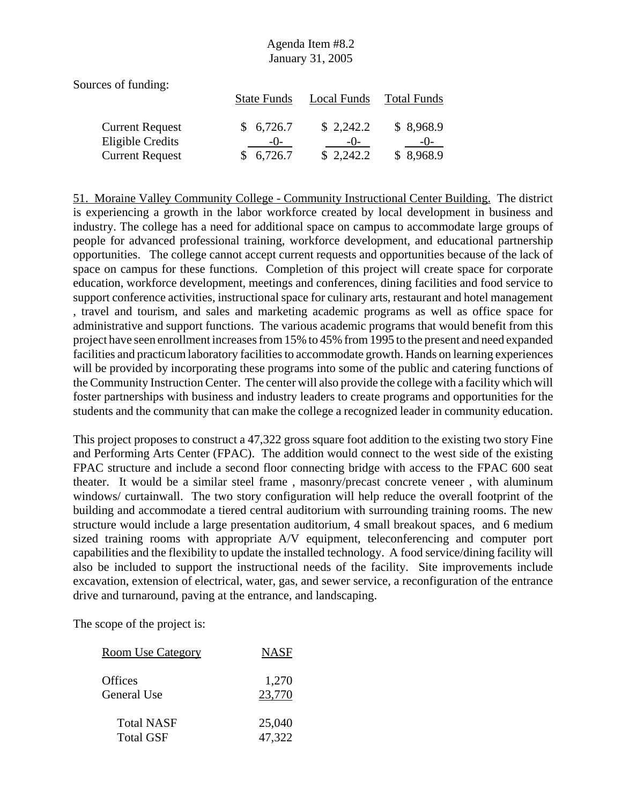Sources of funding:

|                        | <b>State Funds</b> | Local Funds | <b>Total Funds</b> |
|------------------------|--------------------|-------------|--------------------|
| <b>Current Request</b> | \$6,726.7          | \$2,242.2   | \$8,968.9          |
| Eligible Credits       | $-()$              | $-()$       | $-()$              |
| <b>Current Request</b> | \$6,726.7          | \$2,242.2   | \$8,968.9          |

51. Moraine Valley Community College - Community Instructional Center Building. The district is experiencing a growth in the labor workforce created by local development in business and industry. The college has a need for additional space on campus to accommodate large groups of people for advanced professional training, workforce development, and educational partnership opportunities. The college cannot accept current requests and opportunities because of the lack of space on campus for these functions. Completion of this project will create space for corporate education, workforce development, meetings and conferences, dining facilities and food service to support conference activities, instructional space for culinary arts, restaurant and hotel management , travel and tourism, and sales and marketing academic programs as well as office space for administrative and support functions. The various academic programs that would benefit from this project have seen enrollment increases from 15% to 45% from 1995 to the present and need expanded facilities and practicum laboratory facilities to accommodate growth. Hands on learning experiences will be provided by incorporating these programs into some of the public and catering functions of the Community Instruction Center. The center will also provide the college with a facility which will foster partnerships with business and industry leaders to create programs and opportunities for the students and the community that can make the college a recognized leader in community education.

This project proposes to construct a 47,322 gross square foot addition to the existing two story Fine and Performing Arts Center (FPAC). The addition would connect to the west side of the existing FPAC structure and include a second floor connecting bridge with access to the FPAC 600 seat theater. It would be a similar steel frame , masonry/precast concrete veneer , with aluminum windows/ curtainwall. The two story configuration will help reduce the overall footprint of the building and accommodate a tiered central auditorium with surrounding training rooms. The new structure would include a large presentation auditorium, 4 small breakout spaces, and 6 medium sized training rooms with appropriate A/V equipment, teleconferencing and computer port capabilities and the flexibility to update the installed technology. A food service/dining facility will also be included to support the instructional needs of the facility. Site improvements include excavation, extension of electrical, water, gas, and sewer service, a reconfiguration of the entrance drive and turnaround, paving at the entrance, and landscaping.

| <b>Room Use Category</b> | <b>NASF</b> |
|--------------------------|-------------|
| Offices                  | 1,270       |
| General Use              | 23,770      |
| <b>Total NASF</b>        | 25,040      |
| <b>Total GSF</b>         | 47,322      |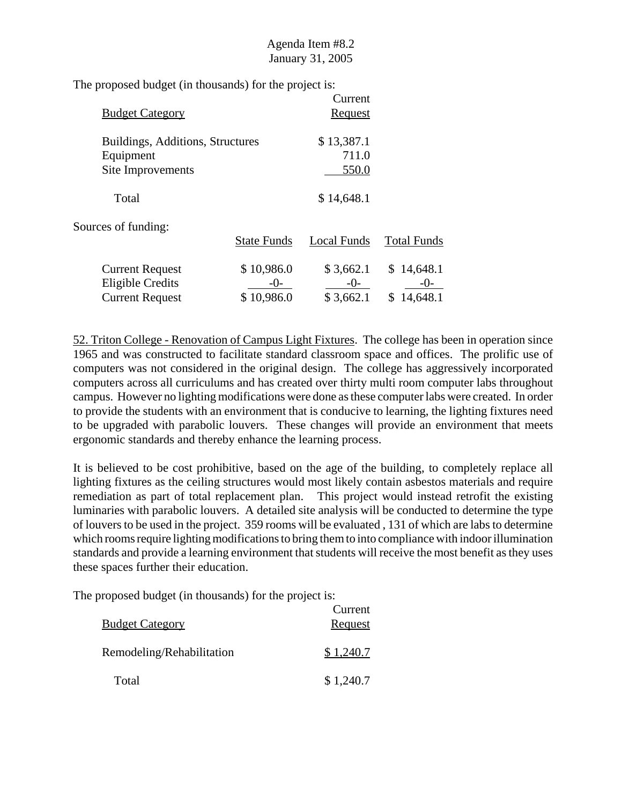| <b>Budget Category</b>                                                      |                                   | Current<br><b>Request</b>         |                                       |
|-----------------------------------------------------------------------------|-----------------------------------|-----------------------------------|---------------------------------------|
| Buildings, Additions, Structures<br>Equipment<br>Site Improvements          |                                   | \$13,387.1<br>711.0<br>550.0      |                                       |
| Total                                                                       |                                   | \$14,648.1                        |                                       |
| Sources of funding:                                                         | <b>State Funds</b>                | Local Funds                       | <b>Total Funds</b>                    |
| <b>Current Request</b><br><b>Eligible Credits</b><br><b>Current Request</b> | \$10,986.0<br>$-()$<br>\$10,986.0 | \$3,662.1<br>$-()$ -<br>\$3,662.1 | 14,648.1<br>S.<br>$-()$ -<br>14,648.1 |

52. Triton College - Renovation of Campus Light Fixtures. The college has been in operation since 1965 and was constructed to facilitate standard classroom space and offices. The prolific use of computers was not considered in the original design. The college has aggressively incorporated computers across all curriculums and has created over thirty multi room computer labs throughout campus. However no lighting modifications were done as these computer labs were created. In order to provide the students with an environment that is conducive to learning, the lighting fixtures need to be upgraded with parabolic louvers. These changes will provide an environment that meets ergonomic standards and thereby enhance the learning process.

It is believed to be cost prohibitive, based on the age of the building, to completely replace all lighting fixtures as the ceiling structures would most likely contain asbestos materials and require remediation as part of total replacement plan. This project would instead retrofit the existing luminaries with parabolic louvers. A detailed site analysis will be conducted to determine the type of louvers to be used in the project. 359 rooms will be evaluated , 131 of which are labs to determine which rooms require lighting modifications to bring them to into compliance with indoor illumination standards and provide a learning environment that students will receive the most benefit as they uses these spaces further their education.

| <b>Budget Category</b>    | Current<br>Request |
|---------------------------|--------------------|
| Remodeling/Rehabilitation | \$1,240.7          |
| Total                     | \$1,240.7          |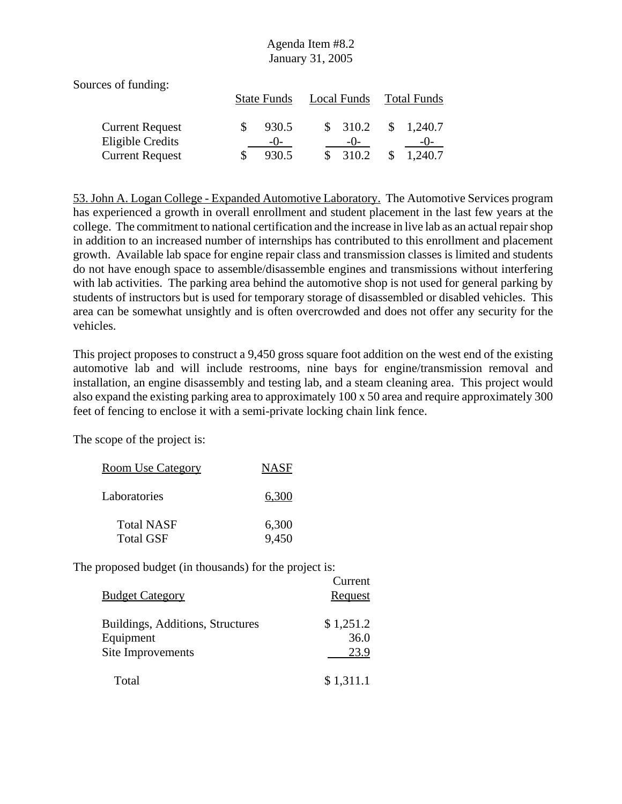| Sources of funding:    |                    |             |                    |
|------------------------|--------------------|-------------|--------------------|
|                        | <b>State Funds</b> | Local Funds | <b>Total Funds</b> |
| <b>Current Request</b> | 930.5              | \$310.2     | \$<br>1,240.7      |
| Eligible Credits       | $-()$              | $-()$       | $-()$              |
| <b>Current Request</b> | 930.5              | 310.2       | 1,240.7            |

53. John A. Logan College - Expanded Automotive Laboratory. The Automotive Services program has experienced a growth in overall enrollment and student placement in the last few years at the college. The commitment to national certification and the increase in live lab as an actual repair shop in addition to an increased number of internships has contributed to this enrollment and placement growth. Available lab space for engine repair class and transmission classes is limited and students do not have enough space to assemble/disassemble engines and transmissions without interfering with lab activities. The parking area behind the automotive shop is not used for general parking by students of instructors but is used for temporary storage of disassembled or disabled vehicles. This area can be somewhat unsightly and is often overcrowded and does not offer any security for the vehicles.

This project proposes to construct a 9,450 gross square foot addition on the west end of the existing automotive lab and will include restrooms, nine bays for engine/transmission removal and installation, an engine disassembly and testing lab, and a steam cleaning area. This project would also expand the existing parking area to approximately 100 x 50 area and require approximately 300 feet of fencing to enclose it with a semi-private locking chain link fence.

The scope of the project is:

| Room Use Category | <b>NASF</b> |
|-------------------|-------------|
| Laboratories      | 6,300       |
| <b>Total NASF</b> | 6,300       |
| <b>Total GSF</b>  | 9,450       |

| <b>Budget Category</b>                                             | Current<br><b>Request</b> |
|--------------------------------------------------------------------|---------------------------|
| Buildings, Additions, Structures<br>Equipment<br>Site Improvements | \$1,251.2<br>36.0<br>23.9 |
| Total                                                              | \$1,311.1                 |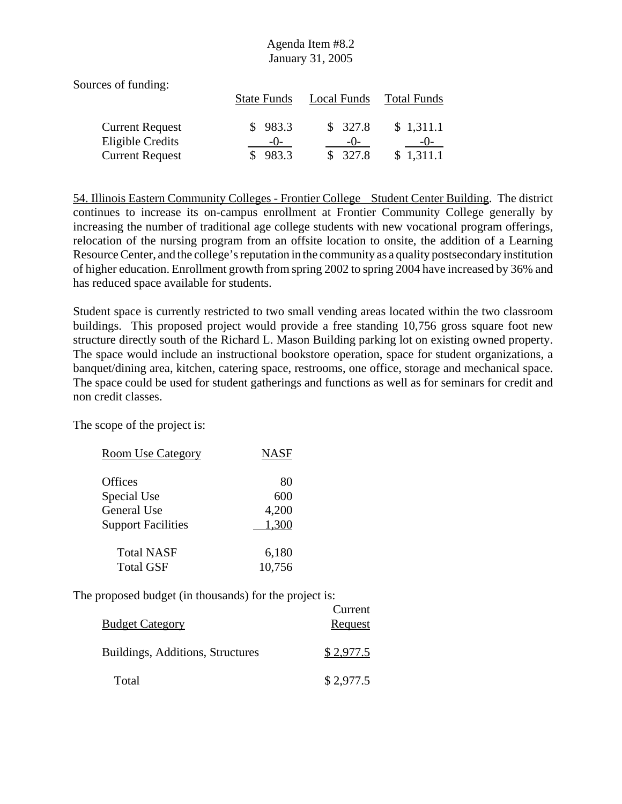| Sources of funding:                        |                    |                  |                    |
|--------------------------------------------|--------------------|------------------|--------------------|
|                                            | <b>State Funds</b> | Local Funds      | Total Funds        |
| <b>Current Request</b><br>Eligible Credits | 983.3<br>$-()$     | \$327.8<br>$-()$ | \$1,311.1<br>$-()$ |
| <b>Current Request</b>                     | 983.3              | \$327.8          | \$1,311.1          |

54. Illinois Eastern Community Colleges - Frontier College Student Center Building. The district continues to increase its on-campus enrollment at Frontier Community College generally by increasing the number of traditional age college students with new vocational program offerings, relocation of the nursing program from an offsite location to onsite, the addition of a Learning Resource Center, and the college's reputation in the community as a quality postsecondary institution of higher education. Enrollment growth from spring 2002 to spring 2004 have increased by 36% and has reduced space available for students.

Student space is currently restricted to two small vending areas located within the two classroom buildings. This proposed project would provide a free standing 10,756 gross square foot new structure directly south of the Richard L. Mason Building parking lot on existing owned property. The space would include an instructional bookstore operation, space for student organizations, a banquet/dining area, kitchen, catering space, restrooms, one office, storage and mechanical space. The space could be used for student gatherings and functions as well as for seminars for credit and non credit classes.

The scope of the project is:

| <b>Room Use Category</b>  | <b>NASF</b> |
|---------------------------|-------------|
| <b>Offices</b>            | 80          |
| Special Use               | 600         |
| General Use               | 4,200       |
| <b>Support Facilities</b> | 1,300       |
| <b>Total NASF</b>         | 6,180       |
| <b>Total GSF</b>          | 10,756      |

| <b>Budget Category</b>           | Current<br>Request |
|----------------------------------|--------------------|
| Buildings, Additions, Structures | \$2,977.5          |
| Total                            | \$2,977.5          |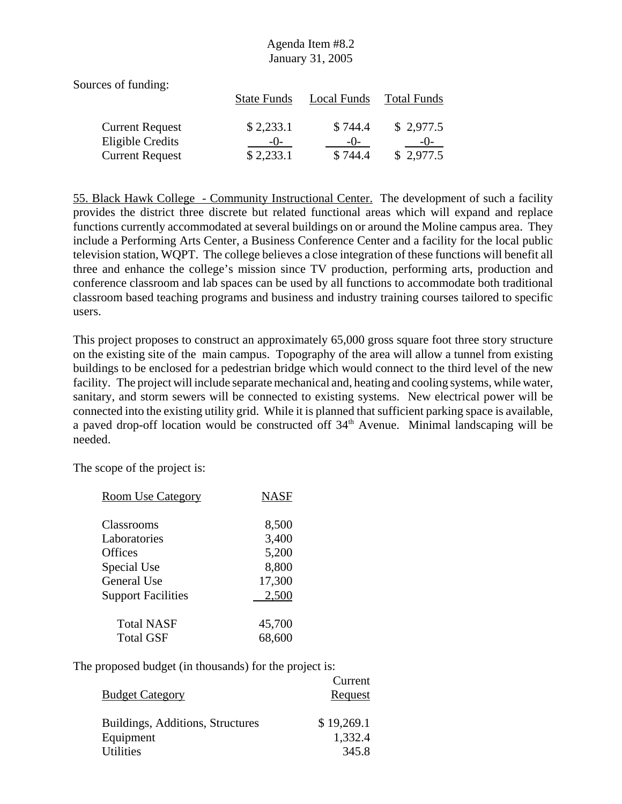Sources of funding: State Funds Local Funds Total Funds Current Request  $$ 2,233.1$   $$ 744.4$   $$ 2,977.5$ Eligible Credits  $\frac{-0}{\$ 2,233.1}$   $\frac{-0}{\$ 744.4}$   $\frac{-0}{\$ 2,977.5}$ Current Request \$ 2,233.1 \$ 744.4

55. Black Hawk College - Community Instructional Center. The development of such a facility provides the district three discrete but related functional areas which will expand and replace functions currently accommodated at several buildings on or around the Moline campus area. They include a Performing Arts Center, a Business Conference Center and a facility for the local public television station, WQPT. The college believes a close integration of these functions will benefit all three and enhance the college's mission since TV production, performing arts, production and conference classroom and lab spaces can be used by all functions to accommodate both traditional classroom based teaching programs and business and industry training courses tailored to specific users.

This project proposes to construct an approximately 65,000 gross square foot three story structure on the existing site of the main campus. Topography of the area will allow a tunnel from existing buildings to be enclosed for a pedestrian bridge which would connect to the third level of the new facility. The project will include separate mechanical and, heating and cooling systems, while water, sanitary, and storm sewers will be connected to existing systems. New electrical power will be connected into the existing utility grid. While it is planned that sufficient parking space is available, a paved drop-off location would be constructed off 34<sup>th</sup> Avenue. Minimal landscaping will be needed.

The scope of the project is:

| <b>Room Use Category</b>  | <b>NASF</b> |
|---------------------------|-------------|
| Classrooms                | 8,500       |
| Laboratories              | 3,400       |
| Offices                   | 5,200       |
| Special Use               | 8,800       |
| <b>General Use</b>        | 17,300      |
| <b>Support Facilities</b> | 2,500       |
| <b>Total NASF</b>         | 45,700      |
| <b>Total GSF</b>          | 68,600      |

|                                  | Current    |
|----------------------------------|------------|
| <b>Budget Category</b>           | Request    |
| Buildings, Additions, Structures | \$19,269.1 |
| Equipment                        | 1,332.4    |
| <b>Utilities</b>                 | 345.8      |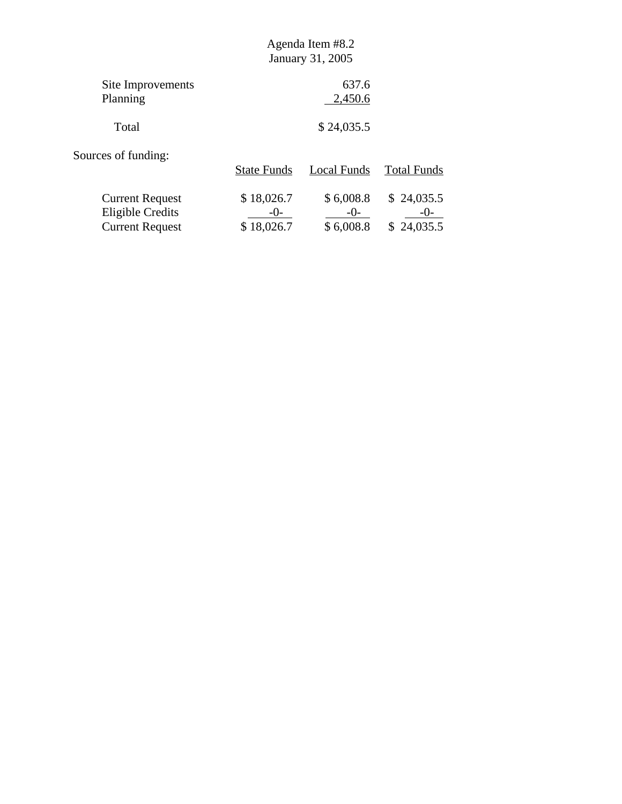| Site Improvements | 637.6      |
|-------------------|------------|
| Planning          | 2,450.6    |
| Total             | \$24,035.5 |

Sources of funding:

|                                            | <b>State Funds</b>  | Local Funds        | <b>Total Funds</b>  |
|--------------------------------------------|---------------------|--------------------|---------------------|
| <b>Current Request</b><br>Eligible Credits | \$18,026.7<br>$-()$ | \$6,008.8<br>$-()$ | \$24,035.5<br>$-()$ |
| <b>Current Request</b>                     | \$18,026.7          | \$6,008.8          | \$24,035.5          |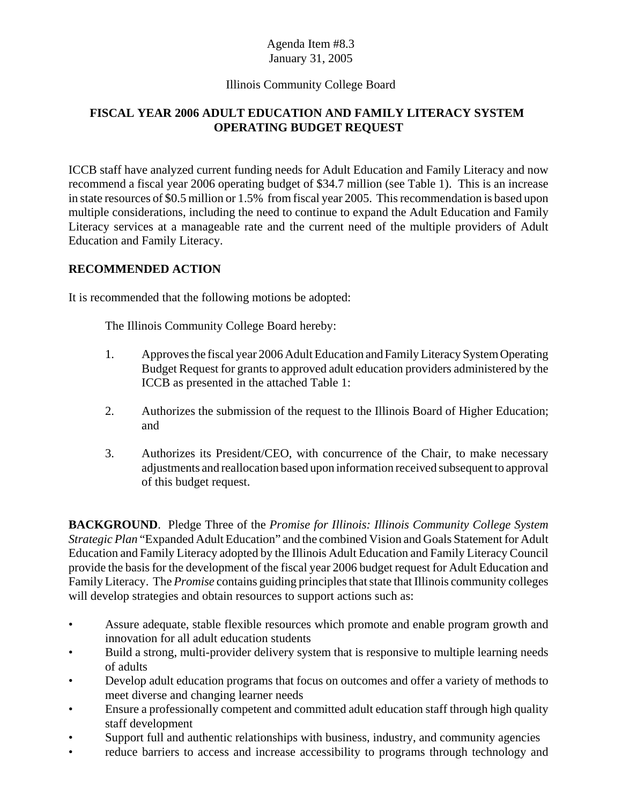#### Illinois Community College Board

# **FISCAL YEAR 2006 ADULT EDUCATION AND FAMILY LITERACY SYSTEM OPERATING BUDGET REQUEST**

ICCB staff have analyzed current funding needs for Adult Education and Family Literacy and now recommend a fiscal year 2006 operating budget of \$34.7 million (see Table 1). This is an increase in state resources of \$0.5 million or 1.5% from fiscal year 2005. This recommendation is based upon multiple considerations, including the need to continue to expand the Adult Education and Family Literacy services at a manageable rate and the current need of the multiple providers of Adult Education and Family Literacy.

#### **RECOMMENDED ACTION**

It is recommended that the following motions be adopted:

The Illinois Community College Board hereby:

- 1. Approves the fiscal year 2006 Adult Education and Family Literacy System Operating Budget Request for grants to approved adult education providers administered by the ICCB as presented in the attached Table 1:
- 2. Authorizes the submission of the request to the Illinois Board of Higher Education; and
- 3. Authorizes its President/CEO, with concurrence of the Chair, to make necessary adjustments and reallocation based upon information received subsequent to approval of this budget request.

**BACKGROUND**. Pledge Three of the *Promise for Illinois: Illinois Community College System Strategic Plan* "Expanded Adult Education" and the combined Vision and Goals Statement for Adult Education and Family Literacy adopted by the Illinois Adult Education and Family Literacy Council provide the basis for the development of the fiscal year 2006 budget request for Adult Education and Family Literacy. The *Promise* contains guiding principles that state that Illinois community colleges will develop strategies and obtain resources to support actions such as:

- Assure adequate, stable flexible resources which promote and enable program growth and innovation for all adult education students
- Build a strong, multi-provider delivery system that is responsive to multiple learning needs of adults
- Develop adult education programs that focus on outcomes and offer a variety of methods to meet diverse and changing learner needs
- Ensure a professionally competent and committed adult education staff through high quality staff development
- Support full and authentic relationships with business, industry, and community agencies
- reduce barriers to access and increase accessibility to programs through technology and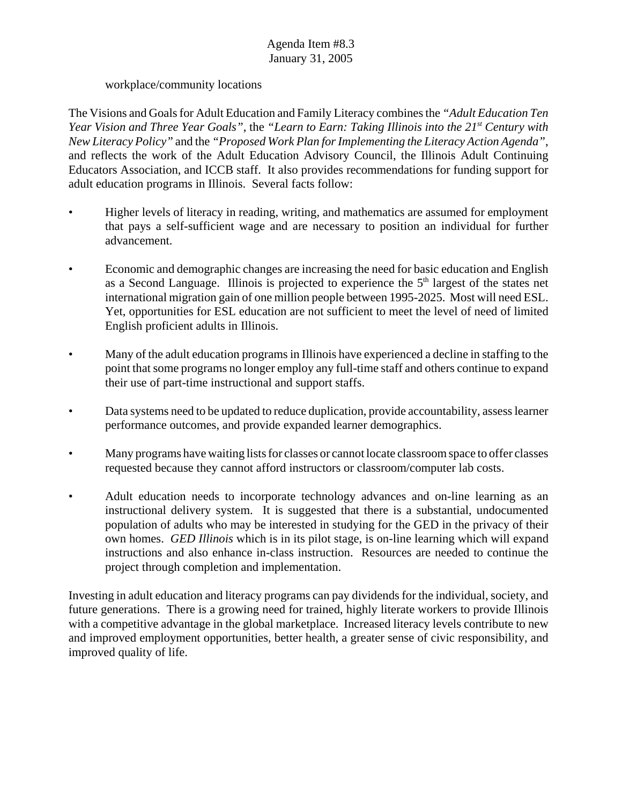#### workplace/community locations

The Visions and Goals for Adult Education and Family Literacy combines the *"Adult Education Ten Year Vision and Three Year Goals"*, the *"Learn to Earn: Taking Illinois into the 21st Century with New Literacy Policy"* and the *"Proposed Work Plan for Implementing the Literacy Action Agenda"*, and reflects the work of the Adult Education Advisory Council, the Illinois Adult Continuing Educators Association, and ICCB staff. It also provides recommendations for funding support for adult education programs in Illinois. Several facts follow:

- Higher levels of literacy in reading, writing, and mathematics are assumed for employment that pays a self-sufficient wage and are necessary to position an individual for further advancement.
- Economic and demographic changes are increasing the need for basic education and English as a Second Language. Illinois is projected to experience the  $5<sup>th</sup>$  largest of the states net international migration gain of one million people between 1995-2025. Most will need ESL. Yet, opportunities for ESL education are not sufficient to meet the level of need of limited English proficient adults in Illinois.
- Many of the adult education programs in Illinois have experienced a decline in staffing to the point that some programs no longer employ any full-time staff and others continue to expand their use of part-time instructional and support staffs.
- Data systems need to be updated to reduce duplication, provide accountability, assess learner performance outcomes, and provide expanded learner demographics.
- Many programs have waiting lists for classes or cannot locate classroom space to offer classes requested because they cannot afford instructors or classroom/computer lab costs.
- Adult education needs to incorporate technology advances and on-line learning as an instructional delivery system. It is suggested that there is a substantial, undocumented population of adults who may be interested in studying for the GED in the privacy of their own homes. *GED Illinois* which is in its pilot stage, is on-line learning which will expand instructions and also enhance in-class instruction. Resources are needed to continue the project through completion and implementation.

Investing in adult education and literacy programs can pay dividends for the individual, society, and future generations. There is a growing need for trained, highly literate workers to provide Illinois with a competitive advantage in the global marketplace. Increased literacy levels contribute to new and improved employment opportunities, better health, a greater sense of civic responsibility, and improved quality of life.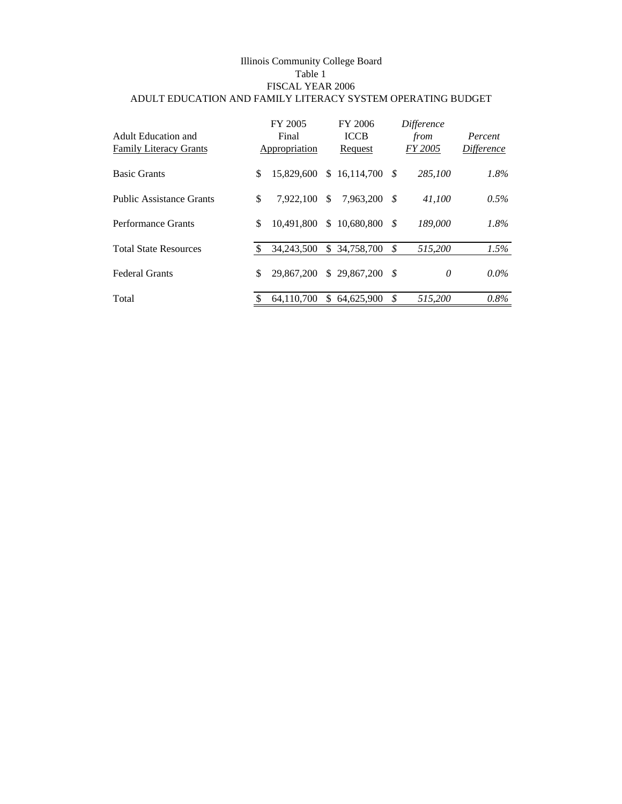#### Illinois Community College Board Table 1 FISCAL YEAR 2006 ADULT EDUCATION AND FAMILY LITERACY SYSTEM OPERATING BUDGET

| Adult Education and<br><b>Family Literacy Grants</b> | FY 2005<br>Final<br>Appropriation |                | FY 2006<br><b>ICCB</b><br>Request |      | Difference<br>from<br>FY 2005 | Percent<br><b>Difference</b> |
|------------------------------------------------------|-----------------------------------|----------------|-----------------------------------|------|-------------------------------|------------------------------|
| <b>Basic Grants</b>                                  | \$<br>15,829,600                  |                | $$16,114,700$ \$                  |      | 285,100                       | 1.8%                         |
| <b>Public Assistance Grants</b>                      | \$<br>7.922.100                   | \$             | 7,963,200                         | - \$ | 41.100                        | $0.5\%$                      |
| Performance Grants                                   | \$<br>10.491.800                  | $\mathbb{S}^-$ | $10,680,800$ \$                   |      | 189,000                       | 1.8%                         |
| <b>Total State Resources</b>                         | 34,243,500                        |                | \$ 34,758,700                     | - \$ | 515,200                       | 1.5%                         |
| <b>Federal Grants</b>                                | \$<br>29,867,200                  |                | $$29.867.200$ \$                  |      | 0                             | $0.0\%$                      |
| Total                                                | 64.110.700                        | \$.            | 64,625,900                        | \$   | 515,200                       | $0.8\%$                      |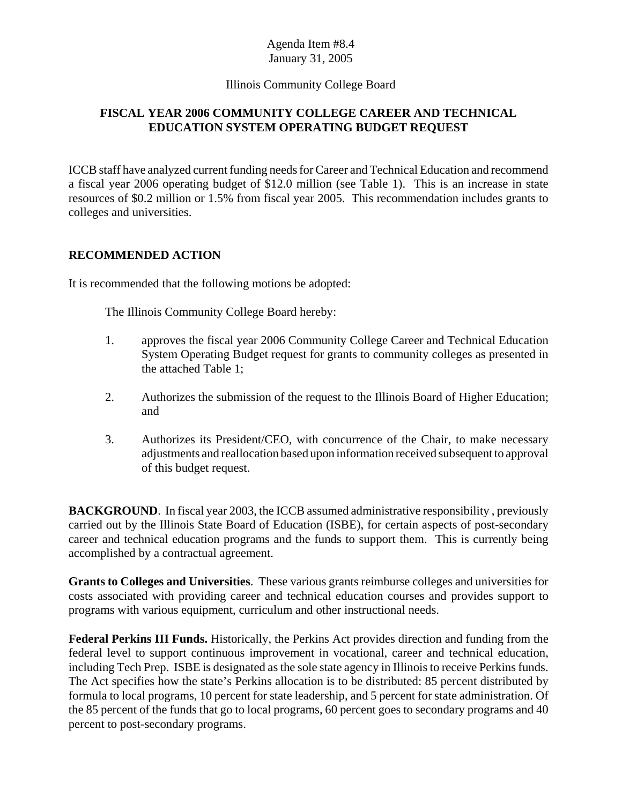#### Illinois Community College Board

# **FISCAL YEAR 2006 COMMUNITY COLLEGE CAREER AND TECHNICAL EDUCATION SYSTEM OPERATING BUDGET REQUEST**

ICCB staff have analyzed current funding needs for Career and Technical Education and recommend a fiscal year 2006 operating budget of \$12.0 million (see Table 1). This is an increase in state resources of \$0.2 million or 1.5% from fiscal year 2005. This recommendation includes grants to colleges and universities.

## **RECOMMENDED ACTION**

It is recommended that the following motions be adopted:

The Illinois Community College Board hereby:

- 1. approves the fiscal year 2006 Community College Career and Technical Education System Operating Budget request for grants to community colleges as presented in the attached Table 1;
- 2. Authorizes the submission of the request to the Illinois Board of Higher Education; and
- 3. Authorizes its President/CEO, with concurrence of the Chair, to make necessary adjustments and reallocation based upon information received subsequent to approval of this budget request.

**BACKGROUND**. In fiscal year 2003, the ICCB assumed administrative responsibility, previously carried out by the Illinois State Board of Education (ISBE), for certain aspects of post-secondary career and technical education programs and the funds to support them. This is currently being accomplished by a contractual agreement.

**Grants to Colleges and Universities**. These various grants reimburse colleges and universities for costs associated with providing career and technical education courses and provides support to programs with various equipment, curriculum and other instructional needs.

**Federal Perkins III Funds.** Historically, the Perkins Act provides direction and funding from the federal level to support continuous improvement in vocational, career and technical education, including Tech Prep. ISBE is designated as the sole state agency in Illinois to receive Perkins funds. The Act specifies how the state's Perkins allocation is to be distributed: 85 percent distributed by formula to local programs, 10 percent for state leadership, and 5 percent for state administration. Of the 85 percent of the funds that go to local programs, 60 percent goes to secondary programs and 40 percent to post-secondary programs.